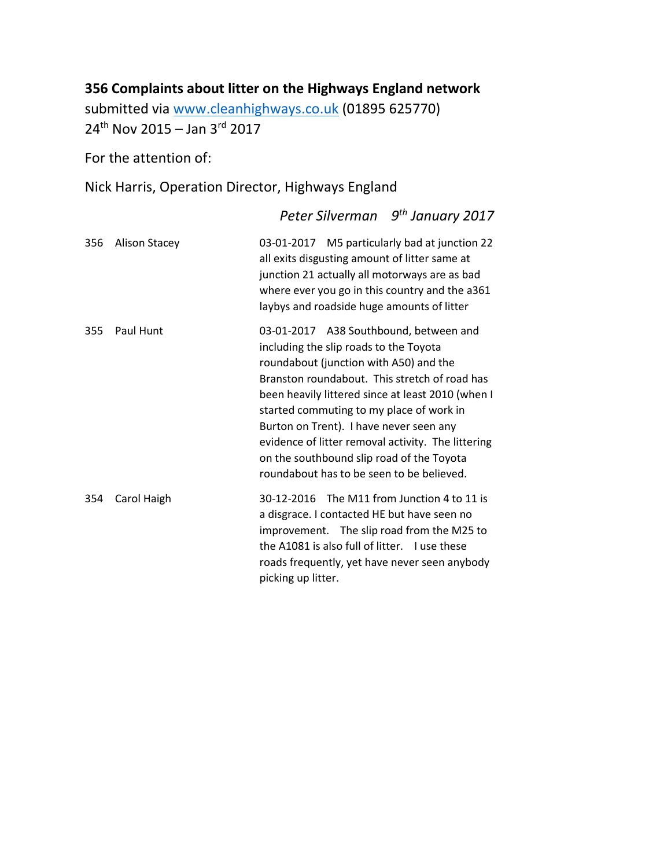## **356 Complaints about litter on the Highways England network**

submitted via [www.cleanhighways.co.uk](http://www.cleanhighways.co.uk/) (01895 625770) 24<sup>th</sup> Nov 2015 – Jan 3<sup>rd</sup> 2017

For the attention of:

Nick Harris, Operation Director, Highways England

*Peter Silverman 9 th January 2017* 356 Alison Stacey 03-01-2017 M5 particularly bad at junction 22 all exits disgusting amount of litter same at junction 21 actually all motorways are as bad where ever you go in this country and the a361 laybys and roadside huge amounts of litter 355 Paul Hunt 03-01-2017 A38 Southbound, between and including the slip roads to the Toyota roundabout (junction with A50) and the Branston roundabout. This stretch of road has been heavily littered since at least 2010 (when I started commuting to my place of work in Burton on Trent). I have never seen any evidence of litter removal activity. The littering on the southbound slip road of the Toyota roundabout has to be seen to be believed. 354 Carol Haigh 30-12-2016 The M11 from Junction 4 to 11 is a disgrace. I contacted HE but have seen no improvement. The slip road from the M25 to the A1081 is also full of litter. I use these roads frequently, yet have never seen anybody picking up litter.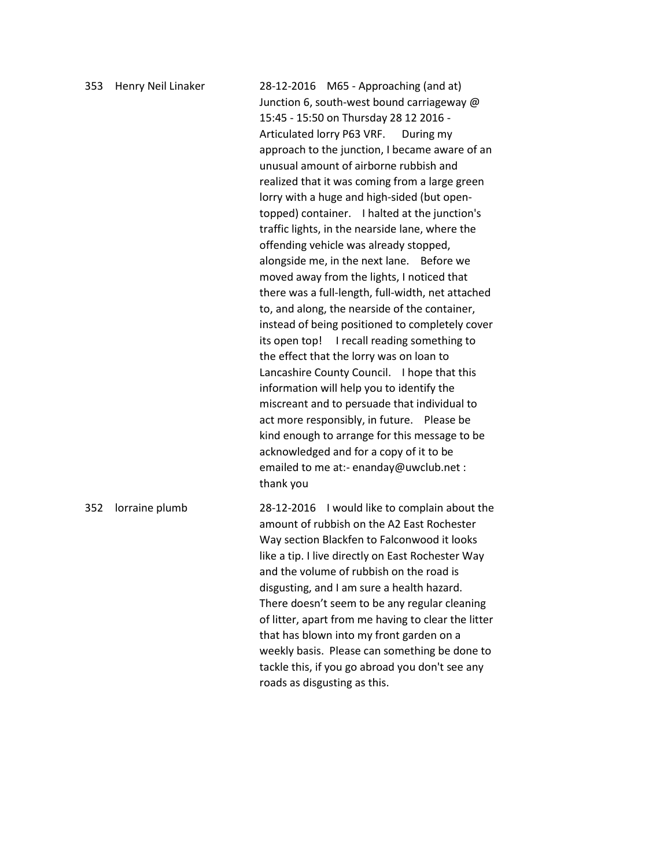| 353 | Henry Neil Linaker | 28-12-2016 M65 - Approaching (and at)<br>Junction 6, south-west bound carriageway @<br>15:45 - 15:50 on Thursday 28 12 2016 -<br>Articulated lorry P63 VRF. During my<br>approach to the junction, I became aware of an<br>unusual amount of airborne rubbish and<br>realized that it was coming from a large green<br>lorry with a huge and high-sided (but open-<br>topped) container. I halted at the junction's<br>traffic lights, in the nearside lane, where the<br>offending vehicle was already stopped,<br>alongside me, in the next lane. Before we<br>moved away from the lights, I noticed that<br>there was a full-length, full-width, net attached<br>to, and along, the nearside of the container,<br>instead of being positioned to completely cover<br>I recall reading something to<br>its open top!<br>the effect that the lorry was on loan to<br>Lancashire County Council. I hope that this<br>information will help you to identify the<br>miscreant and to persuade that individual to<br>act more responsibly, in future. Please be<br>kind enough to arrange for this message to be<br>acknowledged and for a copy of it to be<br>emailed to me at:- enanday@uwclub.net :<br>thank you |
|-----|--------------------|------------------------------------------------------------------------------------------------------------------------------------------------------------------------------------------------------------------------------------------------------------------------------------------------------------------------------------------------------------------------------------------------------------------------------------------------------------------------------------------------------------------------------------------------------------------------------------------------------------------------------------------------------------------------------------------------------------------------------------------------------------------------------------------------------------------------------------------------------------------------------------------------------------------------------------------------------------------------------------------------------------------------------------------------------------------------------------------------------------------------------------------------------------------------------------------------------------------|
| 352 | lorraine plumb     | 28-12-2016 I would like to complain about the<br>amount of rubbish on the A2 East Rochester<br>Way section Blackfen to Falconwood it looks<br>like a tip. I live directly on East Rochester Way<br>and the volume of rubbish on the road is<br>disgusting, and I am sure a health hazard.<br>There doesn't seem to be any regular cleaning<br>of litter, apart from me having to clear the litter<br>that has blown into my front garden on a<br>weekly basis. Please can something be done to<br>tackle this, if you go abroad you don't see any<br>roads as disgusting as this.                                                                                                                                                                                                                                                                                                                                                                                                                                                                                                                                                                                                                                |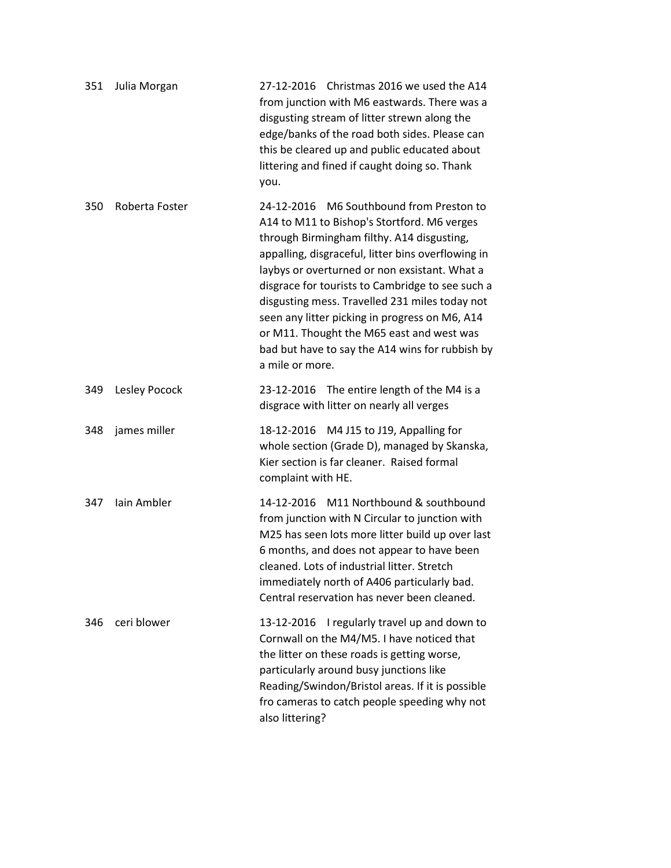| 351 | Julia Morgan   | 27-12-2016 Christmas 2016 we used the A14<br>from junction with M6 eastwards. There was a<br>disgusting stream of litter strewn along the<br>edge/banks of the road both sides. Please can<br>this be cleared up and public educated about<br>littering and fined if caught doing so. Thank<br>you.                                                                                                                                                                                                                     |
|-----|----------------|-------------------------------------------------------------------------------------------------------------------------------------------------------------------------------------------------------------------------------------------------------------------------------------------------------------------------------------------------------------------------------------------------------------------------------------------------------------------------------------------------------------------------|
| 350 | Roberta Foster | 24-12-2016 M6 Southbound from Preston to<br>A14 to M11 to Bishop's Stortford. M6 verges<br>through Birmingham filthy. A14 disgusting,<br>appalling, disgraceful, litter bins overflowing in<br>laybys or overturned or non exsistant. What a<br>disgrace for tourists to Cambridge to see such a<br>disgusting mess. Travelled 231 miles today not<br>seen any litter picking in progress on M6, A14<br>or M11. Thought the M65 east and west was<br>bad but have to say the A14 wins for rubbish by<br>a mile or more. |
| 349 | Lesley Pocock  | 23-12-2016 The entire length of the M4 is a<br>disgrace with litter on nearly all verges                                                                                                                                                                                                                                                                                                                                                                                                                                |
| 348 | james miller   | 18-12-2016 M4 J15 to J19, Appalling for<br>whole section (Grade D), managed by Skanska,<br>Kier section is far cleaner. Raised formal<br>complaint with HE.                                                                                                                                                                                                                                                                                                                                                             |
| 347 | lain Ambler    | 14-12-2016 M11 Northbound & southbound<br>from junction with N Circular to junction with<br>M25 has seen lots more litter build up over last<br>6 months, and does not appear to have been<br>cleaned. Lots of industrial litter. Stretch<br>immediately north of A406 particularly bad.<br>Central reservation has never been cleaned.                                                                                                                                                                                 |
| 346 | ceri blower    | I regularly travel up and down to<br>13-12-2016<br>Cornwall on the M4/M5. I have noticed that<br>the litter on these roads is getting worse,<br>particularly around busy junctions like<br>Reading/Swindon/Bristol areas. If it is possible<br>fro cameras to catch people speeding why not<br>also littering?                                                                                                                                                                                                          |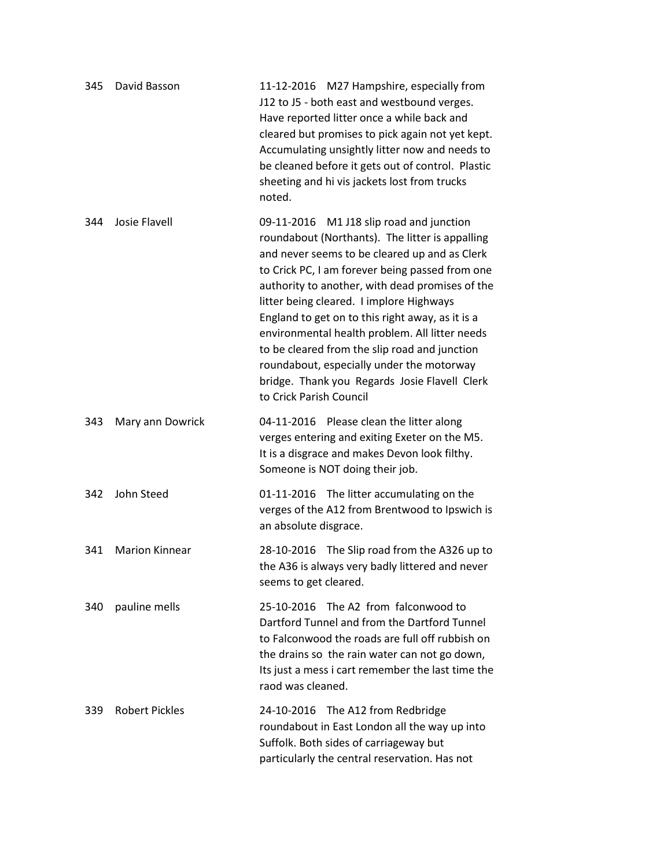| 345 | David Basson          | 11-12-2016 M27 Hampshire, especially from<br>J12 to J5 - both east and westbound verges.<br>Have reported litter once a while back and<br>cleared but promises to pick again not yet kept.<br>Accumulating unsightly litter now and needs to<br>be cleaned before it gets out of control. Plastic<br>sheeting and hi vis jackets lost from trucks<br>noted.                                                                                                                                                                                                                    |
|-----|-----------------------|--------------------------------------------------------------------------------------------------------------------------------------------------------------------------------------------------------------------------------------------------------------------------------------------------------------------------------------------------------------------------------------------------------------------------------------------------------------------------------------------------------------------------------------------------------------------------------|
| 344 | Josie Flavell         | 09-11-2016 M1 J18 slip road and junction<br>roundabout (Northants). The litter is appalling<br>and never seems to be cleared up and as Clerk<br>to Crick PC, I am forever being passed from one<br>authority to another, with dead promises of the<br>litter being cleared. I implore Highways<br>England to get on to this right away, as it is a<br>environmental health problem. All litter needs<br>to be cleared from the slip road and junction<br>roundabout, especially under the motorway<br>bridge. Thank you Regards Josie Flavell Clerk<br>to Crick Parish Council |
| 343 | Mary ann Dowrick      | 04-11-2016 Please clean the litter along<br>verges entering and exiting Exeter on the M5.<br>It is a disgrace and makes Devon look filthy.<br>Someone is NOT doing their job.                                                                                                                                                                                                                                                                                                                                                                                                  |
| 342 | John Steed            | 01-11-2016 The litter accumulating on the<br>verges of the A12 from Brentwood to Ipswich is<br>an absolute disgrace.                                                                                                                                                                                                                                                                                                                                                                                                                                                           |
| 341 | <b>Marion Kinnear</b> | 28-10-2016 The Slip road from the A326 up to<br>the A36 is always very badly littered and never<br>seems to get cleared.                                                                                                                                                                                                                                                                                                                                                                                                                                                       |
| 340 | pauline mells         | The A2 from falconwood to<br>25-10-2016<br>Dartford Tunnel and from the Dartford Tunnel<br>to Falconwood the roads are full off rubbish on<br>the drains so the rain water can not go down,<br>Its just a mess i cart remember the last time the<br>raod was cleaned.                                                                                                                                                                                                                                                                                                          |
| 339 | <b>Robert Pickles</b> | 24-10-2016 The A12 from Redbridge<br>roundabout in East London all the way up into<br>Suffolk. Both sides of carriageway but<br>particularly the central reservation. Has not                                                                                                                                                                                                                                                                                                                                                                                                  |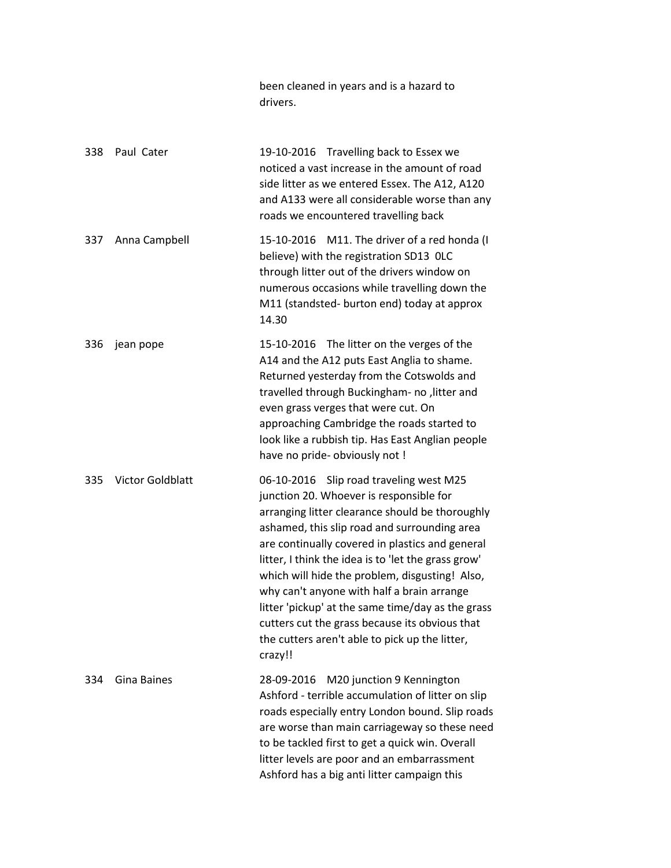|     |                         | been cleaned in years and is a hazard to<br>drivers.                                                                                                                                                                                                                                                                                                                                                                                                                                                                                                                |
|-----|-------------------------|---------------------------------------------------------------------------------------------------------------------------------------------------------------------------------------------------------------------------------------------------------------------------------------------------------------------------------------------------------------------------------------------------------------------------------------------------------------------------------------------------------------------------------------------------------------------|
| 338 | Paul Cater              | 19-10-2016 Travelling back to Essex we<br>noticed a vast increase in the amount of road<br>side litter as we entered Essex. The A12, A120<br>and A133 were all considerable worse than any<br>roads we encountered travelling back                                                                                                                                                                                                                                                                                                                                  |
| 337 | Anna Campbell           | 15-10-2016 M11. The driver of a red honda (I<br>believe) with the registration SD13 OLC<br>through litter out of the drivers window on<br>numerous occasions while travelling down the<br>M11 (standsted- burton end) today at approx<br>14.30                                                                                                                                                                                                                                                                                                                      |
| 336 | jean pope               | 15-10-2016 The litter on the verges of the<br>A14 and the A12 puts East Anglia to shame.<br>Returned yesterday from the Cotswolds and<br>travelled through Buckingham- no , litter and<br>even grass verges that were cut. On<br>approaching Cambridge the roads started to<br>look like a rubbish tip. Has East Anglian people<br>have no pride- obviously not !                                                                                                                                                                                                   |
| 335 | <b>Victor Goldblatt</b> | 06-10-2016 Slip road traveling west M25<br>junction 20. Whoever is responsible for<br>arranging litter clearance should be thoroughly<br>ashamed, this slip road and surrounding area<br>are continually covered in plastics and general<br>litter, I think the idea is to 'let the grass grow'<br>which will hide the problem, disgusting! Also,<br>why can't anyone with half a brain arrange<br>litter 'pickup' at the same time/day as the grass<br>cutters cut the grass because its obvious that<br>the cutters aren't able to pick up the litter,<br>crazy!! |
| 334 | Gina Baines             | M20 junction 9 Kennington<br>28-09-2016<br>Ashford - terrible accumulation of litter on slip<br>roads especially entry London bound. Slip roads<br>are worse than main carriageway so these need<br>to be tackled first to get a quick win. Overall<br>litter levels are poor and an embarrassment<br>Ashford has a big anti litter campaign this                                                                                                                                                                                                                   |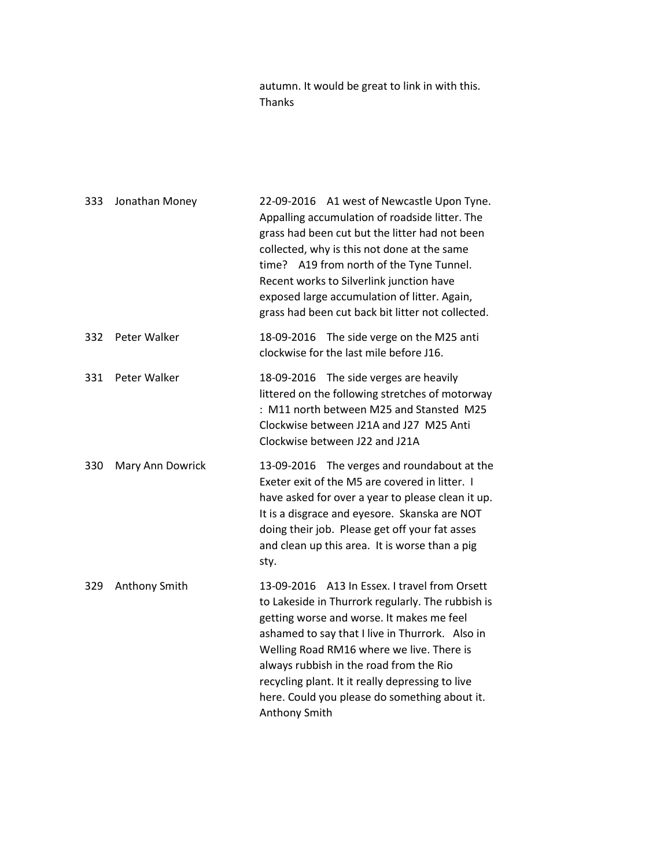autumn. It would be great to link in with this. Thanks

| 333 | Jonathan Money   | 22-09-2016 A1 west of Newcastle Upon Tyne.<br>Appalling accumulation of roadside litter. The<br>grass had been cut but the litter had not been<br>collected, why is this not done at the same<br>time? A19 from north of the Tyne Tunnel.<br>Recent works to Silverlink junction have<br>exposed large accumulation of litter. Again,<br>grass had been cut back bit litter not collected.                       |
|-----|------------------|------------------------------------------------------------------------------------------------------------------------------------------------------------------------------------------------------------------------------------------------------------------------------------------------------------------------------------------------------------------------------------------------------------------|
| 332 | Peter Walker     | 18-09-2016 The side verge on the M25 anti<br>clockwise for the last mile before J16.                                                                                                                                                                                                                                                                                                                             |
| 331 | Peter Walker     | 18-09-2016 The side verges are heavily<br>littered on the following stretches of motorway<br>: M11 north between M25 and Stansted M25<br>Clockwise between J21A and J27 M25 Anti<br>Clockwise between J22 and J21A                                                                                                                                                                                               |
| 330 | Mary Ann Dowrick | 13-09-2016 The verges and roundabout at the<br>Exeter exit of the M5 are covered in litter. I<br>have asked for over a year to please clean it up.<br>It is a disgrace and eyesore. Skanska are NOT<br>doing their job. Please get off your fat asses<br>and clean up this area. It is worse than a pig<br>sty.                                                                                                  |
| 329 | Anthony Smith    | 13-09-2016 A13 In Essex. I travel from Orsett<br>to Lakeside in Thurrork regularly. The rubbish is<br>getting worse and worse. It makes me feel<br>ashamed to say that I live in Thurrork. Also in<br>Welling Road RM16 where we live. There is<br>always rubbish in the road from the Rio<br>recycling plant. It it really depressing to live<br>here. Could you please do something about it.<br>Anthony Smith |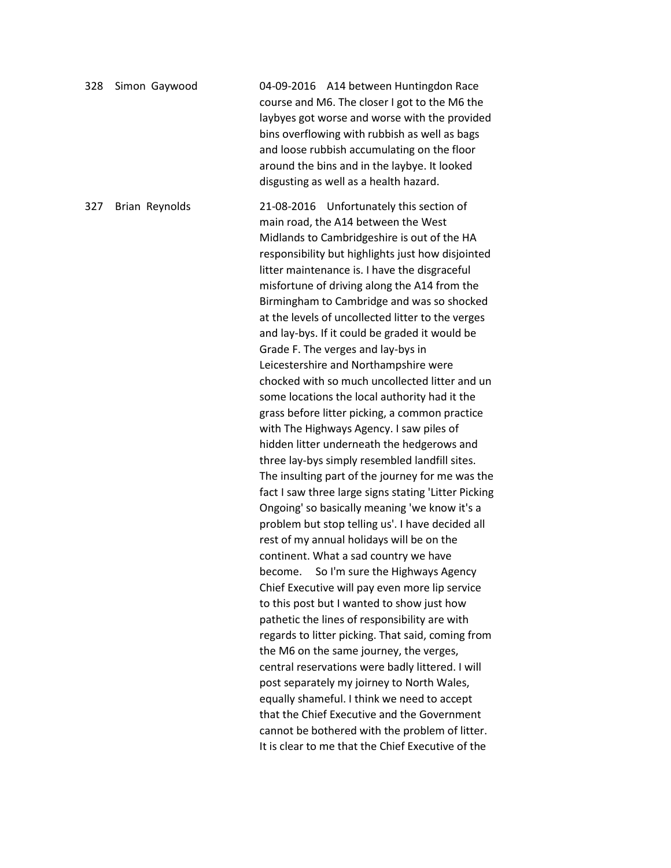| 328 | Simon Gaywood  | 04-09-2016 A14 between Huntingdon Race<br>course and M6. The closer I got to the M6 the<br>laybyes got worse and worse with the provided<br>bins overflowing with rubbish as well as bags<br>and loose rubbish accumulating on the floor<br>around the bins and in the laybye. It looked<br>disgusting as well as a health hazard.                                                                                                                                                                                                                                                                                                                                                                                                                                                                                                                                                                                                                                                                                                                                                                                                                                                                                                                                                                                                                                                                                                                                                                                                                                                                                                                                                                                                  |
|-----|----------------|-------------------------------------------------------------------------------------------------------------------------------------------------------------------------------------------------------------------------------------------------------------------------------------------------------------------------------------------------------------------------------------------------------------------------------------------------------------------------------------------------------------------------------------------------------------------------------------------------------------------------------------------------------------------------------------------------------------------------------------------------------------------------------------------------------------------------------------------------------------------------------------------------------------------------------------------------------------------------------------------------------------------------------------------------------------------------------------------------------------------------------------------------------------------------------------------------------------------------------------------------------------------------------------------------------------------------------------------------------------------------------------------------------------------------------------------------------------------------------------------------------------------------------------------------------------------------------------------------------------------------------------------------------------------------------------------------------------------------------------|
| 327 | Brian Reynolds | 21-08-2016 Unfortunately this section of<br>main road, the A14 between the West<br>Midlands to Cambridgeshire is out of the HA<br>responsibility but highlights just how disjointed<br>litter maintenance is. I have the disgraceful<br>misfortune of driving along the A14 from the<br>Birmingham to Cambridge and was so shocked<br>at the levels of uncollected litter to the verges<br>and lay-bys. If it could be graded it would be<br>Grade F. The verges and lay-bys in<br>Leicestershire and Northampshire were<br>chocked with so much uncollected litter and un<br>some locations the local authority had it the<br>grass before litter picking, a common practice<br>with The Highways Agency. I saw piles of<br>hidden litter underneath the hedgerows and<br>three lay-bys simply resembled landfill sites.<br>The insulting part of the journey for me was the<br>fact I saw three large signs stating 'Litter Picking<br>Ongoing' so basically meaning 'we know it's a<br>problem but stop telling us'. I have decided all<br>rest of my annual holidays will be on the<br>continent. What a sad country we have<br>become. So I'm sure the Highways Agency<br>Chief Executive will pay even more lip service<br>to this post but I wanted to show just how<br>pathetic the lines of responsibility are with<br>regards to litter picking. That said, coming from<br>the M6 on the same journey, the verges,<br>central reservations were badly littered. I will<br>post separately my joirney to North Wales,<br>equally shameful. I think we need to accept<br>that the Chief Executive and the Government<br>cannot be bothered with the problem of litter.<br>It is clear to me that the Chief Executive of the |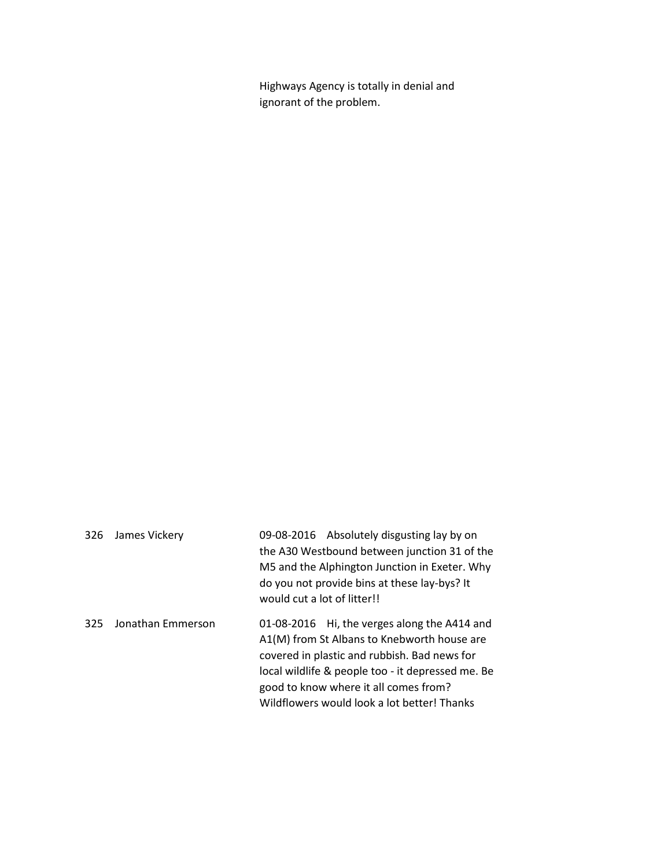Highways Agency is totally in denial and ignorant of the problem.

| 326 | James Vickery     | 09-08-2016 Absolutely disgusting lay by on<br>the A30 Westbound between junction 31 of the<br>M5 and the Alphington Junction in Exeter. Why<br>do you not provide bins at these lay-bys? It<br>would cut a lot of litter!!                                                               |
|-----|-------------------|------------------------------------------------------------------------------------------------------------------------------------------------------------------------------------------------------------------------------------------------------------------------------------------|
| 325 | Jonathan Emmerson | 01-08-2016 Hi, the verges along the A414 and<br>A1(M) from St Albans to Knebworth house are<br>covered in plastic and rubbish. Bad news for<br>local wildlife & people too - it depressed me. Be<br>good to know where it all comes from?<br>Wildflowers would look a lot better! Thanks |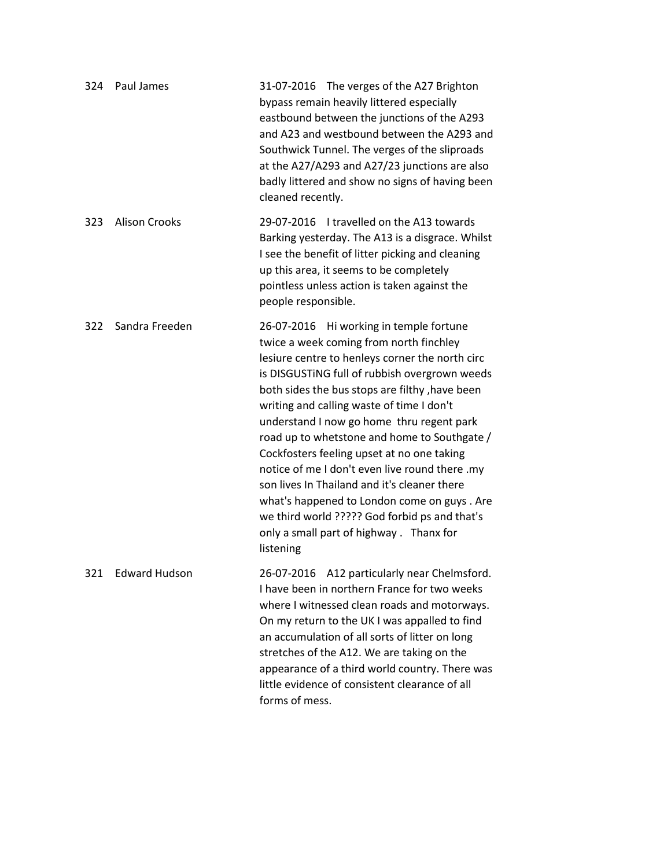| 324 | Paul James           | 31-07-2016 The verges of the A27 Brighton<br>bypass remain heavily littered especially<br>eastbound between the junctions of the A293<br>and A23 and westbound between the A293 and<br>Southwick Tunnel. The verges of the sliproads<br>at the A27/A293 and A27/23 junctions are also<br>badly littered and show no signs of having been<br>cleaned recently.                                                                                                                                                                                                                                                                                                                               |
|-----|----------------------|---------------------------------------------------------------------------------------------------------------------------------------------------------------------------------------------------------------------------------------------------------------------------------------------------------------------------------------------------------------------------------------------------------------------------------------------------------------------------------------------------------------------------------------------------------------------------------------------------------------------------------------------------------------------------------------------|
| 323 | <b>Alison Crooks</b> | 29-07-2016 I travelled on the A13 towards<br>Barking yesterday. The A13 is a disgrace. Whilst<br>I see the benefit of litter picking and cleaning<br>up this area, it seems to be completely<br>pointless unless action is taken against the<br>people responsible.                                                                                                                                                                                                                                                                                                                                                                                                                         |
| 322 | Sandra Freeden       | 26-07-2016 Hi working in temple fortune<br>twice a week coming from north finchley<br>lesiure centre to henleys corner the north circ<br>is DISGUSTING full of rubbish overgrown weeds<br>both sides the bus stops are filthy , have been<br>writing and calling waste of time I don't<br>understand I now go home thru regent park<br>road up to whetstone and home to Southgate /<br>Cockfosters feeling upset at no one taking<br>notice of me I don't even live round there .my<br>son lives In Thailand and it's cleaner there<br>what's happened to London come on guys. Are<br>we third world ????? God forbid ps and that's<br>only a small part of highway. Thanx for<br>listening |
| 321 | <b>Edward Hudson</b> | 26-07-2016 A12 particularly near Chelmsford.<br>I have been in northern France for two weeks<br>where I witnessed clean roads and motorways.<br>On my return to the UK I was appalled to find<br>an accumulation of all sorts of litter on long<br>stretches of the A12. We are taking on the<br>appearance of a third world country. There was<br>little evidence of consistent clearance of all<br>forms of mess.                                                                                                                                                                                                                                                                         |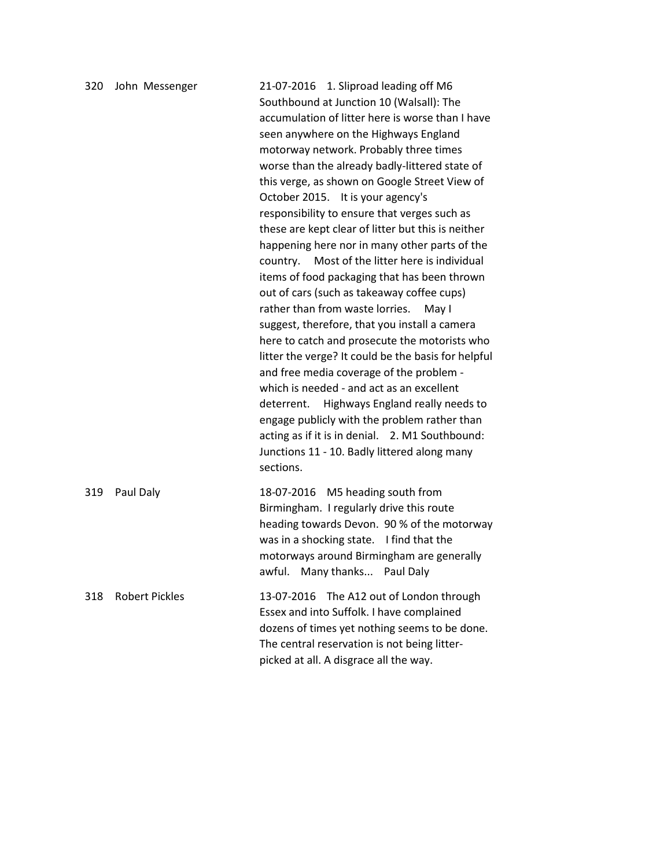| 320 | John Messenger        | 21-07-2016 1. Sliproad leading off M6<br>Southbound at Junction 10 (Walsall): The<br>accumulation of litter here is worse than I have<br>seen anywhere on the Highways England<br>motorway network. Probably three times<br>worse than the already badly-littered state of<br>this verge, as shown on Google Street View of<br>October 2015. It is your agency's<br>responsibility to ensure that verges such as<br>these are kept clear of litter but this is neither<br>happening here nor in many other parts of the<br>Most of the litter here is individual<br>country.<br>items of food packaging that has been thrown<br>out of cars (such as takeaway coffee cups)<br>rather than from waste lorries.<br>May I<br>suggest, therefore, that you install a camera<br>here to catch and prosecute the motorists who<br>litter the verge? It could be the basis for helpful<br>and free media coverage of the problem -<br>which is needed - and act as an excellent<br>Highways England really needs to<br>deterrent.<br>engage publicly with the problem rather than<br>acting as if it is in denial. 2. M1 Southbound:<br>Junctions 11 - 10. Badly littered along many<br>sections. |
|-----|-----------------------|--------------------------------------------------------------------------------------------------------------------------------------------------------------------------------------------------------------------------------------------------------------------------------------------------------------------------------------------------------------------------------------------------------------------------------------------------------------------------------------------------------------------------------------------------------------------------------------------------------------------------------------------------------------------------------------------------------------------------------------------------------------------------------------------------------------------------------------------------------------------------------------------------------------------------------------------------------------------------------------------------------------------------------------------------------------------------------------------------------------------------------------------------------------------------------------------|
| 319 | Paul Daly             | 18-07-2016 M5 heading south from<br>Birmingham. I regularly drive this route<br>heading towards Devon. 90 % of the motorway<br>was in a shocking state. I find that the<br>motorways around Birmingham are generally<br>awful. Many thanks Paul Daly                                                                                                                                                                                                                                                                                                                                                                                                                                                                                                                                                                                                                                                                                                                                                                                                                                                                                                                                       |
| 318 | <b>Robert Pickles</b> | 13-07-2016 The A12 out of London through<br>Essex and into Suffolk. I have complained<br>dozens of times yet nothing seems to be done.<br>The central reservation is not being litter-<br>picked at all. A disgrace all the way.                                                                                                                                                                                                                                                                                                                                                                                                                                                                                                                                                                                                                                                                                                                                                                                                                                                                                                                                                           |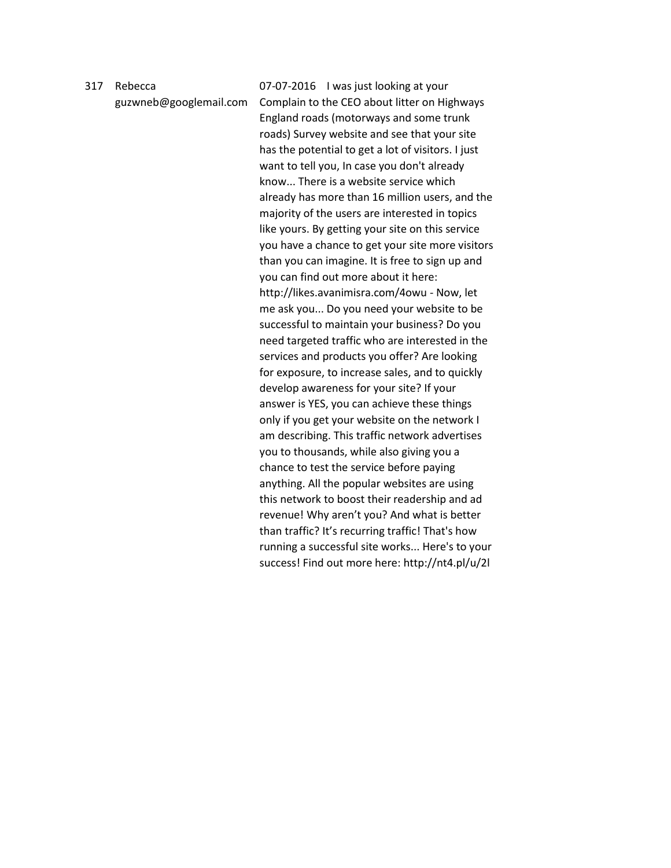## 317 Rebecca

guzwneb@googlemail.com

07-07-2016 I was just looking at your Complain to the CEO about litter on Highways England roads (motorways and some trunk roads) Survey website and see that your site has the potential to get a lot of visitors. I just want to tell you, In case you don't already know... There is a website service which already has more than 16 million users, and the majority of the users are interested in topics like yours. By getting your site on this service you have a chance to get your site more visitors than you can imagine. It is free to sign up and you can find out more about it here: http://likes.avanimisra.com/4owu - Now, let me ask you... Do you need your website to be successful to maintain your business? Do you need targeted traffic who are interested in the services and products you offer? Are looking for exposure, to increase sales, and to quickly develop awareness for your site? If your answer is YES, you can achieve these things only if you get your website on the network I am describing. This traffic network advertises you to thousands, while also giving you a chance to test the service before paying anything. All the popular websites are using this network to boost their readership and ad revenue! Why aren't you? And what is better than traffic? It's recurring traffic! That's how running a successful site works... Here's to your success! Find out more here: http://nt4.pl/u/2l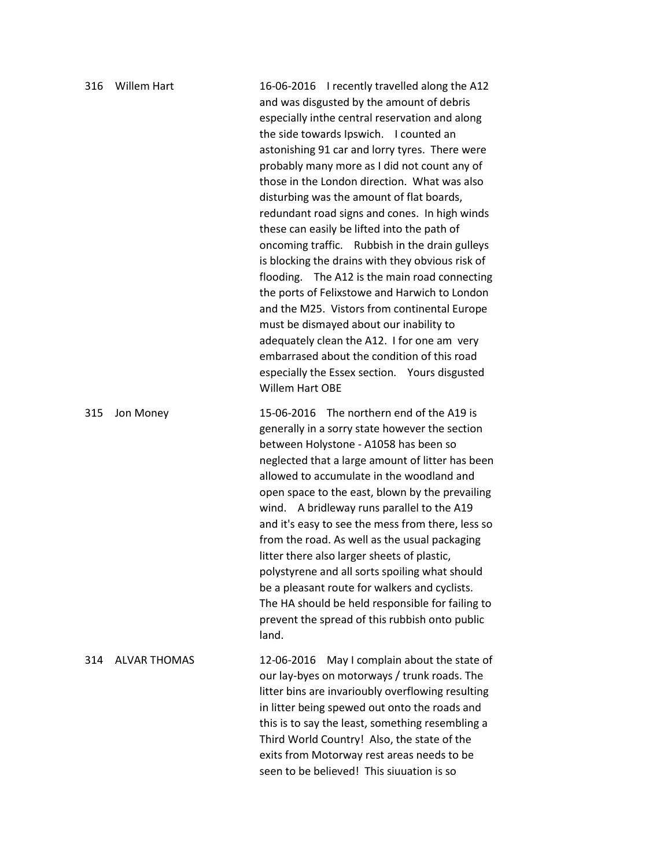| 316 | <b>Willem Hart</b>  | 16-06-2016 I recently travelled along the A12<br>and was disgusted by the amount of debris<br>especially inthe central reservation and along<br>the side towards Ipswich. I counted an<br>astonishing 91 car and lorry tyres. There were<br>probably many more as I did not count any of<br>those in the London direction. What was also<br>disturbing was the amount of flat boards,<br>redundant road signs and cones. In high winds<br>these can easily be lifted into the path of<br>oncoming traffic. Rubbish in the drain gulleys<br>is blocking the drains with they obvious risk of<br>flooding. The A12 is the main road connecting<br>the ports of Felixstowe and Harwich to London<br>and the M25. Vistors from continental Europe<br>must be dismayed about our inability to<br>adequately clean the A12. I for one am very<br>embarrased about the condition of this road<br>especially the Essex section.  Yours disgusted<br>Willem Hart OBE |
|-----|---------------------|-------------------------------------------------------------------------------------------------------------------------------------------------------------------------------------------------------------------------------------------------------------------------------------------------------------------------------------------------------------------------------------------------------------------------------------------------------------------------------------------------------------------------------------------------------------------------------------------------------------------------------------------------------------------------------------------------------------------------------------------------------------------------------------------------------------------------------------------------------------------------------------------------------------------------------------------------------------|
| 315 | Jon Money           | 15-06-2016 The northern end of the A19 is<br>generally in a sorry state however the section<br>between Holystone - A1058 has been so<br>neglected that a large amount of litter has been<br>allowed to accumulate in the woodland and<br>open space to the east, blown by the prevailing<br>wind. A bridleway runs parallel to the A19<br>and it's easy to see the mess from there, less so<br>from the road. As well as the usual packaging<br>litter there also larger sheets of plastic,<br>polystyrene and all sorts spoiling what should<br>be a pleasant route for walkers and cyclists.<br>The HA should be held responsible for failing to<br>prevent the spread of this rubbish onto public<br>land.                                                                                                                                                                                                                                               |
| 314 | <b>ALVAR THOMAS</b> | May I complain about the state of<br>12-06-2016<br>our lay-byes on motorways / trunk roads. The<br>litter bins are invarioubly overflowing resulting<br>in litter being spewed out onto the roads and<br>this is to say the least, something resembling a<br>Third World Country! Also, the state of the<br>exits from Motorway rest areas needs to be<br>seen to be believed! This siuuation is so                                                                                                                                                                                                                                                                                                                                                                                                                                                                                                                                                         |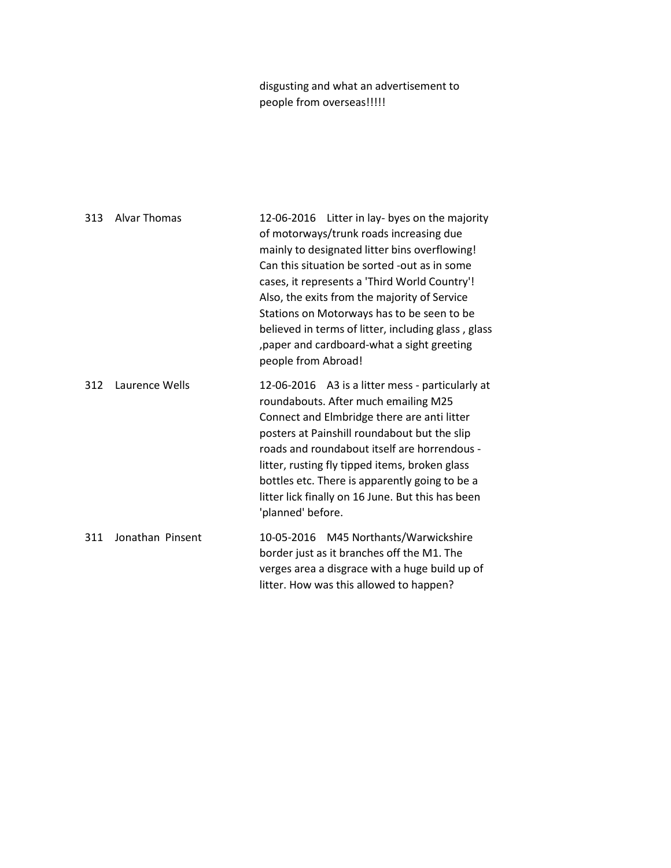disgusting and what an advertisement to people from overseas!!!!!

| 313 | <b>Alvar Thomas</b> | 12-06-2016 Litter in lay- byes on the majority<br>of motorways/trunk roads increasing due<br>mainly to designated litter bins overflowing!<br>Can this situation be sorted -out as in some<br>cases, it represents a 'Third World Country'!<br>Also, the exits from the majority of Service<br>Stations on Motorways has to be seen to be<br>believed in terms of litter, including glass, glass<br>, paper and cardboard-what a sight greeting<br>people from Abroad! |
|-----|---------------------|------------------------------------------------------------------------------------------------------------------------------------------------------------------------------------------------------------------------------------------------------------------------------------------------------------------------------------------------------------------------------------------------------------------------------------------------------------------------|
| 312 | Laurence Wells      | 12-06-2016 A3 is a litter mess - particularly at<br>roundabouts. After much emailing M25<br>Connect and Elmbridge there are anti litter<br>posters at Painshill roundabout but the slip<br>roads and roundabout itself are horrendous -<br>litter, rusting fly tipped items, broken glass<br>bottles etc. There is apparently going to be a<br>litter lick finally on 16 June. But this has been<br>'planned' before.                                                  |
| 311 | Jonathan Pinsent    | 10-05-2016 M45 Northants/Warwickshire<br>border just as it branches off the M1. The<br>verges area a disgrace with a huge build up of<br>litter. How was this allowed to happen?                                                                                                                                                                                                                                                                                       |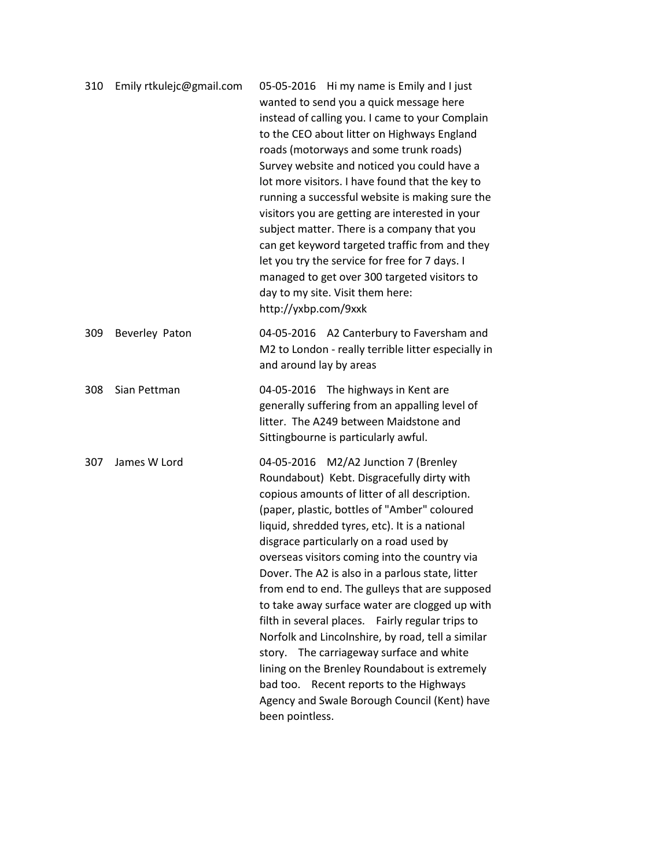| 310 | Emily rtkulejc@gmail.com | 05-05-2016 Hi my name is Emily and I just<br>wanted to send you a quick message here<br>instead of calling you. I came to your Complain<br>to the CEO about litter on Highways England<br>roads (motorways and some trunk roads)<br>Survey website and noticed you could have a<br>lot more visitors. I have found that the key to<br>running a successful website is making sure the<br>visitors you are getting are interested in your<br>subject matter. There is a company that you<br>can get keyword targeted traffic from and they<br>let you try the service for free for 7 days. I<br>managed to get over 300 targeted visitors to<br>day to my site. Visit them here:<br>http://yxbp.com/9xxk                                                                                                       |
|-----|--------------------------|---------------------------------------------------------------------------------------------------------------------------------------------------------------------------------------------------------------------------------------------------------------------------------------------------------------------------------------------------------------------------------------------------------------------------------------------------------------------------------------------------------------------------------------------------------------------------------------------------------------------------------------------------------------------------------------------------------------------------------------------------------------------------------------------------------------|
| 309 | Beverley Paton           | 04-05-2016 A2 Canterbury to Faversham and<br>M2 to London - really terrible litter especially in<br>and around lay by areas                                                                                                                                                                                                                                                                                                                                                                                                                                                                                                                                                                                                                                                                                   |
| 308 | Sian Pettman             | 04-05-2016 The highways in Kent are<br>generally suffering from an appalling level of<br>litter. The A249 between Maidstone and<br>Sittingbourne is particularly awful.                                                                                                                                                                                                                                                                                                                                                                                                                                                                                                                                                                                                                                       |
| 307 | James W Lord             | 04-05-2016 M2/A2 Junction 7 (Brenley<br>Roundabout) Kebt. Disgracefully dirty with<br>copious amounts of litter of all description.<br>(paper, plastic, bottles of "Amber" coloured<br>liquid, shredded tyres, etc). It is a national<br>disgrace particularly on a road used by<br>overseas visitors coming into the country via<br>Dover. The A2 is also in a parlous state, litter<br>from end to end. The gulleys that are supposed<br>to take away surface water are clogged up with<br>filth in several places. Fairly regular trips to<br>Norfolk and Lincolnshire, by road, tell a similar<br>story. The carriageway surface and white<br>lining on the Brenley Roundabout is extremely<br>bad too. Recent reports to the Highways<br>Agency and Swale Borough Council (Kent) have<br>been pointless. |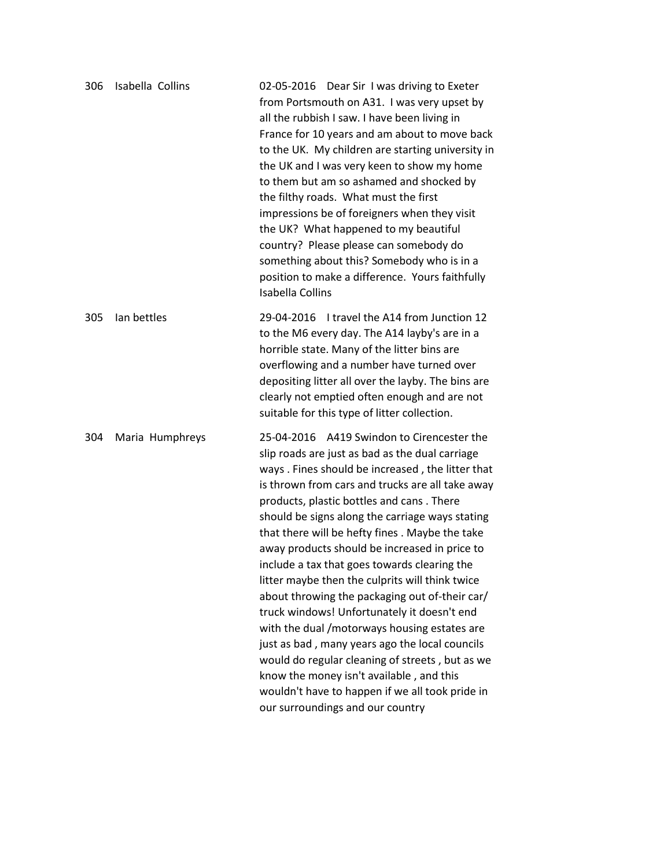| 306 | Isabella Collins | 02-05-2016 Dear Sir I was driving to Exeter<br>from Portsmouth on A31. I was very upset by<br>all the rubbish I saw. I have been living in<br>France for 10 years and am about to move back<br>to the UK. My children are starting university in<br>the UK and I was very keen to show my home<br>to them but am so ashamed and shocked by<br>the filthy roads. What must the first<br>impressions be of foreigners when they visit<br>the UK? What happened to my beautiful<br>country? Please please can somebody do<br>something about this? Somebody who is in a<br>position to make a difference. Yours faithfully<br><b>Isabella Collins</b>                                                                                                                                                                                                                                                   |
|-----|------------------|------------------------------------------------------------------------------------------------------------------------------------------------------------------------------------------------------------------------------------------------------------------------------------------------------------------------------------------------------------------------------------------------------------------------------------------------------------------------------------------------------------------------------------------------------------------------------------------------------------------------------------------------------------------------------------------------------------------------------------------------------------------------------------------------------------------------------------------------------------------------------------------------------|
| 305 | lan bettles      | 29-04-2016 I travel the A14 from Junction 12<br>to the M6 every day. The A14 layby's are in a<br>horrible state. Many of the litter bins are<br>overflowing and a number have turned over<br>depositing litter all over the layby. The bins are<br>clearly not emptied often enough and are not<br>suitable for this type of litter collection.                                                                                                                                                                                                                                                                                                                                                                                                                                                                                                                                                      |
| 304 | Maria Humphreys  | 25-04-2016 A419 Swindon to Cirencester the<br>slip roads are just as bad as the dual carriage<br>ways. Fines should be increased, the litter that<br>is thrown from cars and trucks are all take away<br>products, plastic bottles and cans. There<br>should be signs along the carriage ways stating<br>that there will be hefty fines. Maybe the take<br>away products should be increased in price to<br>include a tax that goes towards clearing the<br>litter maybe then the culprits will think twice<br>about throwing the packaging out of-their car/<br>truck windows! Unfortunately it doesn't end<br>with the dual /motorways housing estates are<br>just as bad, many years ago the local councils<br>would do regular cleaning of streets, but as we<br>know the money isn't available, and this<br>wouldn't have to happen if we all took pride in<br>our surroundings and our country |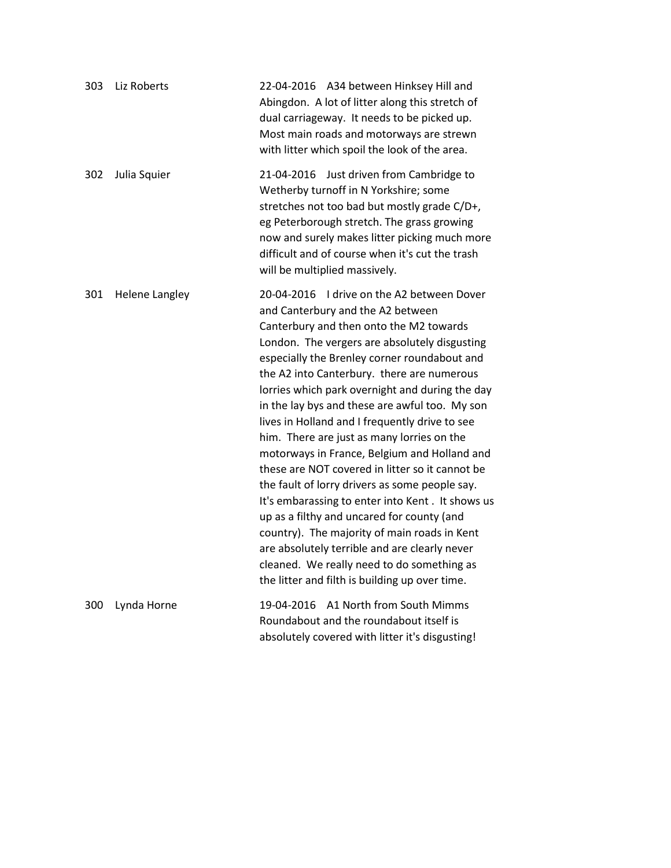| 303 | Liz Roberts           | 22-04-2016 A34 between Hinksey Hill and<br>Abingdon. A lot of litter along this stretch of<br>dual carriageway. It needs to be picked up.<br>Most main roads and motorways are strewn<br>with litter which spoil the look of the area.                                                                                                                                                                                                                                                                                                                                                                                                                                                                                                                                                                                                                                                                                                 |
|-----|-----------------------|----------------------------------------------------------------------------------------------------------------------------------------------------------------------------------------------------------------------------------------------------------------------------------------------------------------------------------------------------------------------------------------------------------------------------------------------------------------------------------------------------------------------------------------------------------------------------------------------------------------------------------------------------------------------------------------------------------------------------------------------------------------------------------------------------------------------------------------------------------------------------------------------------------------------------------------|
| 302 | Julia Squier          | 21-04-2016 Just driven from Cambridge to<br>Wetherby turnoff in N Yorkshire; some<br>stretches not too bad but mostly grade C/D+,<br>eg Peterborough stretch. The grass growing<br>now and surely makes litter picking much more<br>difficult and of course when it's cut the trash<br>will be multiplied massively.                                                                                                                                                                                                                                                                                                                                                                                                                                                                                                                                                                                                                   |
| 301 | <b>Helene Langley</b> | 20-04-2016 I drive on the A2 between Dover<br>and Canterbury and the A2 between<br>Canterbury and then onto the M2 towards<br>London. The vergers are absolutely disgusting<br>especially the Brenley corner roundabout and<br>the A2 into Canterbury. there are numerous<br>lorries which park overnight and during the day<br>in the lay bys and these are awful too. My son<br>lives in Holland and I frequently drive to see<br>him. There are just as many lorries on the<br>motorways in France, Belgium and Holland and<br>these are NOT covered in litter so it cannot be<br>the fault of lorry drivers as some people say.<br>It's embarassing to enter into Kent. It shows us<br>up as a filthy and uncared for county (and<br>country). The majority of main roads in Kent<br>are absolutely terrible and are clearly never<br>cleaned. We really need to do something as<br>the litter and filth is building up over time. |
| 300 | Lynda Horne           | A1 North from South Mimms<br>19-04-2016<br>Roundabout and the roundabout itself is<br>absolutely covered with litter it's disgusting!                                                                                                                                                                                                                                                                                                                                                                                                                                                                                                                                                                                                                                                                                                                                                                                                  |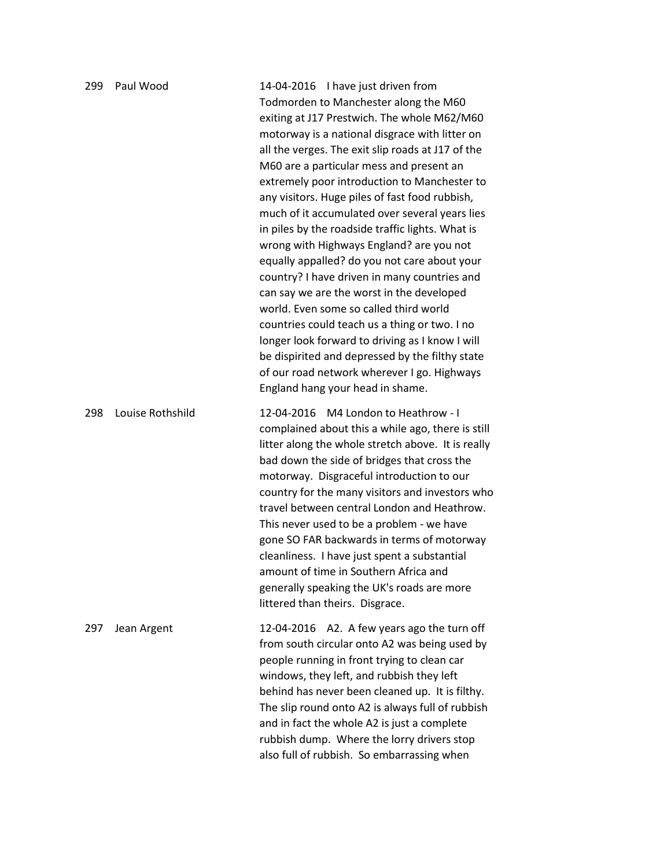| 299 | Paul Wood        | 14-04-2016 I have just driven from<br>Todmorden to Manchester along the M60<br>exiting at J17 Prestwich. The whole M62/M60<br>motorway is a national disgrace with litter on<br>all the verges. The exit slip roads at J17 of the<br>M60 are a particular mess and present an<br>extremely poor introduction to Manchester to<br>any visitors. Huge piles of fast food rubbish,<br>much of it accumulated over several years lies<br>in piles by the roadside traffic lights. What is<br>wrong with Highways England? are you not<br>equally appalled? do you not care about your<br>country? I have driven in many countries and<br>can say we are the worst in the developed<br>world. Even some so called third world<br>countries could teach us a thing or two. I no<br>longer look forward to driving as I know I will<br>be dispirited and depressed by the filthy state<br>of our road network wherever I go. Highways<br>England hang your head in shame. |
|-----|------------------|--------------------------------------------------------------------------------------------------------------------------------------------------------------------------------------------------------------------------------------------------------------------------------------------------------------------------------------------------------------------------------------------------------------------------------------------------------------------------------------------------------------------------------------------------------------------------------------------------------------------------------------------------------------------------------------------------------------------------------------------------------------------------------------------------------------------------------------------------------------------------------------------------------------------------------------------------------------------|
| 298 | Louise Rothshild | 12-04-2016 M4 London to Heathrow - I<br>complained about this a while ago, there is still<br>litter along the whole stretch above. It is really<br>bad down the side of bridges that cross the<br>motorway. Disgraceful introduction to our<br>country for the many visitors and investors who<br>travel between central London and Heathrow.<br>This never used to be a problem - we have<br>gone SO FAR backwards in terms of motorway<br>cleanliness. I have just spent a substantial<br>amount of time in Southern Africa and<br>generally speaking the UK's roads are more<br>littered than theirs. Disgrace.                                                                                                                                                                                                                                                                                                                                                 |
| 297 | Jean Argent      | 12-04-2016 A2. A few years ago the turn off<br>from south circular onto A2 was being used by<br>people running in front trying to clean car<br>windows, they left, and rubbish they left<br>behind has never been cleaned up. It is filthy.<br>The slip round onto A2 is always full of rubbish<br>and in fact the whole A2 is just a complete<br>rubbish dump. Where the lorry drivers stop<br>also full of rubbish. So embarrassing when                                                                                                                                                                                                                                                                                                                                                                                                                                                                                                                         |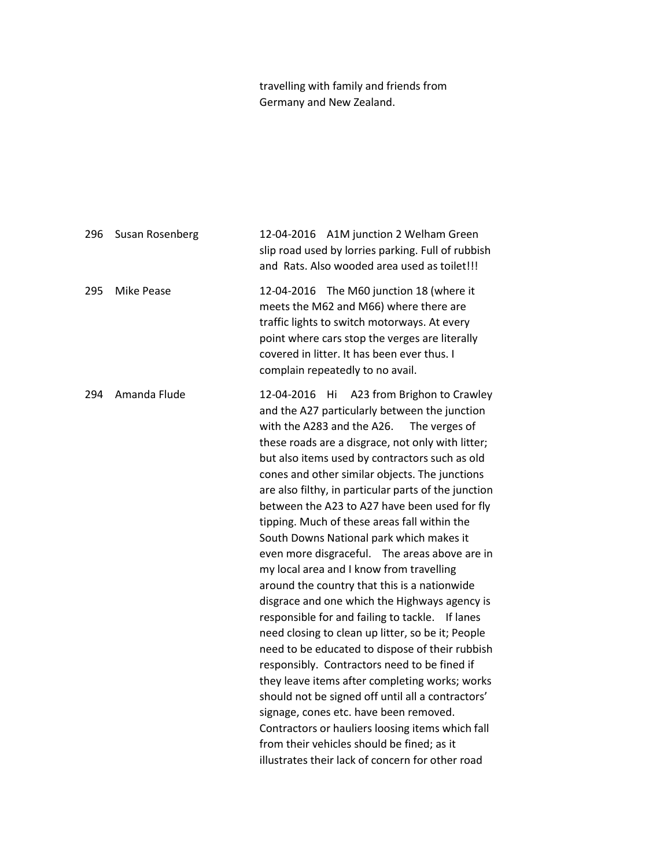travelling with family and friends from Germany and New Zealand.

296 Susan Rosenberg 12-04-2016 A1M junction 2 Welham Green slip road used by lorries parking. Full of rubbish and Rats. Also wooded area used as toilet!!! 295 Mike Pease 12-04-2016 The M60 junction 18 (where it meets the M62 and M66) where there are traffic lights to switch motorways. At every point where cars stop the verges are literally covered in litter. It has been ever thus. I complain repeatedly to no avail. 294 Amanda Flude 12-04-2016 Hi A23 from Brighon to Crawley and the A27 particularly between the junction with the A283 and the A26. The verges of these roads are a disgrace, not only with litter; but also items used by contractors such as old cones and other similar objects. The junctions are also filthy, in particular parts of the junction between the A23 to A27 have been used for fly tipping. Much of these areas fall within the South Downs National park which makes it even more disgraceful. The areas above are in my local area and I know from travelling around the country that this is a nationwide disgrace and one which the Highways agency is responsible for and failing to tackle. If lanes need closing to clean up litter, so be it; People need to be educated to dispose of their rubbish responsibly. Contractors need to be fined if they leave items after completing works; works should not be signed off until all a contractors' signage, cones etc. have been removed. Contractors or hauliers loosing items which fall from their vehicles should be fined; as it illustrates their lack of concern for other road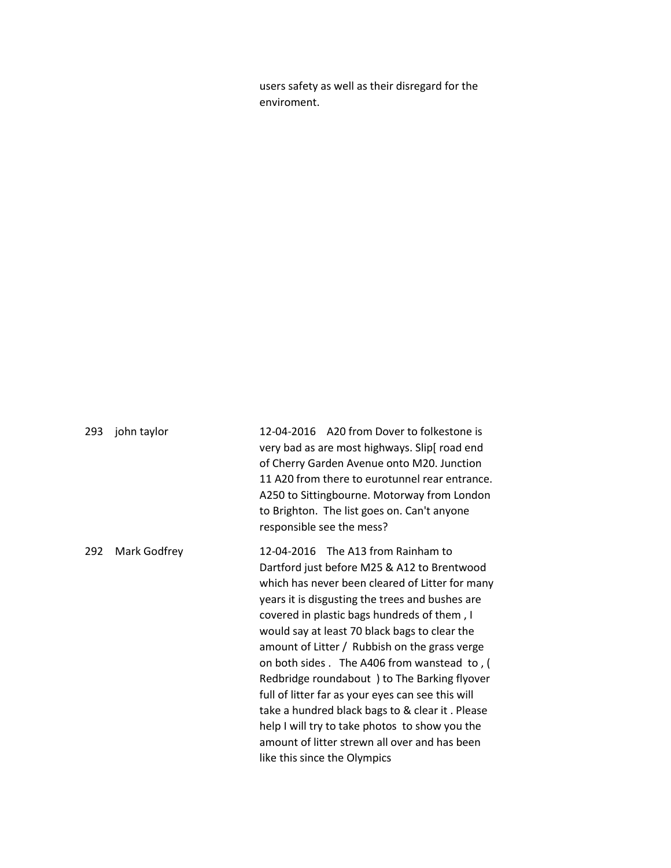users safety as well as their disregard for the enviroment.

293 john taylor 12-04-2016 A20 from Dover to folkestone is very bad as are most highways. Slip[ road end of Cherry Garden Avenue onto M20. Junction 11 A20 from there to eurotunnel rear entrance. A250 to Sittingbourne. Motorway from London to Brighton. The list goes on. Can't anyone responsible see the mess? 292 Mark Godfrey 12-04-2016 The A13 from Rainham to Dartford just before M25 & A12 to Brentwood which has never been cleared of Litter for many years it is disgusting the trees and bushes are covered in plastic bags hundreds of them , I would say at least 70 black bags to clear the amount of Litter / Rubbish on the grass verge on both sides . The A406 from wanstead to , ( Redbridge roundabout ) to The Barking flyover full of litter far as your eyes can see this will take a hundred black bags to & clear it . Please help I will try to take photos to show you the amount of litter strewn all over and has been like this since the Olympics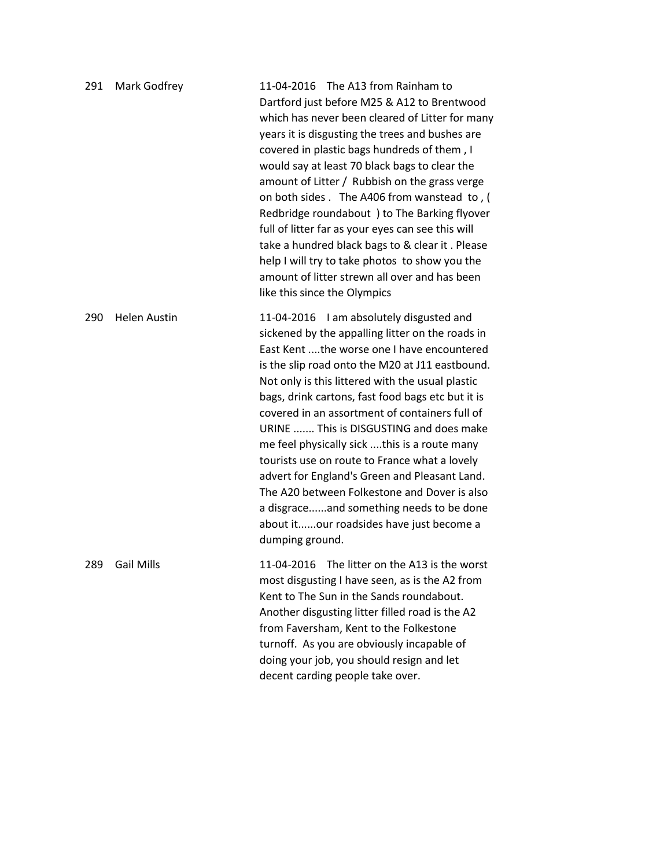| 291 | Mark Godfrey        | 11-04-2016 The A13 from Rainham to<br>Dartford just before M25 & A12 to Brentwood<br>which has never been cleared of Litter for many<br>years it is disgusting the trees and bushes are<br>covered in plastic bags hundreds of them, I<br>would say at least 70 black bags to clear the<br>amount of Litter / Rubbish on the grass verge<br>on both sides . The A406 from wanstead to, (<br>Redbridge roundabout ) to The Barking flyover<br>full of litter far as your eyes can see this will<br>take a hundred black bags to & clear it. Please<br>help I will try to take photos to show you the<br>amount of litter strewn all over and has been<br>like this since the Olympics                             |
|-----|---------------------|------------------------------------------------------------------------------------------------------------------------------------------------------------------------------------------------------------------------------------------------------------------------------------------------------------------------------------------------------------------------------------------------------------------------------------------------------------------------------------------------------------------------------------------------------------------------------------------------------------------------------------------------------------------------------------------------------------------|
| 290 | <b>Helen Austin</b> | 11-04-2016 I am absolutely disgusted and<br>sickened by the appalling litter on the roads in<br>East Kent the worse one I have encountered<br>is the slip road onto the M20 at J11 eastbound.<br>Not only is this littered with the usual plastic<br>bags, drink cartons, fast food bags etc but it is<br>covered in an assortment of containers full of<br>URINE  This is DISGUSTING and does make<br>me feel physically sick this is a route many<br>tourists use on route to France what a lovely<br>advert for England's Green and Pleasant Land.<br>The A20 between Folkestone and Dover is also<br>a disgraceand something needs to be done<br>about itour roadsides have just become a<br>dumping ground. |
| 289 | <b>Gail Mills</b>   | 11-04-2016 The litter on the A13 is the worst<br>most disgusting I have seen, as is the A2 from<br>Kent to The Sun in the Sands roundabout.<br>Another disgusting litter filled road is the A2<br>from Faversham, Kent to the Folkestone<br>turnoff. As you are obviously incapable of<br>doing your job, you should resign and let<br>decent carding people take over.                                                                                                                                                                                                                                                                                                                                          |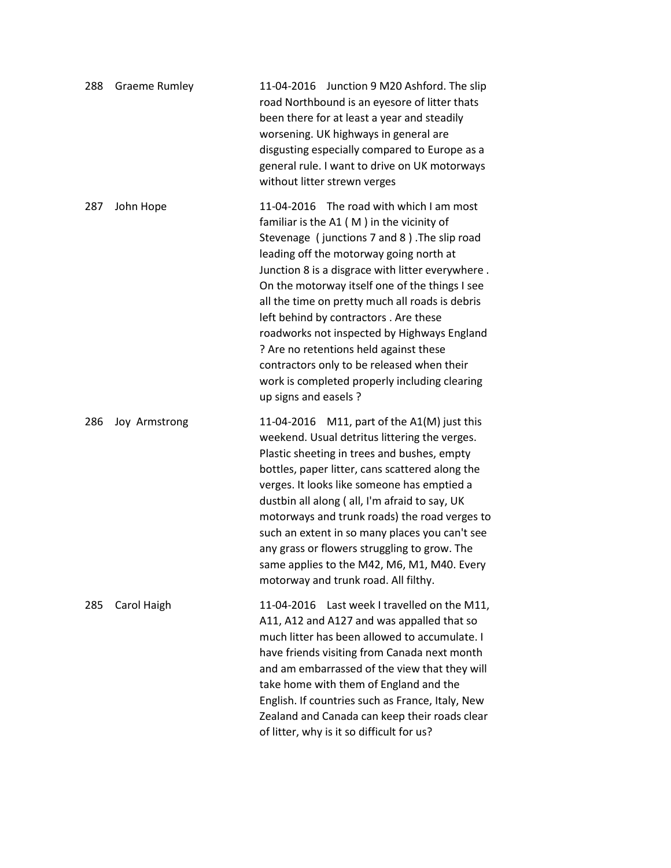| 288 | <b>Graeme Rumley</b> | 11-04-2016 Junction 9 M20 Ashford. The slip<br>road Northbound is an eyesore of litter thats<br>been there for at least a year and steadily<br>worsening. UK highways in general are<br>disgusting especially compared to Europe as a<br>general rule. I want to drive on UK motorways<br>without litter strewn verges                                                                                                                                                                                                                                                                               |
|-----|----------------------|------------------------------------------------------------------------------------------------------------------------------------------------------------------------------------------------------------------------------------------------------------------------------------------------------------------------------------------------------------------------------------------------------------------------------------------------------------------------------------------------------------------------------------------------------------------------------------------------------|
| 287 | John Hope            | 11-04-2016 The road with which I am most<br>familiar is the A1 (M) in the vicinity of<br>Stevenage (junctions 7 and 8). The slip road<br>leading off the motorway going north at<br>Junction 8 is a disgrace with litter everywhere.<br>On the motorway itself one of the things I see<br>all the time on pretty much all roads is debris<br>left behind by contractors . Are these<br>roadworks not inspected by Highways England<br>? Are no retentions held against these<br>contractors only to be released when their<br>work is completed properly including clearing<br>up signs and easels ? |
| 286 | Joy Armstrong        | M11, part of the A1(M) just this<br>11-04-2016<br>weekend. Usual detritus littering the verges.<br>Plastic sheeting in trees and bushes, empty<br>bottles, paper litter, cans scattered along the<br>verges. It looks like someone has emptied a<br>dustbin all along (all, I'm afraid to say, UK<br>motorways and trunk roads) the road verges to<br>such an extent in so many places you can't see<br>any grass or flowers struggling to grow. The<br>same applies to the M42, M6, M1, M40. Every<br>motorway and trunk road. All filthy.                                                          |
| 285 | Carol Haigh          | Last week I travelled on the M11,<br>11-04-2016<br>A11, A12 and A127 and was appalled that so<br>much litter has been allowed to accumulate. I<br>have friends visiting from Canada next month<br>and am embarrassed of the view that they will<br>take home with them of England and the<br>English. If countries such as France, Italy, New<br>Zealand and Canada can keep their roads clear<br>of litter, why is it so difficult for us?                                                                                                                                                          |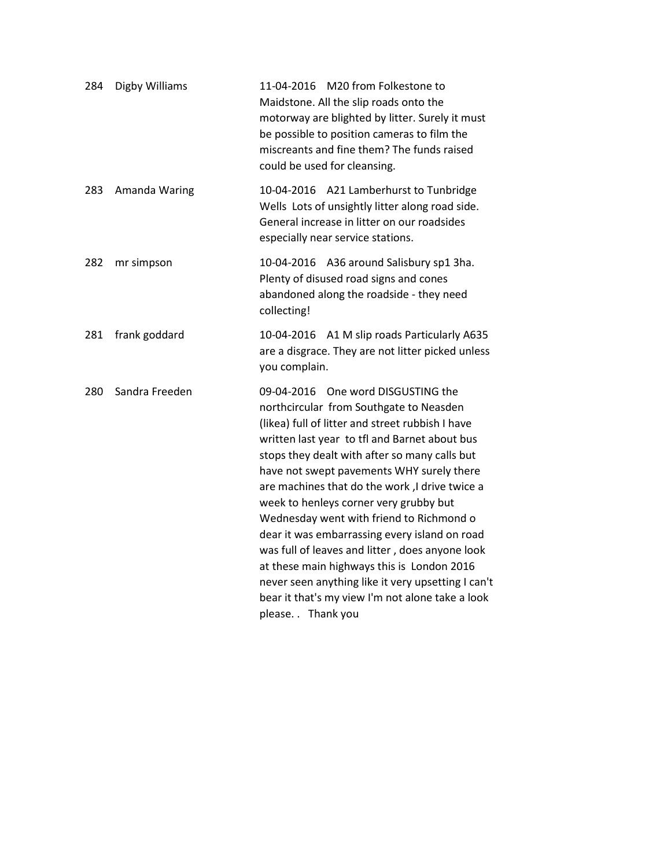| 284 | Digby Williams | 11-04-2016 M20 from Folkestone to<br>Maidstone. All the slip roads onto the<br>motorway are blighted by litter. Surely it must<br>be possible to position cameras to film the<br>miscreants and fine them? The funds raised<br>could be used for cleansing.                                                                                                                                                                                                                                                                                                                                                                                                                                               |
|-----|----------------|-----------------------------------------------------------------------------------------------------------------------------------------------------------------------------------------------------------------------------------------------------------------------------------------------------------------------------------------------------------------------------------------------------------------------------------------------------------------------------------------------------------------------------------------------------------------------------------------------------------------------------------------------------------------------------------------------------------|
| 283 | Amanda Waring  | 10-04-2016 A21 Lamberhurst to Tunbridge<br>Wells Lots of unsightly litter along road side.<br>General increase in litter on our roadsides<br>especially near service stations.                                                                                                                                                                                                                                                                                                                                                                                                                                                                                                                            |
| 282 | mr simpson     | 10-04-2016 A36 around Salisbury sp1 3ha.<br>Plenty of disused road signs and cones<br>abandoned along the roadside - they need<br>collecting!                                                                                                                                                                                                                                                                                                                                                                                                                                                                                                                                                             |
| 281 | frank goddard  | 10-04-2016 A1 M slip roads Particularly A635<br>are a disgrace. They are not litter picked unless<br>you complain.                                                                                                                                                                                                                                                                                                                                                                                                                                                                                                                                                                                        |
| 280 | Sandra Freeden | 09-04-2016 One word DISGUSTING the<br>northcircular from Southgate to Neasden<br>(likea) full of litter and street rubbish I have<br>written last year to tfl and Barnet about bus<br>stops they dealt with after so many calls but<br>have not swept pavements WHY surely there<br>are machines that do the work, I drive twice a<br>week to henleys corner very grubby but<br>Wednesday went with friend to Richmond o<br>dear it was embarrassing every island on road<br>was full of leaves and litter, does anyone look<br>at these main highways this is London 2016<br>never seen anything like it very upsetting I can't<br>bear it that's my view I'm not alone take a look<br>please. Thank you |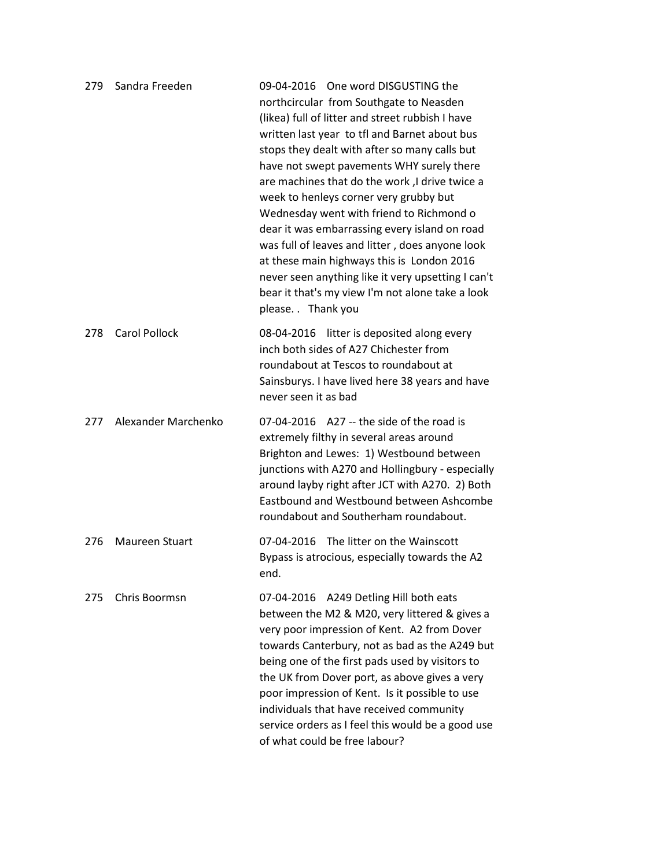| 279 | Sandra Freeden       | 09-04-2016 One word DISGUSTING the<br>northcircular from Southgate to Neasden<br>(likea) full of litter and street rubbish I have<br>written last year to tfl and Barnet about bus<br>stops they dealt with after so many calls but<br>have not swept pavements WHY surely there<br>are machines that do the work, I drive twice a<br>week to henleys corner very grubby but<br>Wednesday went with friend to Richmond o<br>dear it was embarrassing every island on road<br>was full of leaves and litter, does anyone look<br>at these main highways this is London 2016<br>never seen anything like it very upsetting I can't<br>bear it that's my view I'm not alone take a look<br>please. Thank you |
|-----|----------------------|-----------------------------------------------------------------------------------------------------------------------------------------------------------------------------------------------------------------------------------------------------------------------------------------------------------------------------------------------------------------------------------------------------------------------------------------------------------------------------------------------------------------------------------------------------------------------------------------------------------------------------------------------------------------------------------------------------------|
| 278 | <b>Carol Pollock</b> | 08-04-2016 litter is deposited along every<br>inch both sides of A27 Chichester from<br>roundabout at Tescos to roundabout at<br>Sainsburys. I have lived here 38 years and have<br>never seen it as bad                                                                                                                                                                                                                                                                                                                                                                                                                                                                                                  |
| 277 | Alexander Marchenko  | $07-04-2016$ $A27 -$ the side of the road is<br>extremely filthy in several areas around<br>Brighton and Lewes: 1) Westbound between<br>junctions with A270 and Hollingbury - especially<br>around layby right after JCT with A270. 2) Both<br>Eastbound and Westbound between Ashcombe<br>roundabout and Southerham roundabout.                                                                                                                                                                                                                                                                                                                                                                          |
| 276 | Maureen Stuart       | 07-04-2016 The litter on the Wainscott<br>Bypass is atrocious, especially towards the A2<br>end.                                                                                                                                                                                                                                                                                                                                                                                                                                                                                                                                                                                                          |
| 275 | Chris Boormsn        | 07-04-2016 A249 Detling Hill both eats<br>between the M2 & M20, very littered & gives a<br>very poor impression of Kent. A2 from Dover<br>towards Canterbury, not as bad as the A249 but<br>being one of the first pads used by visitors to<br>the UK from Dover port, as above gives a very<br>poor impression of Kent. Is it possible to use<br>individuals that have received community<br>service orders as I feel this would be a good use<br>of what could be free labour?                                                                                                                                                                                                                          |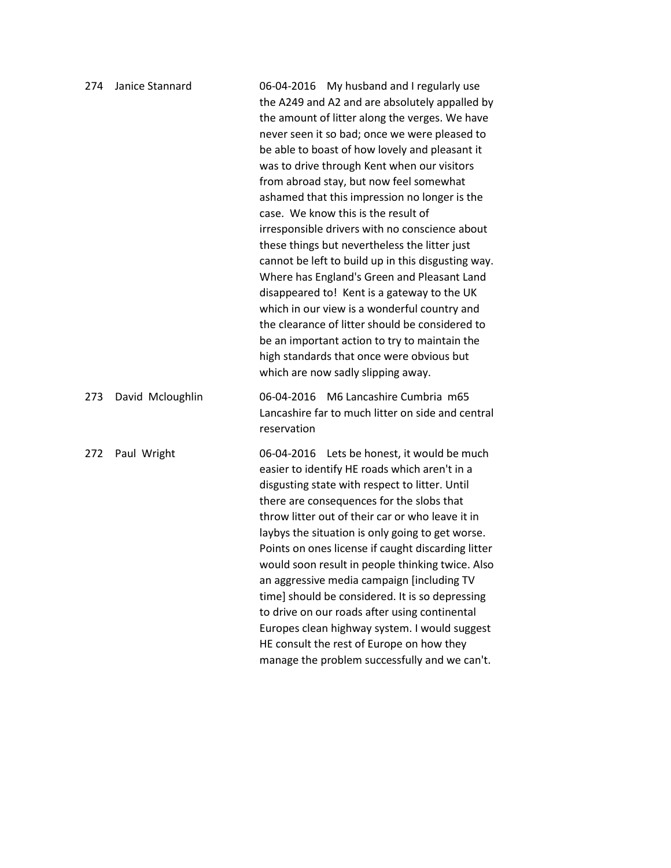| 274 | Janice Stannard  | 06-04-2016 My husband and I regularly use<br>the A249 and A2 and are absolutely appalled by<br>the amount of litter along the verges. We have<br>never seen it so bad; once we were pleased to<br>be able to boast of how lovely and pleasant it<br>was to drive through Kent when our visitors<br>from abroad stay, but now feel somewhat<br>ashamed that this impression no longer is the<br>case. We know this is the result of<br>irresponsible drivers with no conscience about<br>these things but nevertheless the litter just<br>cannot be left to build up in this disgusting way.<br>Where has England's Green and Pleasant Land<br>disappeared to! Kent is a gateway to the UK<br>which in our view is a wonderful country and<br>the clearance of litter should be considered to<br>be an important action to try to maintain the<br>high standards that once were obvious but<br>which are now sadly slipping away. |
|-----|------------------|----------------------------------------------------------------------------------------------------------------------------------------------------------------------------------------------------------------------------------------------------------------------------------------------------------------------------------------------------------------------------------------------------------------------------------------------------------------------------------------------------------------------------------------------------------------------------------------------------------------------------------------------------------------------------------------------------------------------------------------------------------------------------------------------------------------------------------------------------------------------------------------------------------------------------------|
| 273 | David Mcloughlin | 06-04-2016 M6 Lancashire Cumbria m65<br>Lancashire far to much litter on side and central<br>reservation                                                                                                                                                                                                                                                                                                                                                                                                                                                                                                                                                                                                                                                                                                                                                                                                                         |
| 272 | Paul Wright      | 06-04-2016 Lets be honest, it would be much<br>easier to identify HE roads which aren't in a<br>disgusting state with respect to litter. Until<br>there are consequences for the slobs that<br>throw litter out of their car or who leave it in<br>laybys the situation is only going to get worse.<br>Points on ones license if caught discarding litter<br>would soon result in people thinking twice. Also<br>an aggressive media campaign [including TV<br>time] should be considered. It is so depressing<br>to drive on our roads after using continental<br>Europes clean highway system. I would suggest<br>HE consult the rest of Europe on how they<br>manage the problem successfully and we can't.                                                                                                                                                                                                                   |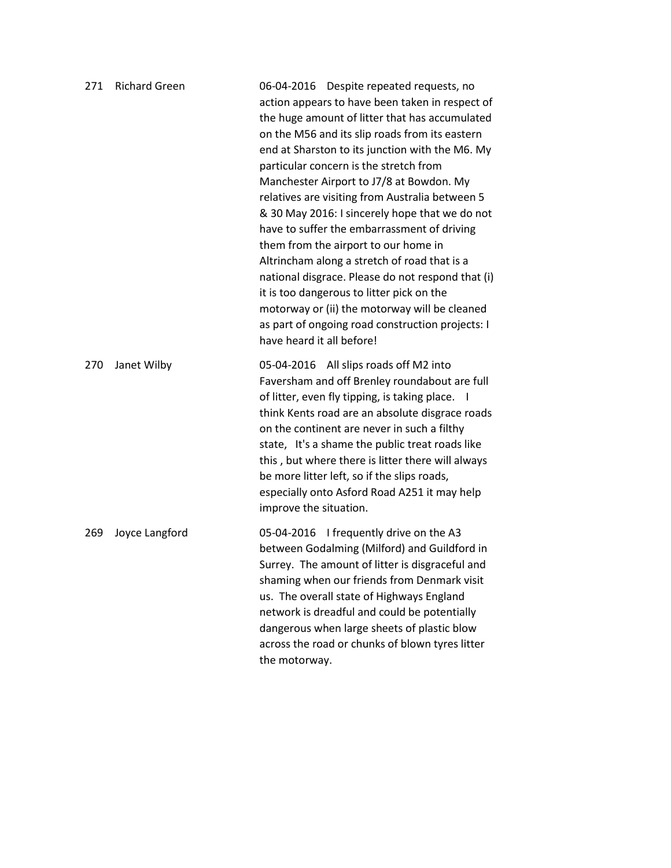| 271 | <b>Richard Green</b> | 06-04-2016 Despite repeated requests, no<br>action appears to have been taken in respect of<br>the huge amount of litter that has accumulated<br>on the M56 and its slip roads from its eastern<br>end at Sharston to its junction with the M6. My<br>particular concern is the stretch from<br>Manchester Airport to J7/8 at Bowdon. My<br>relatives are visiting from Australia between 5<br>& 30 May 2016: I sincerely hope that we do not<br>have to suffer the embarrassment of driving<br>them from the airport to our home in<br>Altrincham along a stretch of road that is a<br>national disgrace. Please do not respond that (i)<br>it is too dangerous to litter pick on the<br>motorway or (ii) the motorway will be cleaned<br>as part of ongoing road construction projects: I<br>have heard it all before! |
|-----|----------------------|--------------------------------------------------------------------------------------------------------------------------------------------------------------------------------------------------------------------------------------------------------------------------------------------------------------------------------------------------------------------------------------------------------------------------------------------------------------------------------------------------------------------------------------------------------------------------------------------------------------------------------------------------------------------------------------------------------------------------------------------------------------------------------------------------------------------------|
| 270 | Janet Wilby          | 05-04-2016 All slips roads off M2 into<br>Faversham and off Brenley roundabout are full<br>of litter, even fly tipping, is taking place.<br>think Kents road are an absolute disgrace roads<br>on the continent are never in such a filthy<br>state, It's a shame the public treat roads like<br>this, but where there is litter there will always<br>be more litter left, so if the slips roads,<br>especially onto Asford Road A251 it may help<br>improve the situation.                                                                                                                                                                                                                                                                                                                                              |
| 269 | Joyce Langford       | 05-04-2016 I frequently drive on the A3<br>between Godalming (Milford) and Guildford in<br>Surrey. The amount of litter is disgraceful and<br>shaming when our friends from Denmark visit<br>us. The overall state of Highways England<br>network is dreadful and could be potentially<br>dangerous when large sheets of plastic blow<br>across the road or chunks of blown tyres litter<br>the motorway.                                                                                                                                                                                                                                                                                                                                                                                                                |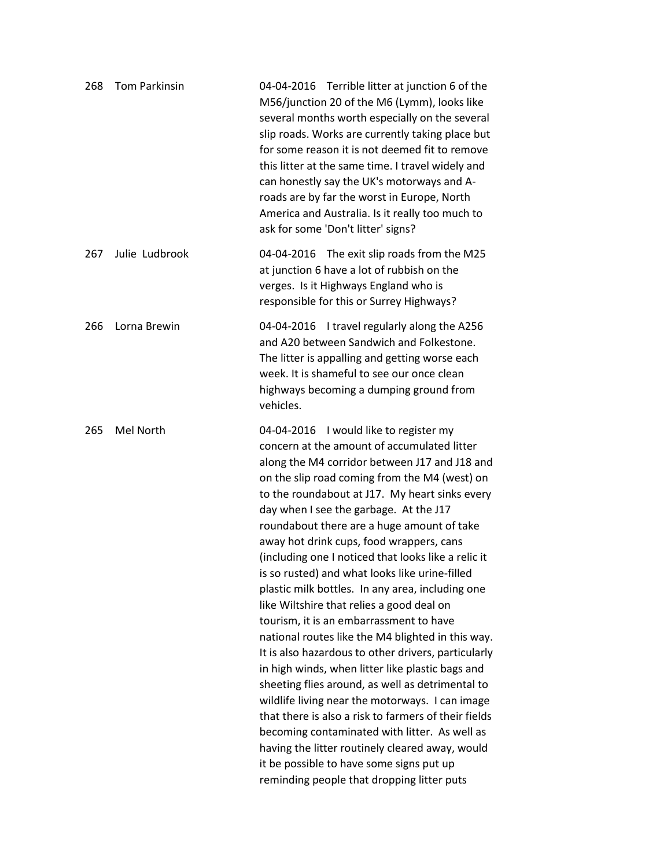| 268 | <b>Tom Parkinsin</b> | 04-04-2016 Terrible litter at junction 6 of the<br>M56/junction 20 of the M6 (Lymm), looks like<br>several months worth especially on the several<br>slip roads. Works are currently taking place but<br>for some reason it is not deemed fit to remove<br>this litter at the same time. I travel widely and<br>can honestly say the UK's motorways and A-<br>roads are by far the worst in Europe, North<br>America and Australia. Is it really too much to<br>ask for some 'Don't litter' signs?                                                                                                                                                                                                                                                                                                                                                                                                                                                                                                                                                                                                                                                                 |
|-----|----------------------|--------------------------------------------------------------------------------------------------------------------------------------------------------------------------------------------------------------------------------------------------------------------------------------------------------------------------------------------------------------------------------------------------------------------------------------------------------------------------------------------------------------------------------------------------------------------------------------------------------------------------------------------------------------------------------------------------------------------------------------------------------------------------------------------------------------------------------------------------------------------------------------------------------------------------------------------------------------------------------------------------------------------------------------------------------------------------------------------------------------------------------------------------------------------|
| 267 | Julie Ludbrook       | 04-04-2016 The exit slip roads from the M25<br>at junction 6 have a lot of rubbish on the<br>verges. Is it Highways England who is<br>responsible for this or Surrey Highways?                                                                                                                                                                                                                                                                                                                                                                                                                                                                                                                                                                                                                                                                                                                                                                                                                                                                                                                                                                                     |
| 266 | Lorna Brewin         | 04-04-2016 I travel regularly along the A256<br>and A20 between Sandwich and Folkestone.<br>The litter is appalling and getting worse each<br>week. It is shameful to see our once clean<br>highways becoming a dumping ground from<br>vehicles.                                                                                                                                                                                                                                                                                                                                                                                                                                                                                                                                                                                                                                                                                                                                                                                                                                                                                                                   |
| 265 | Mel North            | I would like to register my<br>04-04-2016<br>concern at the amount of accumulated litter<br>along the M4 corridor between J17 and J18 and<br>on the slip road coming from the M4 (west) on<br>to the roundabout at J17. My heart sinks every<br>day when I see the garbage. At the J17<br>roundabout there are a huge amount of take<br>away hot drink cups, food wrappers, cans<br>(including one I noticed that looks like a relic it<br>is so rusted) and what looks like urine-filled<br>plastic milk bottles. In any area, including one<br>like Wiltshire that relies a good deal on<br>tourism, it is an embarrassment to have<br>national routes like the M4 blighted in this way.<br>It is also hazardous to other drivers, particularly<br>in high winds, when litter like plastic bags and<br>sheeting flies around, as well as detrimental to<br>wildlife living near the motorways. I can image<br>that there is also a risk to farmers of their fields<br>becoming contaminated with litter. As well as<br>having the litter routinely cleared away, would<br>it be possible to have some signs put up<br>reminding people that dropping litter puts |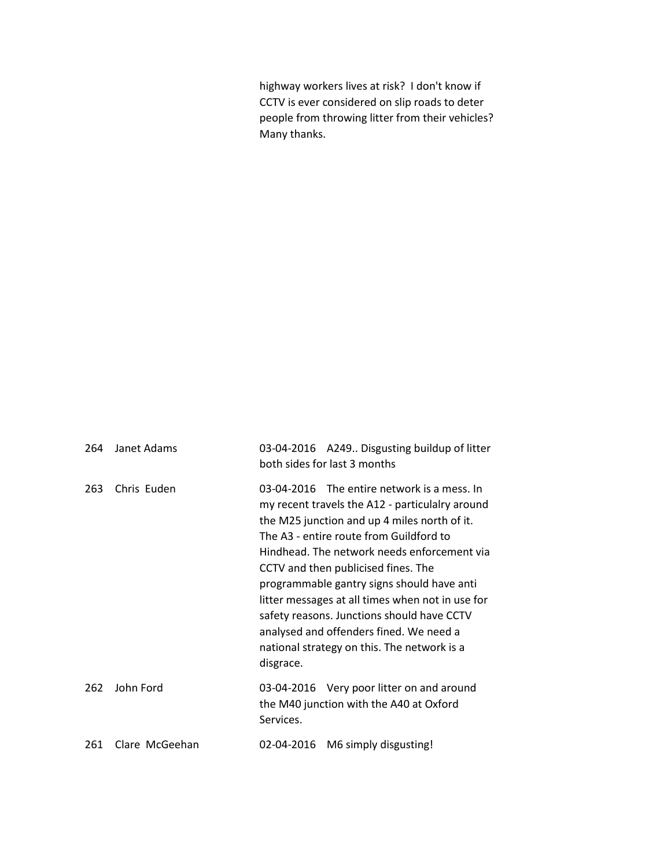highway workers lives at risk? I don't know if CCTV is ever considered on slip roads to deter people from throwing litter from their vehicles? Many thanks.

| 264 | Janet Adams    | 03-04-2016 A249 Disgusting buildup of litter<br>both sides for last 3 months                                                                                                                                                                                                                                                                                                                                                                                                                                                           |
|-----|----------------|----------------------------------------------------------------------------------------------------------------------------------------------------------------------------------------------------------------------------------------------------------------------------------------------------------------------------------------------------------------------------------------------------------------------------------------------------------------------------------------------------------------------------------------|
| 263 | Chris Euden    | 03-04-2016 The entire network is a mess. In<br>my recent travels the A12 - particulalry around<br>the M25 junction and up 4 miles north of it.<br>The A3 - entire route from Guildford to<br>Hindhead. The network needs enforcement via<br>CCTV and then publicised fines. The<br>programmable gantry signs should have anti<br>litter messages at all times when not in use for<br>safety reasons. Junctions should have CCTV<br>analysed and offenders fined. We need a<br>national strategy on this. The network is a<br>disgrace. |
| 262 | John Ford      | 03-04-2016 Very poor litter on and around<br>the M40 junction with the A40 at Oxford<br>Services.                                                                                                                                                                                                                                                                                                                                                                                                                                      |
| 261 | Clare McGeehan | M6 simply disgusting!<br>02-04-2016                                                                                                                                                                                                                                                                                                                                                                                                                                                                                                    |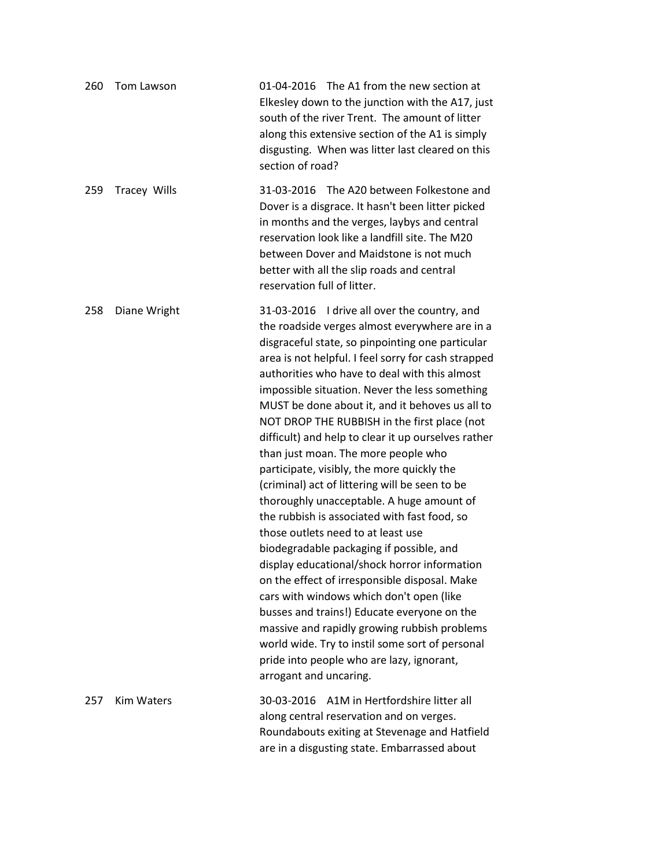| 260 | Tom Lawson          | 01-04-2016 The A1 from the new section at<br>Elkesley down to the junction with the A17, just<br>south of the river Trent. The amount of litter<br>along this extensive section of the A1 is simply<br>disgusting. When was litter last cleared on this<br>section of road?                                                                                                                                                                                                                                                                                                                                                                                                                                                                                                                                                                                                                                                                                                                                                                                                                                                                                        |
|-----|---------------------|--------------------------------------------------------------------------------------------------------------------------------------------------------------------------------------------------------------------------------------------------------------------------------------------------------------------------------------------------------------------------------------------------------------------------------------------------------------------------------------------------------------------------------------------------------------------------------------------------------------------------------------------------------------------------------------------------------------------------------------------------------------------------------------------------------------------------------------------------------------------------------------------------------------------------------------------------------------------------------------------------------------------------------------------------------------------------------------------------------------------------------------------------------------------|
| 259 | <b>Tracey Wills</b> | 31-03-2016 The A20 between Folkestone and<br>Dover is a disgrace. It hasn't been litter picked<br>in months and the verges, laybys and central<br>reservation look like a landfill site. The M20<br>between Dover and Maidstone is not much<br>better with all the slip roads and central<br>reservation full of litter.                                                                                                                                                                                                                                                                                                                                                                                                                                                                                                                                                                                                                                                                                                                                                                                                                                           |
| 258 | Diane Wright        | 31-03-2016 I drive all over the country, and<br>the roadside verges almost everywhere are in a<br>disgraceful state, so pinpointing one particular<br>area is not helpful. I feel sorry for cash strapped<br>authorities who have to deal with this almost<br>impossible situation. Never the less something<br>MUST be done about it, and it behoves us all to<br>NOT DROP THE RUBBISH in the first place (not<br>difficult) and help to clear it up ourselves rather<br>than just moan. The more people who<br>participate, visibly, the more quickly the<br>(criminal) act of littering will be seen to be<br>thoroughly unacceptable. A huge amount of<br>the rubbish is associated with fast food, so<br>those outlets need to at least use<br>biodegradable packaging if possible, and<br>display educational/shock horror information<br>on the effect of irresponsible disposal. Make<br>cars with windows which don't open (like<br>busses and trains!) Educate everyone on the<br>massive and rapidly growing rubbish problems<br>world wide. Try to instil some sort of personal<br>pride into people who are lazy, ignorant,<br>arrogant and uncaring. |
| 257 | Kim Waters          | A1M in Hertfordshire litter all<br>30-03-2016<br>along central reservation and on verges.<br>Roundabouts exiting at Stevenage and Hatfield<br>are in a disgusting state. Embarrassed about                                                                                                                                                                                                                                                                                                                                                                                                                                                                                                                                                                                                                                                                                                                                                                                                                                                                                                                                                                         |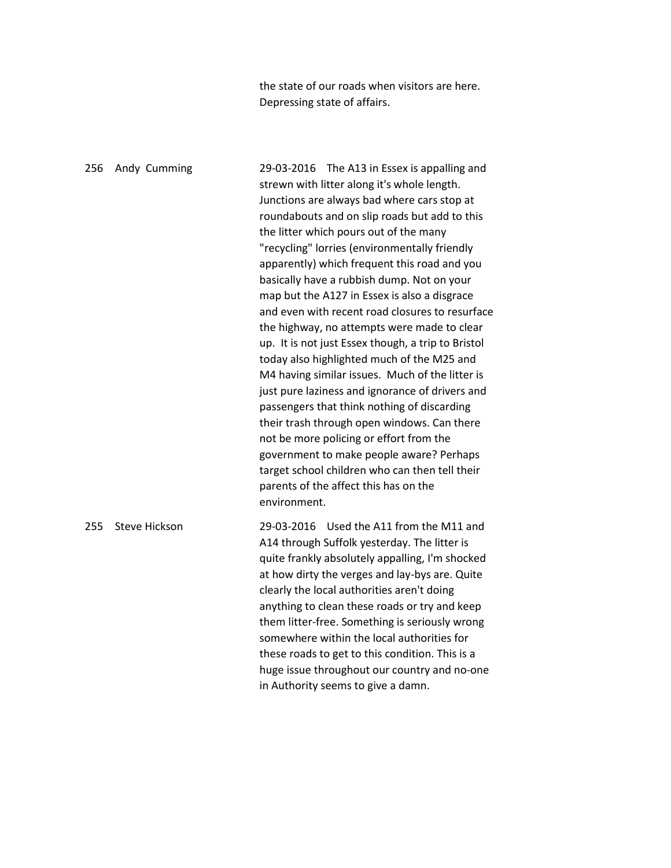the state of our roads when visitors are here. Depressing state of affairs.

256 Andy Cumming 29-03-2016 The A13 in Essex is appalling and strewn with litter along it's whole length. Junctions are always bad where cars stop at roundabouts and on slip roads but add to this the litter which pours out of the many "recycling" lorries (environmentally friendly apparently) which frequent this road and you basically have a rubbish dump. Not on your map but the A127 in Essex is also a disgrace and even with recent road closures to resurface the highway, no attempts were made to clear up. It is not just Essex though, a trip to Bristol today also highlighted much of the M25 and M4 having similar issues. Much of the litter is just pure laziness and ignorance of drivers and passengers that think nothing of discarding their trash through open windows. Can there not be more policing or effort from the government to make people aware? Perhaps target school children who can then tell their parents of the affect this has on the environment. 255 Steve Hickson 29-03-2016 Used the A11 from the M11 and A14 through Suffolk yesterday. The litter is quite frankly absolutely appalling, I'm shocked at how dirty the verges and lay-bys are. Quite clearly the local authorities aren't doing anything to clean these roads or try and keep them litter-free. Something is seriously wrong somewhere within the local authorities for these roads to get to this condition. This is a huge issue throughout our country and no-one in Authority seems to give a damn.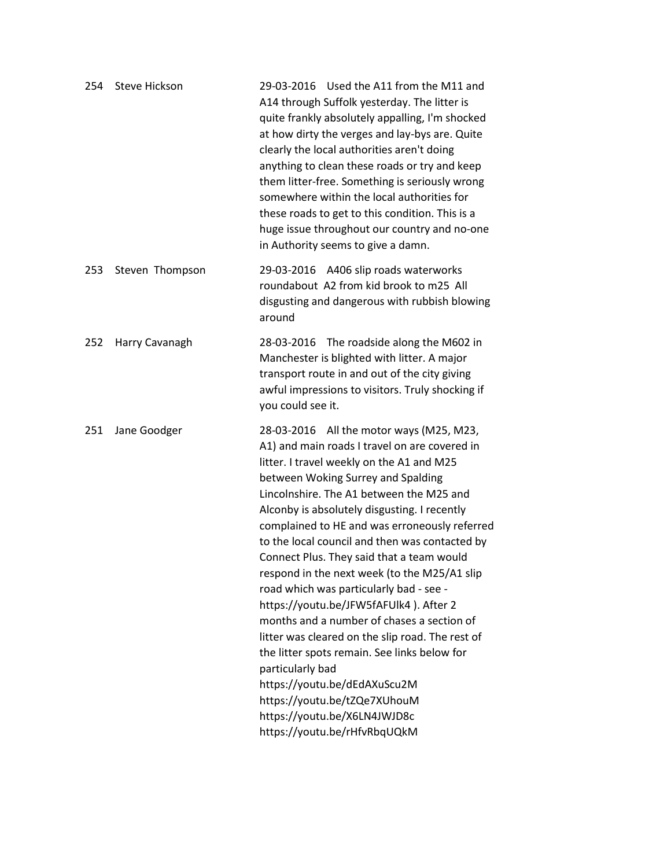| 254 | <b>Steve Hickson</b> | 29-03-2016 Used the A11 from the M11 and<br>A14 through Suffolk yesterday. The litter is<br>quite frankly absolutely appalling, I'm shocked<br>at how dirty the verges and lay-bys are. Quite<br>clearly the local authorities aren't doing<br>anything to clean these roads or try and keep<br>them litter-free. Something is seriously wrong<br>somewhere within the local authorities for<br>these roads to get to this condition. This is a<br>huge issue throughout our country and no-one<br>in Authority seems to give a damn.                                                                                                                                                                                                                                                                                                                               |
|-----|----------------------|---------------------------------------------------------------------------------------------------------------------------------------------------------------------------------------------------------------------------------------------------------------------------------------------------------------------------------------------------------------------------------------------------------------------------------------------------------------------------------------------------------------------------------------------------------------------------------------------------------------------------------------------------------------------------------------------------------------------------------------------------------------------------------------------------------------------------------------------------------------------|
| 253 | Steven Thompson      | 29-03-2016 A406 slip roads waterworks<br>roundabout A2 from kid brook to m25 All<br>disgusting and dangerous with rubbish blowing<br>around                                                                                                                                                                                                                                                                                                                                                                                                                                                                                                                                                                                                                                                                                                                         |
| 252 | Harry Cavanagh       | 28-03-2016 The roadside along the M602 in<br>Manchester is blighted with litter. A major<br>transport route in and out of the city giving<br>awful impressions to visitors. Truly shocking if<br>you could see it.                                                                                                                                                                                                                                                                                                                                                                                                                                                                                                                                                                                                                                                  |
| 251 | Jane Goodger         | 28-03-2016 All the motor ways (M25, M23,<br>A1) and main roads I travel on are covered in<br>litter. I travel weekly on the A1 and M25<br>between Woking Surrey and Spalding<br>Lincolnshire. The A1 between the M25 and<br>Alconby is absolutely disgusting. I recently<br>complained to HE and was erroneously referred<br>to the local council and then was contacted by<br>Connect Plus. They said that a team would<br>respond in the next week (to the M25/A1 slip<br>road which was particularly bad - see -<br>https://youtu.be/JFW5fAFUlk4). After 2<br>months and a number of chases a section of<br>litter was cleared on the slip road. The rest of<br>the litter spots remain. See links below for<br>particularly bad<br>https://youtu.be/dEdAXuScu2M<br>https://youtu.be/tZQe7XUhouM<br>https://youtu.be/X6LN4JWJD8c<br>https://youtu.be/rHfvRbqUQkM |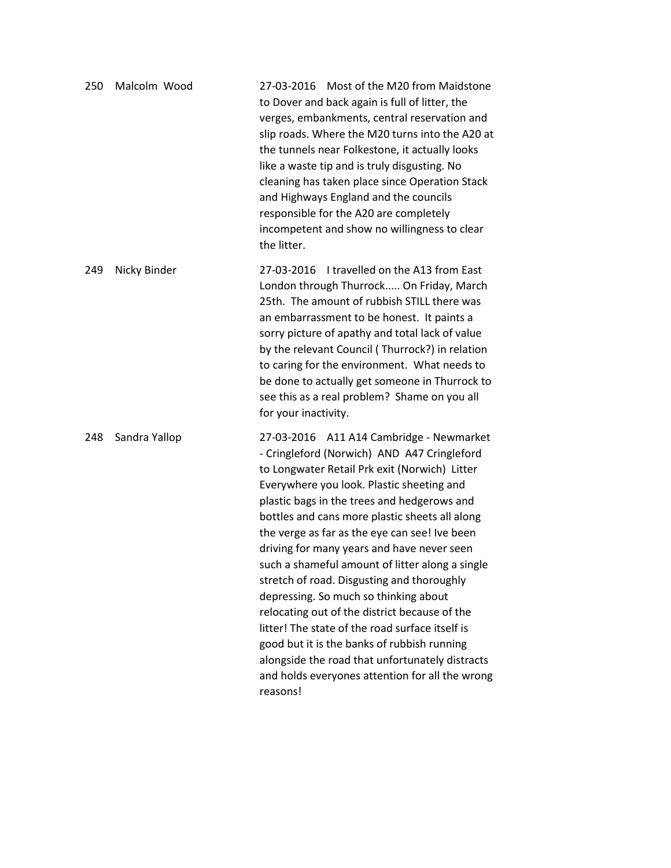| 250 | Malcolm Wood  | 27-03-2016 Most of the M20 from Maidstone<br>to Dover and back again is full of litter, the<br>verges, embankments, central reservation and<br>slip roads. Where the M20 turns into the A20 at<br>the tunnels near Folkestone, it actually looks<br>like a waste tip and is truly disgusting. No<br>cleaning has taken place since Operation Stack<br>and Highways England and the councils<br>responsible for the A20 are completely<br>incompetent and show no willingness to clear<br>the litter.                                                                                                                                                                                                                                                                                                 |
|-----|---------------|------------------------------------------------------------------------------------------------------------------------------------------------------------------------------------------------------------------------------------------------------------------------------------------------------------------------------------------------------------------------------------------------------------------------------------------------------------------------------------------------------------------------------------------------------------------------------------------------------------------------------------------------------------------------------------------------------------------------------------------------------------------------------------------------------|
| 249 | Nicky Binder  | 27-03-2016 I travelled on the A13 from East<br>London through Thurrock On Friday, March<br>25th. The amount of rubbish STILL there was<br>an embarrassment to be honest. It paints a<br>sorry picture of apathy and total lack of value<br>by the relevant Council (Thurrock?) in relation<br>to caring for the environment. What needs to<br>be done to actually get someone in Thurrock to<br>see this as a real problem? Shame on you all<br>for your inactivity.                                                                                                                                                                                                                                                                                                                                 |
| 248 | Sandra Yallop | 27-03-2016 A11 A14 Cambridge - Newmarket<br>- Cringleford (Norwich) AND A47 Cringleford<br>to Longwater Retail Prk exit (Norwich) Litter<br>Everywhere you look. Plastic sheeting and<br>plastic bags in the trees and hedgerows and<br>bottles and cans more plastic sheets all along<br>the verge as far as the eye can see! Ive been<br>driving for many years and have never seen<br>such a shameful amount of litter along a single<br>stretch of road. Disgusting and thoroughly<br>depressing. So much so thinking about<br>relocating out of the district because of the<br>litter! The state of the road surface itself is<br>good but it is the banks of rubbish running<br>alongside the road that unfortunately distracts<br>and holds everyones attention for all the wrong<br>reasons! |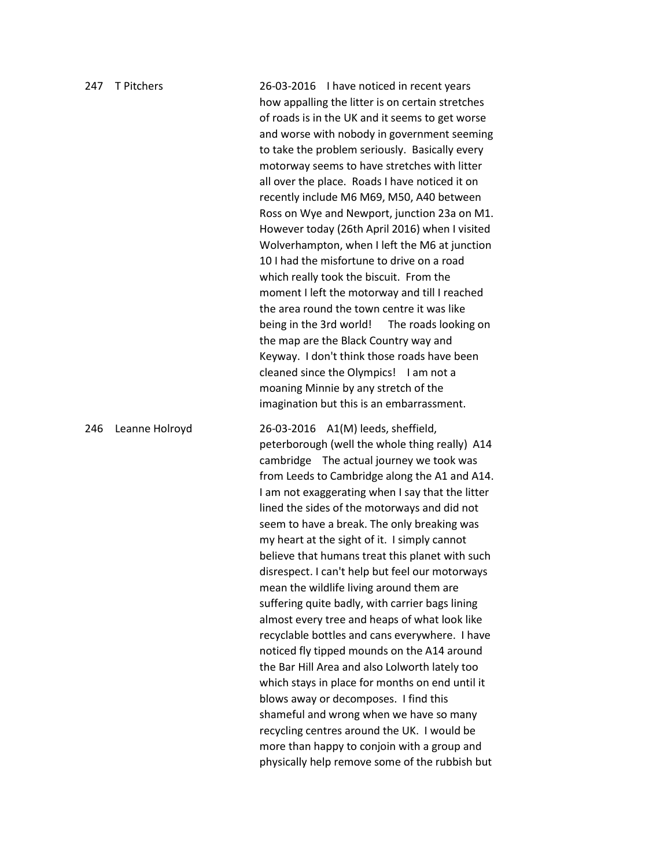| 247 | T Pitchers     | 26-03-2016 I have noticed in recent years<br>how appalling the litter is on certain stretches<br>of roads is in the UK and it seems to get worse<br>and worse with nobody in government seeming<br>to take the problem seriously. Basically every<br>motorway seems to have stretches with litter<br>all over the place. Roads I have noticed it on<br>recently include M6 M69, M50, A40 between<br>Ross on Wye and Newport, junction 23a on M1.<br>However today (26th April 2016) when I visited<br>Wolverhampton, when I left the M6 at junction<br>10 I had the misfortune to drive on a road<br>which really took the biscuit. From the<br>moment I left the motorway and till I reached<br>the area round the town centre it was like<br>being in the 3rd world! The roads looking on<br>the map are the Black Country way and<br>Keyway. I don't think those roads have been<br>cleaned since the Olympics! I am not a<br>moaning Minnie by any stretch of the<br>imagination but this is an embarrassment.                                                                   |
|-----|----------------|--------------------------------------------------------------------------------------------------------------------------------------------------------------------------------------------------------------------------------------------------------------------------------------------------------------------------------------------------------------------------------------------------------------------------------------------------------------------------------------------------------------------------------------------------------------------------------------------------------------------------------------------------------------------------------------------------------------------------------------------------------------------------------------------------------------------------------------------------------------------------------------------------------------------------------------------------------------------------------------------------------------------------------------------------------------------------------------|
| 246 | Leanne Holroyd | 26-03-2016 A1(M) leeds, sheffield,<br>peterborough (well the whole thing really) A14<br>cambridge The actual journey we took was<br>from Leeds to Cambridge along the A1 and A14.<br>I am not exaggerating when I say that the litter<br>lined the sides of the motorways and did not<br>seem to have a break. The only breaking was<br>my heart at the sight of it. I simply cannot<br>believe that humans treat this planet with such<br>disrespect. I can't help but feel our motorways<br>mean the wildlife living around them are<br>suffering quite badly, with carrier bags lining<br>almost every tree and heaps of what look like<br>recyclable bottles and cans everywhere. I have<br>noticed fly tipped mounds on the A14 around<br>the Bar Hill Area and also Lolworth lately too<br>which stays in place for months on end until it<br>blows away or decomposes. I find this<br>shameful and wrong when we have so many<br>recycling centres around the UK. I would be<br>more than happy to conjoin with a group and<br>physically help remove some of the rubbish but |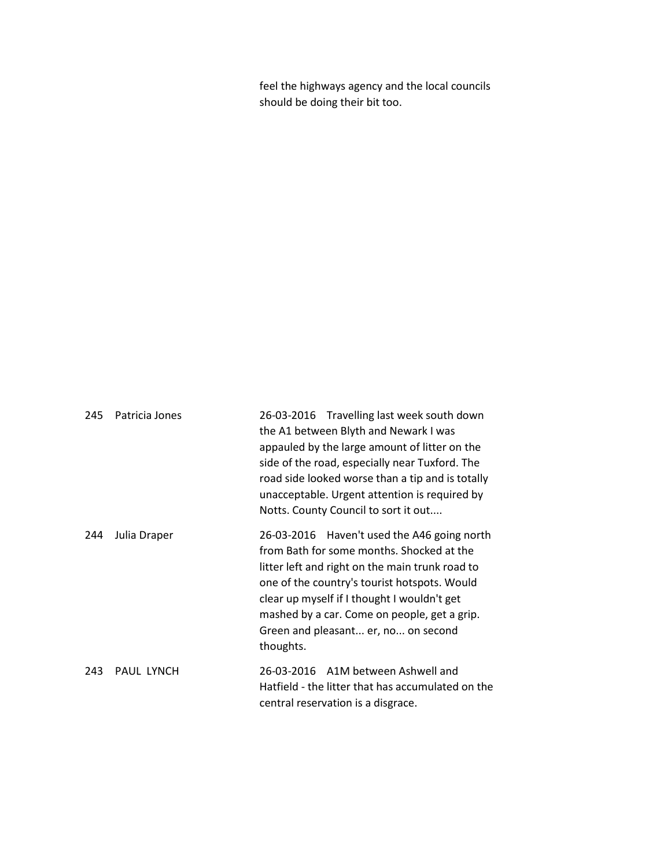feel the highways agency and the local councils should be doing their bit too.

| 245 | Patricia Jones    | 26-03-2016 Travelling last week south down<br>the A1 between Blyth and Newark I was<br>appauled by the large amount of litter on the<br>side of the road, especially near Tuxford. The<br>road side looked worse than a tip and is totally<br>unacceptable. Urgent attention is required by<br>Notts. County Council to sort it out            |
|-----|-------------------|------------------------------------------------------------------------------------------------------------------------------------------------------------------------------------------------------------------------------------------------------------------------------------------------------------------------------------------------|
| 244 | Julia Draper      | 26-03-2016 Haven't used the A46 going north<br>from Bath for some months. Shocked at the<br>litter left and right on the main trunk road to<br>one of the country's tourist hotspots. Would<br>clear up myself if I thought I wouldn't get<br>mashed by a car. Come on people, get a grip.<br>Green and pleasant er, no on second<br>thoughts. |
| 243 | <b>PAUL LYNCH</b> | 26-03-2016 A1M between Ashwell and<br>Hatfield - the litter that has accumulated on the<br>central reservation is a disgrace.                                                                                                                                                                                                                  |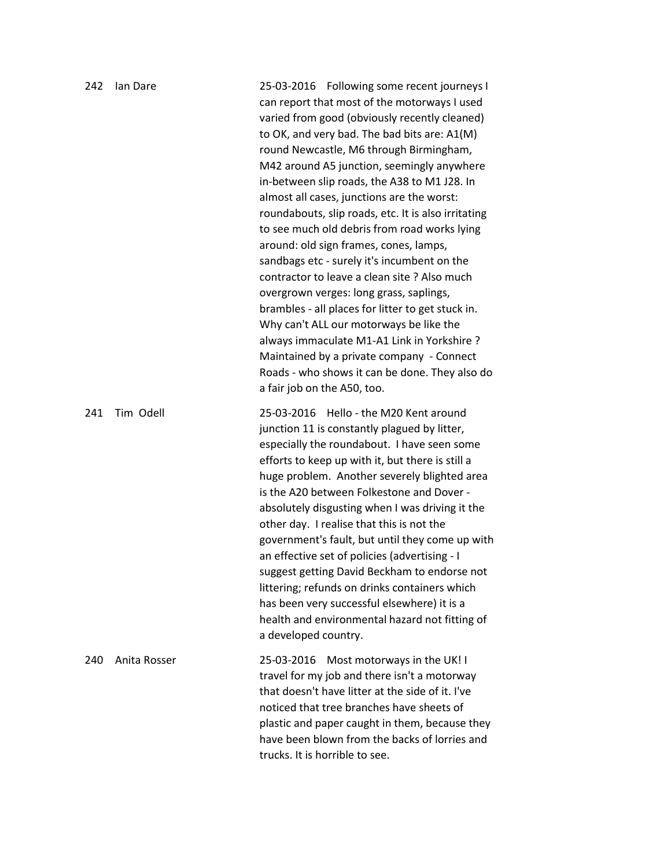| 242 | lan Dare     | 25-03-2016 Following some recent journeys I<br>can report that most of the motorways I used<br>varied from good (obviously recently cleaned)<br>to OK, and very bad. The bad bits are: A1(M)<br>round Newcastle, M6 through Birmingham,<br>M42 around A5 junction, seemingly anywhere<br>in-between slip roads, the A38 to M1 J28. In<br>almost all cases, junctions are the worst:<br>roundabouts, slip roads, etc. It is also irritating<br>to see much old debris from road works lying<br>around: old sign frames, cones, lamps,<br>sandbags etc - surely it's incumbent on the<br>contractor to leave a clean site ? Also much<br>overgrown verges: long grass, saplings,<br>brambles - all places for litter to get stuck in.<br>Why can't ALL our motorways be like the<br>always immaculate M1-A1 Link in Yorkshire ?<br>Maintained by a private company - Connect<br>Roads - who shows it can be done. They also do<br>a fair job on the A50, too. |
|-----|--------------|-------------------------------------------------------------------------------------------------------------------------------------------------------------------------------------------------------------------------------------------------------------------------------------------------------------------------------------------------------------------------------------------------------------------------------------------------------------------------------------------------------------------------------------------------------------------------------------------------------------------------------------------------------------------------------------------------------------------------------------------------------------------------------------------------------------------------------------------------------------------------------------------------------------------------------------------------------------|
| 241 | Tim Odell    | 25-03-2016 Hello - the M20 Kent around<br>junction 11 is constantly plagued by litter,<br>especially the roundabout. I have seen some<br>efforts to keep up with it, but there is still a<br>huge problem. Another severely blighted area<br>is the A20 between Folkestone and Dover -<br>absolutely disgusting when I was driving it the<br>other day. I realise that this is not the<br>government's fault, but until they come up with<br>an effective set of policies (advertising - I<br>suggest getting David Beckham to endorse not<br>littering; refunds on drinks containers which<br>has been very successful elsewhere) it is a<br>health and environmental hazard not fitting of<br>a developed country.                                                                                                                                                                                                                                        |
| 240 | Anita Rosser | 25-03-2016 Most motorways in the UK! I<br>travel for my job and there isn't a motorway<br>that doesn't have litter at the side of it. I've<br>noticed that tree branches have sheets of<br>plastic and paper caught in them, because they<br>have been blown from the backs of lorries and<br>trucks. It is horrible to see.                                                                                                                                                                                                                                                                                                                                                                                                                                                                                                                                                                                                                                |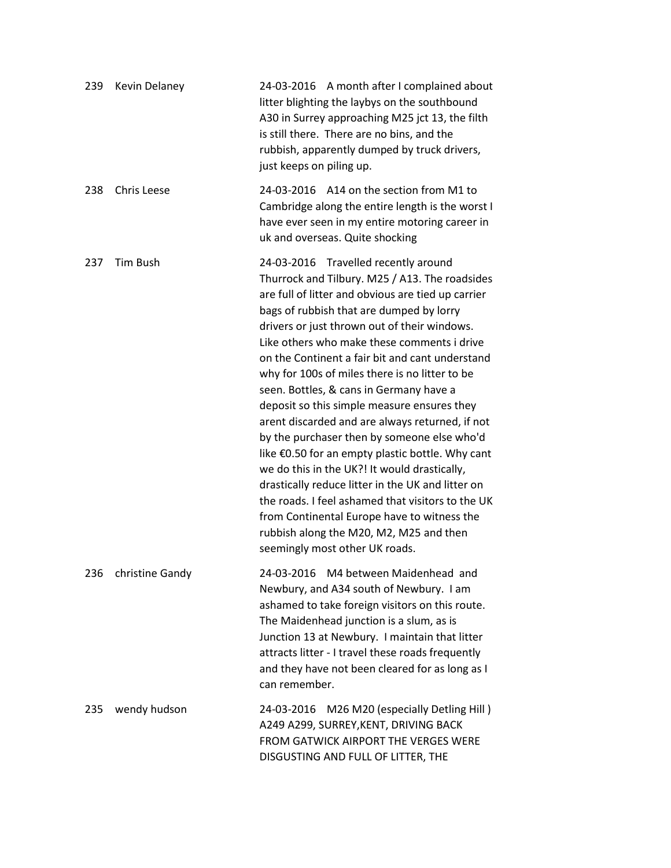| 239 | <b>Kevin Delaney</b> | 24-03-2016 A month after I complained about<br>litter blighting the laybys on the southbound<br>A30 in Surrey approaching M25 jct 13, the filth<br>is still there. There are no bins, and the<br>rubbish, apparently dumped by truck drivers,<br>just keeps on piling up.                                                                                                                                                                                                                                                                                                                                                                                                                                                                                                                                                                                                                                                          |
|-----|----------------------|------------------------------------------------------------------------------------------------------------------------------------------------------------------------------------------------------------------------------------------------------------------------------------------------------------------------------------------------------------------------------------------------------------------------------------------------------------------------------------------------------------------------------------------------------------------------------------------------------------------------------------------------------------------------------------------------------------------------------------------------------------------------------------------------------------------------------------------------------------------------------------------------------------------------------------|
| 238 | <b>Chris Leese</b>   | 24-03-2016 A14 on the section from M1 to<br>Cambridge along the entire length is the worst I<br>have ever seen in my entire motoring career in<br>uk and overseas. Quite shocking                                                                                                                                                                                                                                                                                                                                                                                                                                                                                                                                                                                                                                                                                                                                                  |
| 237 | Tim Bush             | 24-03-2016 Travelled recently around<br>Thurrock and Tilbury. M25 / A13. The roadsides<br>are full of litter and obvious are tied up carrier<br>bags of rubbish that are dumped by lorry<br>drivers or just thrown out of their windows.<br>Like others who make these comments i drive<br>on the Continent a fair bit and cant understand<br>why for 100s of miles there is no litter to be<br>seen. Bottles, & cans in Germany have a<br>deposit so this simple measure ensures they<br>arent discarded and are always returned, if not<br>by the purchaser then by someone else who'd<br>like €0.50 for an empty plastic bottle. Why cant<br>we do this in the UK?! It would drastically,<br>drastically reduce litter in the UK and litter on<br>the roads. I feel ashamed that visitors to the UK<br>from Continental Europe have to witness the<br>rubbish along the M20, M2, M25 and then<br>seemingly most other UK roads. |
| 236 | christine Gandy      | 24-03-2016 M4 between Maidenhead and<br>Newbury, and A34 south of Newbury. I am<br>ashamed to take foreign visitors on this route.<br>The Maidenhead junction is a slum, as is<br>Junction 13 at Newbury. I maintain that litter<br>attracts litter - I travel these roads frequently<br>and they have not been cleared for as long as I<br>can remember.                                                                                                                                                                                                                                                                                                                                                                                                                                                                                                                                                                          |
| 235 | wendy hudson         | 24-03-2016 M26 M20 (especially Detling Hill)<br>A249 A299, SURREY, KENT, DRIVING BACK<br>FROM GATWICK AIRPORT THE VERGES WERE<br>DISGUSTING AND FULL OF LITTER, THE                                                                                                                                                                                                                                                                                                                                                                                                                                                                                                                                                                                                                                                                                                                                                                |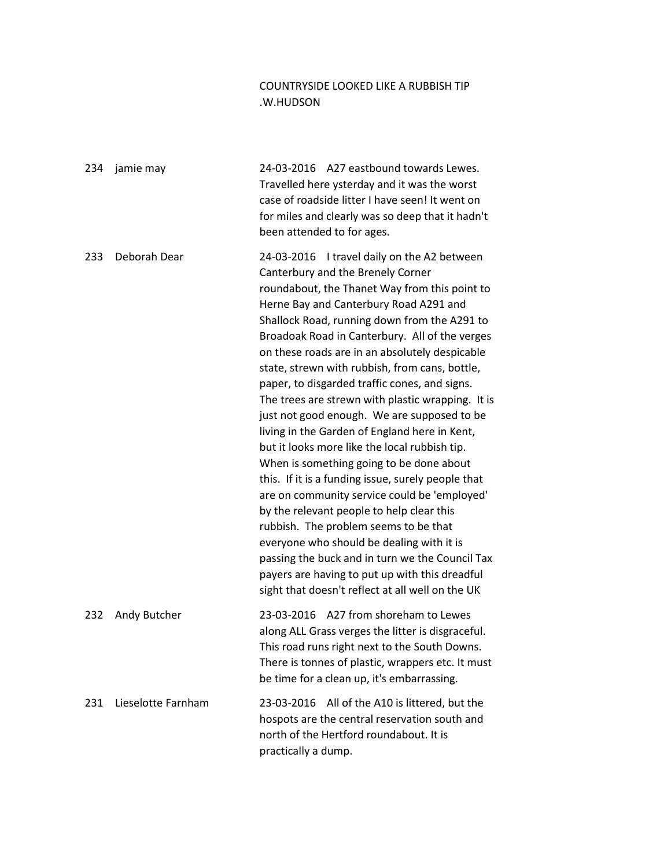## COUNTRYSIDE LOOKED LIKE A RUBBISH TIP .W.HUDSON

| 234 | jamie may          | 24-03-2016 A27 eastbound towards Lewes.<br>Travelled here ysterday and it was the worst<br>case of roadside litter I have seen! It went on<br>for miles and clearly was so deep that it hadn't<br>been attended to for ages.                                                                                                                                                                                                                                                                                                                                                                                                                                                                                                                                                                                                                                                                                                                                                                                                                                                           |
|-----|--------------------|----------------------------------------------------------------------------------------------------------------------------------------------------------------------------------------------------------------------------------------------------------------------------------------------------------------------------------------------------------------------------------------------------------------------------------------------------------------------------------------------------------------------------------------------------------------------------------------------------------------------------------------------------------------------------------------------------------------------------------------------------------------------------------------------------------------------------------------------------------------------------------------------------------------------------------------------------------------------------------------------------------------------------------------------------------------------------------------|
| 233 | Deborah Dear       | 24-03-2016 I travel daily on the A2 between<br>Canterbury and the Brenely Corner<br>roundabout, the Thanet Way from this point to<br>Herne Bay and Canterbury Road A291 and<br>Shallock Road, running down from the A291 to<br>Broadoak Road in Canterbury. All of the verges<br>on these roads are in an absolutely despicable<br>state, strewn with rubbish, from cans, bottle,<br>paper, to disgarded traffic cones, and signs.<br>The trees are strewn with plastic wrapping. It is<br>just not good enough. We are supposed to be<br>living in the Garden of England here in Kent,<br>but it looks more like the local rubbish tip.<br>When is something going to be done about<br>this. If it is a funding issue, surely people that<br>are on community service could be 'employed'<br>by the relevant people to help clear this<br>rubbish. The problem seems to be that<br>everyone who should be dealing with it is<br>passing the buck and in turn we the Council Tax<br>payers are having to put up with this dreadful<br>sight that doesn't reflect at all well on the UK |
| 232 | Andy Butcher       | 23-03-2016 A27 from shoreham to Lewes<br>along ALL Grass verges the litter is disgraceful.<br>This road runs right next to the South Downs.<br>There is tonnes of plastic, wrappers etc. It must<br>be time for a clean up, it's embarrassing.                                                                                                                                                                                                                                                                                                                                                                                                                                                                                                                                                                                                                                                                                                                                                                                                                                         |
| 231 | Lieselotte Farnham | All of the A10 is littered, but the<br>23-03-2016<br>hospots are the central reservation south and<br>north of the Hertford roundabout. It is<br>practically a dump.                                                                                                                                                                                                                                                                                                                                                                                                                                                                                                                                                                                                                                                                                                                                                                                                                                                                                                                   |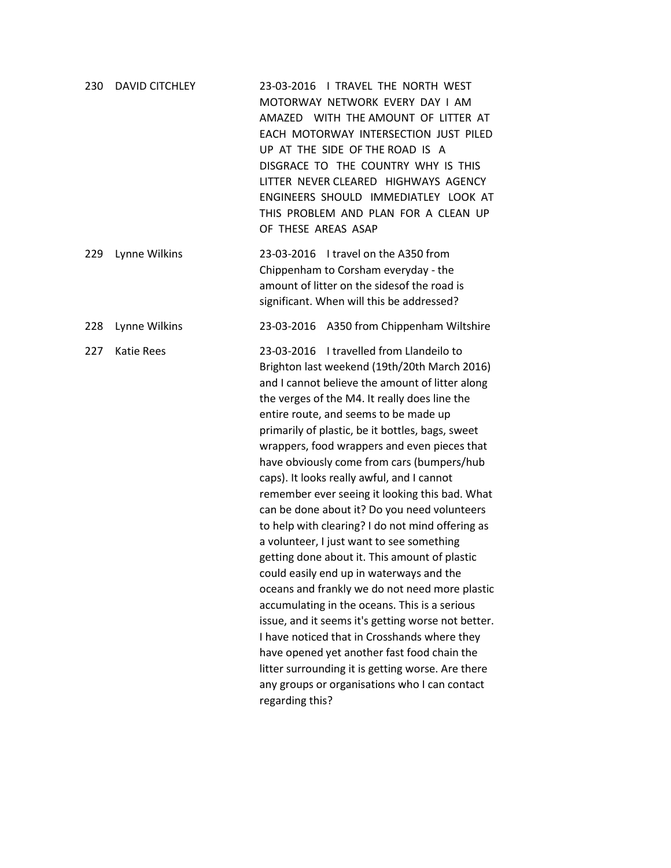| 230 | <b>DAVID CITCHLEY</b> | 23-03-2016   TRAVEL THE NORTH WEST<br>MOTORWAY NETWORK EVERY DAY I AM<br>AMAZED WITH THE AMOUNT OF LITTER AT<br>EACH MOTORWAY INTERSECTION JUST PILED<br>UP AT THE SIDE OF THE ROAD IS A<br>DISGRACE TO THE COUNTRY WHY IS THIS<br>LITTER NEVER CLEARED HIGHWAYS AGENCY<br>ENGINEERS SHOULD IMMEDIATLEY LOOK AT<br>THIS PROBLEM AND PLAN FOR A CLEAN UP<br>OF THESE AREAS ASAP                                                                                                                                                                                                                                                                                                                                                                                                                                                                                                                                                                                                                                                                                                                                            |
|-----|-----------------------|---------------------------------------------------------------------------------------------------------------------------------------------------------------------------------------------------------------------------------------------------------------------------------------------------------------------------------------------------------------------------------------------------------------------------------------------------------------------------------------------------------------------------------------------------------------------------------------------------------------------------------------------------------------------------------------------------------------------------------------------------------------------------------------------------------------------------------------------------------------------------------------------------------------------------------------------------------------------------------------------------------------------------------------------------------------------------------------------------------------------------|
| 229 | Lynne Wilkins         | 23-03-2016 I travel on the A350 from<br>Chippenham to Corsham everyday - the<br>amount of litter on the sidesof the road is<br>significant. When will this be addressed?                                                                                                                                                                                                                                                                                                                                                                                                                                                                                                                                                                                                                                                                                                                                                                                                                                                                                                                                                  |
| 228 | Lynne Wilkins         | 23-03-2016 A350 from Chippenham Wiltshire                                                                                                                                                                                                                                                                                                                                                                                                                                                                                                                                                                                                                                                                                                                                                                                                                                                                                                                                                                                                                                                                                 |
| 227 | <b>Katie Rees</b>     | I travelled from Llandeilo to<br>23-03-2016<br>Brighton last weekend (19th/20th March 2016)<br>and I cannot believe the amount of litter along<br>the verges of the M4. It really does line the<br>entire route, and seems to be made up<br>primarily of plastic, be it bottles, bags, sweet<br>wrappers, food wrappers and even pieces that<br>have obviously come from cars (bumpers/hub<br>caps). It looks really awful, and I cannot<br>remember ever seeing it looking this bad. What<br>can be done about it? Do you need volunteers<br>to help with clearing? I do not mind offering as<br>a volunteer, I just want to see something<br>getting done about it. This amount of plastic<br>could easily end up in waterways and the<br>oceans and frankly we do not need more plastic<br>accumulating in the oceans. This is a serious<br>issue, and it seems it's getting worse not better.<br>I have noticed that in Crosshands where they<br>have opened yet another fast food chain the<br>litter surrounding it is getting worse. Are there<br>any groups or organisations who I can contact<br>regarding this? |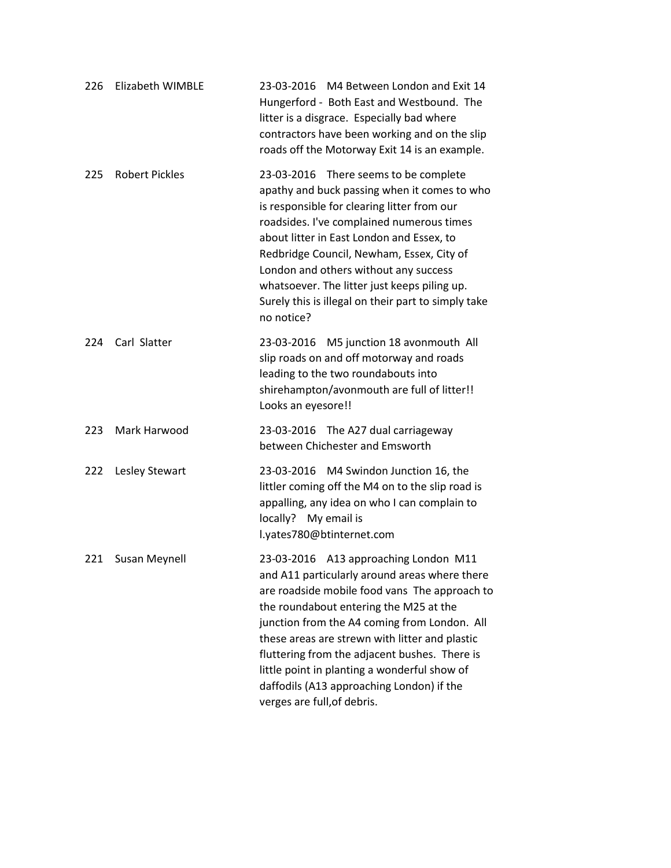| 226 | <b>Elizabeth WIMBLE</b> | 23-03-2016 M4 Between London and Exit 14<br>Hungerford - Both East and Westbound. The<br>litter is a disgrace. Especially bad where<br>contractors have been working and on the slip<br>roads off the Motorway Exit 14 is an example.                                                                                                                                                                                                                            |
|-----|-------------------------|------------------------------------------------------------------------------------------------------------------------------------------------------------------------------------------------------------------------------------------------------------------------------------------------------------------------------------------------------------------------------------------------------------------------------------------------------------------|
| 225 | <b>Robert Pickles</b>   | 23-03-2016 There seems to be complete<br>apathy and buck passing when it comes to who<br>is responsible for clearing litter from our<br>roadsides. I've complained numerous times<br>about litter in East London and Essex, to<br>Redbridge Council, Newham, Essex, City of<br>London and others without any success<br>whatsoever. The litter just keeps piling up.<br>Surely this is illegal on their part to simply take<br>no notice?                        |
| 224 | Carl Slatter            | 23-03-2016 M5 junction 18 avonmouth All<br>slip roads on and off motorway and roads<br>leading to the two roundabouts into<br>shirehampton/avonmouth are full of litter!!<br>Looks an eyesore!!                                                                                                                                                                                                                                                                  |
| 223 | Mark Harwood            | 23-03-2016 The A27 dual carriageway<br>between Chichester and Emsworth                                                                                                                                                                                                                                                                                                                                                                                           |
| 222 | Lesley Stewart          | 23-03-2016 M4 Swindon Junction 16, the<br>littler coming off the M4 on to the slip road is<br>appalling, any idea on who I can complain to<br>locally? My email is<br>l.yates780@btinternet.com                                                                                                                                                                                                                                                                  |
| 221 | Susan Meynell           | 23-03-2016 A13 approaching London M11<br>and A11 particularly around areas where there<br>are roadside mobile food vans The approach to<br>the roundabout entering the M25 at the<br>junction from the A4 coming from London. All<br>these areas are strewn with litter and plastic<br>fluttering from the adjacent bushes. There is<br>little point in planting a wonderful show of<br>daffodils (A13 approaching London) if the<br>verges are full, of debris. |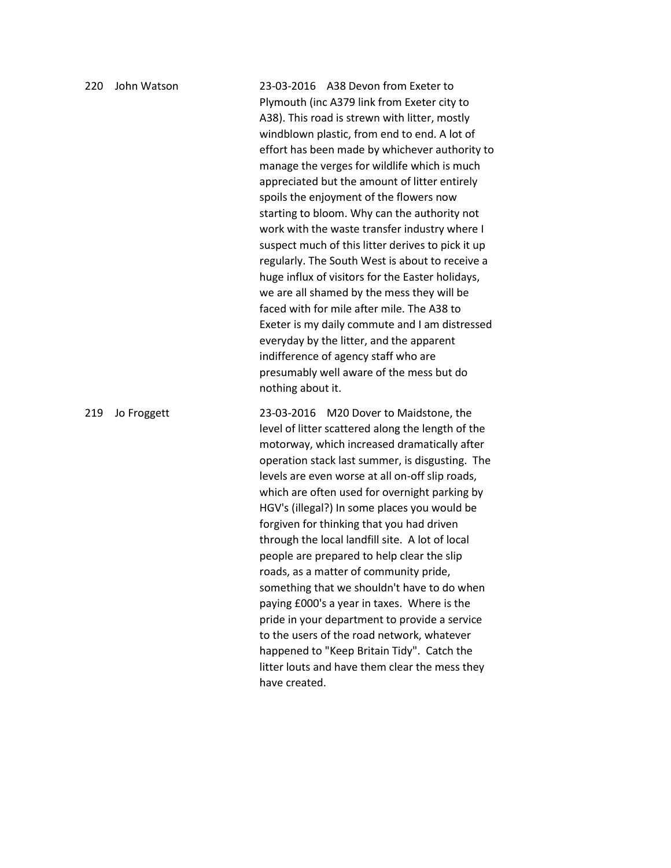| 220 | John Watson | 23-03-2016 A38 Devon from Exeter to<br>Plymouth (inc A379 link from Exeter city to<br>A38). This road is strewn with litter, mostly<br>windblown plastic, from end to end. A lot of<br>effort has been made by whichever authority to<br>manage the verges for wildlife which is much<br>appreciated but the amount of litter entirely<br>spoils the enjoyment of the flowers now<br>starting to bloom. Why can the authority not<br>work with the waste transfer industry where I<br>suspect much of this litter derives to pick it up<br>regularly. The South West is about to receive a<br>huge influx of visitors for the Easter holidays,<br>we are all shamed by the mess they will be<br>faced with for mile after mile. The A38 to<br>Exeter is my daily commute and I am distressed<br>everyday by the litter, and the apparent<br>indifference of agency staff who are<br>presumably well aware of the mess but do<br>nothing about it. |
|-----|-------------|---------------------------------------------------------------------------------------------------------------------------------------------------------------------------------------------------------------------------------------------------------------------------------------------------------------------------------------------------------------------------------------------------------------------------------------------------------------------------------------------------------------------------------------------------------------------------------------------------------------------------------------------------------------------------------------------------------------------------------------------------------------------------------------------------------------------------------------------------------------------------------------------------------------------------------------------------|
| 219 | Jo Froggett | 23-03-2016 M20 Dover to Maidstone, the<br>level of litter scattered along the length of the<br>motorway, which increased dramatically after<br>operation stack last summer, is disgusting. The<br>levels are even worse at all on-off slip roads,<br>which are often used for overnight parking by<br>HGV's (illegal?) In some places you would be<br>forgiven for thinking that you had driven<br>through the local landfill site. A lot of local<br>people are prepared to help clear the slip<br>roads, as a matter of community pride,<br>something that we shouldn't have to do when<br>paying £000's a year in taxes. Where is the<br>pride in your department to provide a service<br>to the users of the road network, whatever<br>happened to "Keep Britain Tidy". Catch the<br>litter louts and have them clear the mess they<br>have created.                                                                                          |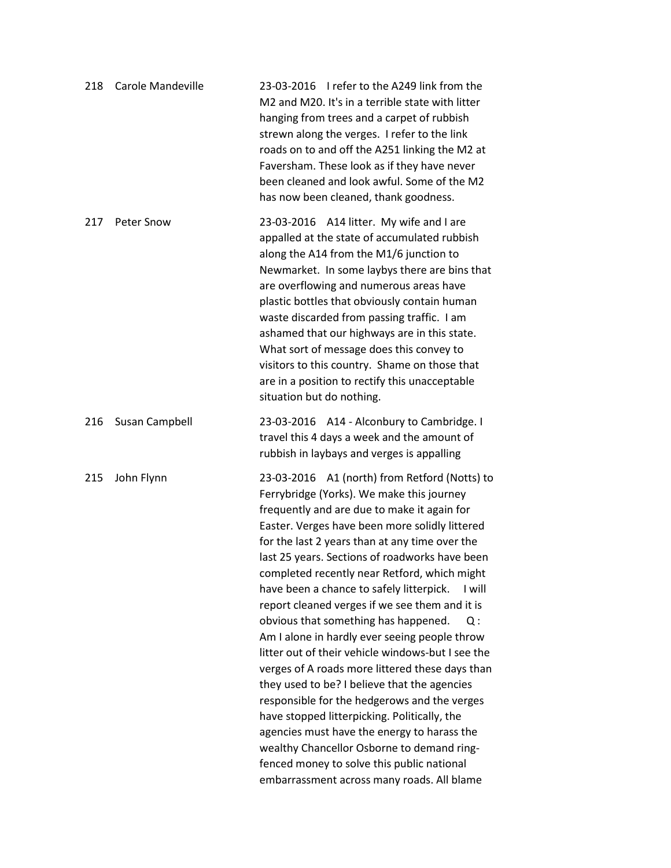| 218 | Carole Mandeville | 23-03-2016 I refer to the A249 link from the<br>M2 and M20. It's in a terrible state with litter<br>hanging from trees and a carpet of rubbish<br>strewn along the verges. I refer to the link<br>roads on to and off the A251 linking the M2 at<br>Faversham. These look as if they have never<br>been cleaned and look awful. Some of the M2<br>has now been cleaned, thank goodness.                                                                                                                                                                                                                                                                                                                                                                                                                                                                                                                                                                                                                  |
|-----|-------------------|----------------------------------------------------------------------------------------------------------------------------------------------------------------------------------------------------------------------------------------------------------------------------------------------------------------------------------------------------------------------------------------------------------------------------------------------------------------------------------------------------------------------------------------------------------------------------------------------------------------------------------------------------------------------------------------------------------------------------------------------------------------------------------------------------------------------------------------------------------------------------------------------------------------------------------------------------------------------------------------------------------|
| 217 | Peter Snow        | 23-03-2016 A14 litter. My wife and I are<br>appalled at the state of accumulated rubbish<br>along the A14 from the M1/6 junction to<br>Newmarket. In some laybys there are bins that<br>are overflowing and numerous areas have<br>plastic bottles that obviously contain human<br>waste discarded from passing traffic. I am<br>ashamed that our highways are in this state.<br>What sort of message does this convey to<br>visitors to this country. Shame on those that<br>are in a position to rectify this unacceptable<br>situation but do nothing.                                                                                                                                                                                                                                                                                                                                                                                                                                                |
| 216 | Susan Campbell    | 23-03-2016 A14 - Alconbury to Cambridge. I<br>travel this 4 days a week and the amount of<br>rubbish in laybays and verges is appalling                                                                                                                                                                                                                                                                                                                                                                                                                                                                                                                                                                                                                                                                                                                                                                                                                                                                  |
| 215 | John Flynn        | 23-03-2016 A1 (north) from Retford (Notts) to<br>Ferrybridge (Yorks). We make this journey<br>frequently and are due to make it again for<br>Easter. Verges have been more solidly littered<br>for the last 2 years than at any time over the<br>last 25 years. Sections of roadworks have been<br>completed recently near Retford, which might<br>have been a chance to safely litterpick.<br>I will<br>report cleaned verges if we see them and it is<br>obvious that something has happened.<br>Q :<br>Am I alone in hardly ever seeing people throw<br>litter out of their vehicle windows-but I see the<br>verges of A roads more littered these days than<br>they used to be? I believe that the agencies<br>responsible for the hedgerows and the verges<br>have stopped litterpicking. Politically, the<br>agencies must have the energy to harass the<br>wealthy Chancellor Osborne to demand ring-<br>fenced money to solve this public national<br>embarrassment across many roads. All blame |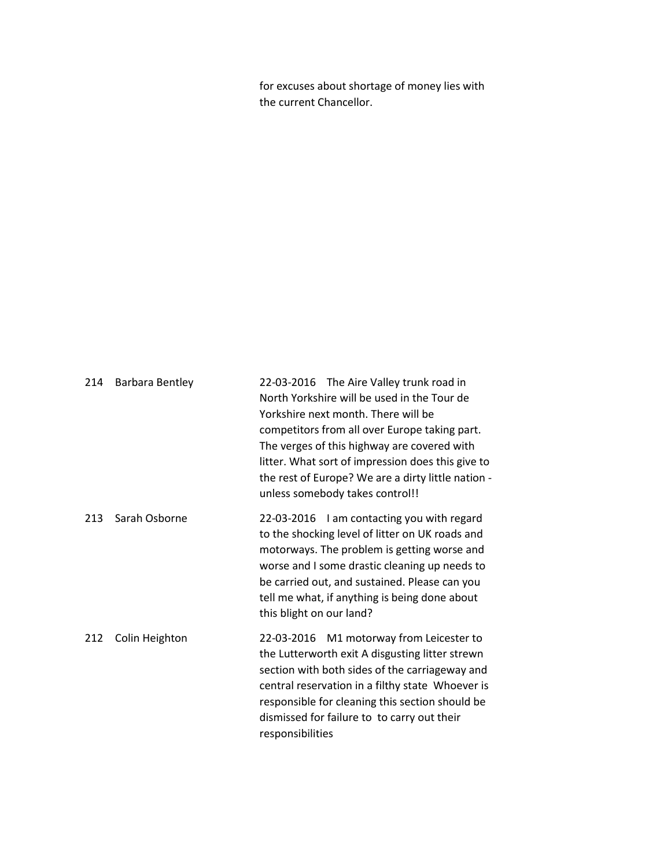for excuses about shortage of money lies with the current Chancellor.

| 214 | Barbara Bentley | 22-03-2016 The Aire Valley trunk road in<br>North Yorkshire will be used in the Tour de<br>Yorkshire next month. There will be<br>competitors from all over Europe taking part.<br>The verges of this highway are covered with<br>litter. What sort of impression does this give to<br>the rest of Europe? We are a dirty little nation -<br>unless somebody takes control!! |
|-----|-----------------|------------------------------------------------------------------------------------------------------------------------------------------------------------------------------------------------------------------------------------------------------------------------------------------------------------------------------------------------------------------------------|
| 213 | Sarah Osborne   | 22-03-2016 I am contacting you with regard<br>to the shocking level of litter on UK roads and<br>motorways. The problem is getting worse and<br>worse and I some drastic cleaning up needs to<br>be carried out, and sustained. Please can you<br>tell me what, if anything is being done about<br>this blight on our land?                                                  |
| 212 | Colin Heighton  | 22-03-2016 M1 motorway from Leicester to<br>the Lutterworth exit A disgusting litter strewn<br>section with both sides of the carriageway and<br>central reservation in a filthy state Whoever is<br>responsible for cleaning this section should be<br>dismissed for failure to to carry out their<br>responsibilities                                                      |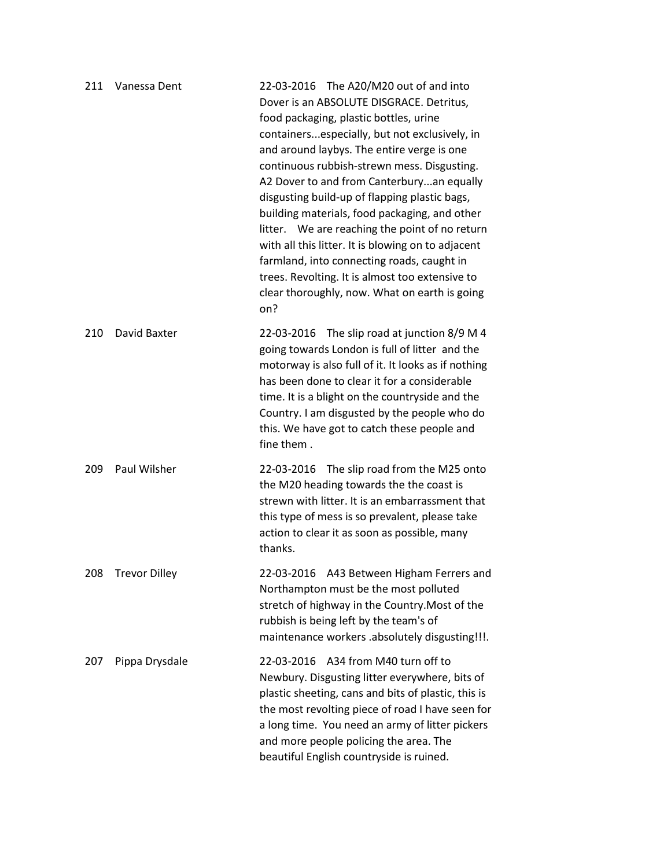| 211 | Vanessa Dent         | 22-03-2016 The A20/M20 out of and into<br>Dover is an ABSOLUTE DISGRACE. Detritus,<br>food packaging, plastic bottles, urine<br>containersespecially, but not exclusively, in<br>and around laybys. The entire verge is one<br>continuous rubbish-strewn mess. Disgusting.<br>A2 Dover to and from Canterburyan equally<br>disgusting build-up of flapping plastic bags,<br>building materials, food packaging, and other<br>litter. We are reaching the point of no return<br>with all this litter. It is blowing on to adjacent<br>farmland, into connecting roads, caught in<br>trees. Revolting. It is almost too extensive to<br>clear thoroughly, now. What on earth is going<br>on? |
|-----|----------------------|--------------------------------------------------------------------------------------------------------------------------------------------------------------------------------------------------------------------------------------------------------------------------------------------------------------------------------------------------------------------------------------------------------------------------------------------------------------------------------------------------------------------------------------------------------------------------------------------------------------------------------------------------------------------------------------------|
| 210 | David Baxter         | 22-03-2016 The slip road at junction 8/9 M 4<br>going towards London is full of litter and the<br>motorway is also full of it. It looks as if nothing<br>has been done to clear it for a considerable<br>time. It is a blight on the countryside and the<br>Country. I am disgusted by the people who do<br>this. We have got to catch these people and<br>fine them.                                                                                                                                                                                                                                                                                                                      |
| 209 | Paul Wilsher         | The slip road from the M25 onto<br>22-03-2016<br>the M20 heading towards the the coast is<br>strewn with litter. It is an embarrassment that<br>this type of mess is so prevalent, please take<br>action to clear it as soon as possible, many<br>thanks.                                                                                                                                                                                                                                                                                                                                                                                                                                  |
| 208 | <b>Trevor Dilley</b> | 22-03-2016 A43 Between Higham Ferrers and<br>Northampton must be the most polluted<br>stretch of highway in the Country. Most of the<br>rubbish is being left by the team's of<br>maintenance workers .absolutely disgusting!!!.                                                                                                                                                                                                                                                                                                                                                                                                                                                           |
| 207 | Pippa Drysdale       | 22-03-2016 A34 from M40 turn off to<br>Newbury. Disgusting litter everywhere, bits of<br>plastic sheeting, cans and bits of plastic, this is<br>the most revolting piece of road I have seen for<br>a long time. You need an army of litter pickers<br>and more people policing the area. The<br>beautiful English countryside is ruined.                                                                                                                                                                                                                                                                                                                                                  |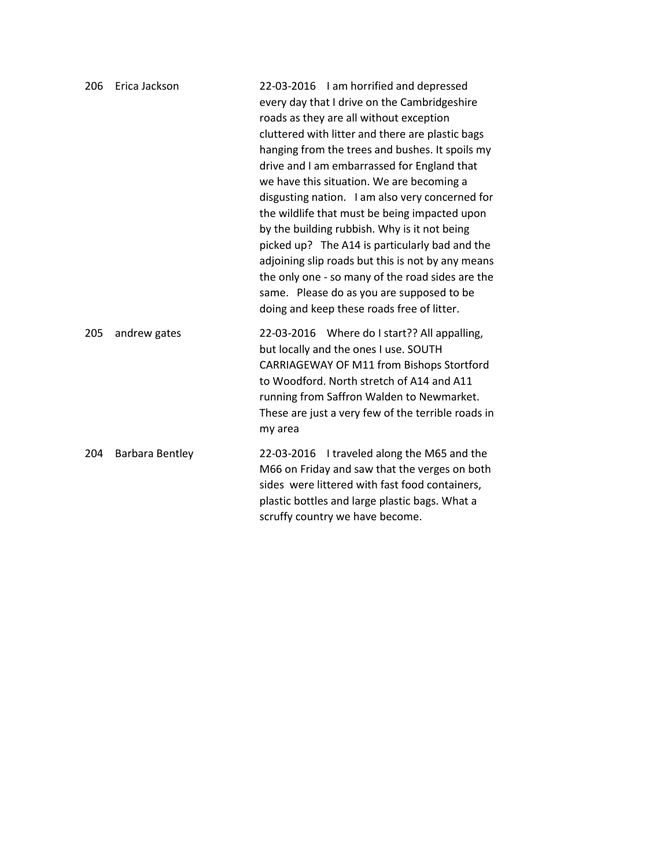| 206 | Erica Jackson          | 22-03-2016 I am horrified and depressed<br>every day that I drive on the Cambridgeshire<br>roads as they are all without exception<br>cluttered with litter and there are plastic bags<br>hanging from the trees and bushes. It spoils my<br>drive and I am embarrassed for England that<br>we have this situation. We are becoming a<br>disgusting nation. I am also very concerned for<br>the wildlife that must be being impacted upon<br>by the building rubbish. Why is it not being<br>picked up? The A14 is particularly bad and the<br>adjoining slip roads but this is not by any means<br>the only one - so many of the road sides are the<br>same. Please do as you are supposed to be<br>doing and keep these roads free of litter. |
|-----|------------------------|-------------------------------------------------------------------------------------------------------------------------------------------------------------------------------------------------------------------------------------------------------------------------------------------------------------------------------------------------------------------------------------------------------------------------------------------------------------------------------------------------------------------------------------------------------------------------------------------------------------------------------------------------------------------------------------------------------------------------------------------------|
| 205 | andrew gates           | 22-03-2016 Where do I start?? All appalling,<br>but locally and the ones I use. SOUTH<br>CARRIAGEWAY OF M11 from Bishops Stortford<br>to Woodford. North stretch of A14 and A11<br>running from Saffron Walden to Newmarket.<br>These are just a very few of the terrible roads in<br>my area                                                                                                                                                                                                                                                                                                                                                                                                                                                   |
| 204 | <b>Barbara Bentley</b> | 22-03-2016 I traveled along the M65 and the<br>M66 on Friday and saw that the verges on both<br>sides were littered with fast food containers,<br>plastic bottles and large plastic bags. What a<br>scruffy country we have become.                                                                                                                                                                                                                                                                                                                                                                                                                                                                                                             |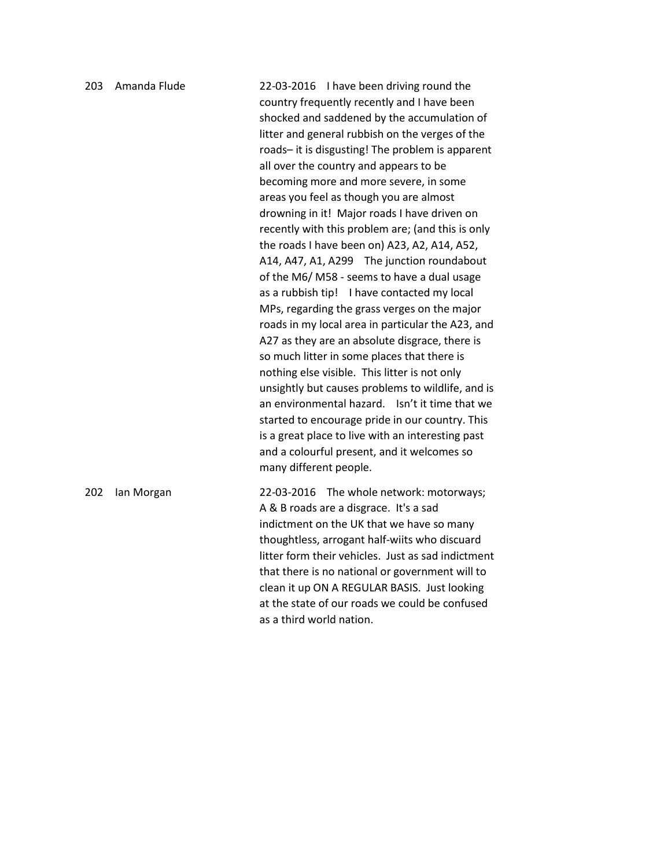203 Amanda Flude 22-03-2016 I have been driving round the country frequently recently and I have been shocked and saddened by the accumulation of litter and general rubbish on the verges of the roads– it is disgusting! The problem is apparent all over the country and appears to be becoming more and more severe, in some areas you feel as though you are almost drowning in it! Major roads I have driven on recently with this problem are; (and this is only the roads I have been on) A23, A2, A14, A52, A14, A47, A1, A299 The junction roundabout of the M6/ M58 - seems to have a dual usage as a rubbish tip! I have contacted my local MPs, regarding the grass verges on the major roads in my local area in particular the A23, and A27 as they are an absolute disgrace, there is so much litter in some places that there is nothing else visible. This litter is not only unsightly but causes problems to wildlife, and is an environmental hazard. Isn't it time that we started to encourage pride in our country. This is a great place to live with an interesting past and a colourful present, and it welcomes so many different people. 202 Ian Morgan 22-03-2016 The whole network: motorways; A & B roads are a disgrace. It's a sad indictment on the UK that we have so many thoughtless, arrogant half-wiits who discuard litter form their vehicles. Just as sad indictment that there is no national or government will to

> clean it up ON A REGULAR BASIS. Just looking at the state of our roads we could be confused as a third world nation.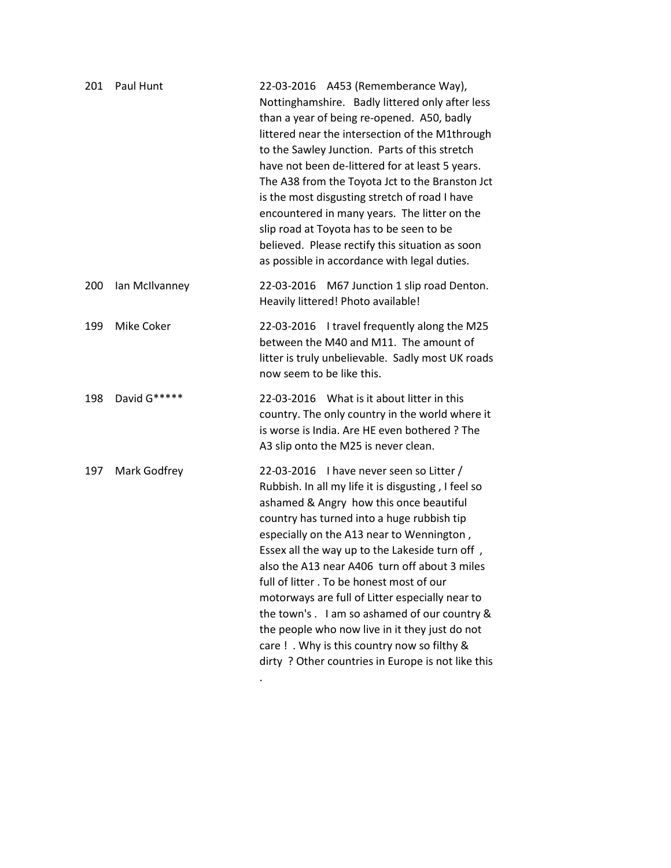| 201 | Paul Hunt         | 22-03-2016 A453 (Rememberance Way),<br>Nottinghamshire. Badly littered only after less<br>than a year of being re-opened. A50, badly<br>littered near the intersection of the M1through<br>to the Sawley Junction. Parts of this stretch<br>have not been de-littered for at least 5 years.<br>The A38 from the Toyota Jct to the Branston Jct<br>is the most disgusting stretch of road I have<br>encountered in many years. The litter on the<br>slip road at Toyota has to be seen to be<br>believed. Please rectify this situation as soon<br>as possible in accordance with legal duties.                                                  |
|-----|-------------------|-------------------------------------------------------------------------------------------------------------------------------------------------------------------------------------------------------------------------------------------------------------------------------------------------------------------------------------------------------------------------------------------------------------------------------------------------------------------------------------------------------------------------------------------------------------------------------------------------------------------------------------------------|
| 200 | Ian McIlvanney    | M67 Junction 1 slip road Denton.<br>22-03-2016<br>Heavily littered! Photo available!                                                                                                                                                                                                                                                                                                                                                                                                                                                                                                                                                            |
| 199 | <b>Mike Coker</b> | 22-03-2016 I travel frequently along the M25<br>between the M40 and M11. The amount of<br>litter is truly unbelievable. Sadly most UK roads<br>now seem to be like this.                                                                                                                                                                                                                                                                                                                                                                                                                                                                        |
| 198 | David G*****      | 22-03-2016 What is it about litter in this<br>country. The only country in the world where it<br>is worse is India. Are HE even bothered ? The<br>A3 slip onto the M25 is never clean.                                                                                                                                                                                                                                                                                                                                                                                                                                                          |
| 197 | Mark Godfrey      | 22-03-2016 I have never seen so Litter /<br>Rubbish. In all my life it is disgusting, I feel so<br>ashamed & Angry how this once beautiful<br>country has turned into a huge rubbish tip<br>especially on the A13 near to Wennington,<br>Essex all the way up to the Lakeside turn off,<br>also the A13 near A406 turn off about 3 miles<br>full of litter. To be honest most of our<br>motorways are full of Litter especially near to<br>the town's. I am so ashamed of our country &<br>the people who now live in it they just do not<br>care ! . Why is this country now so filthy &<br>dirty ? Other countries in Europe is not like this |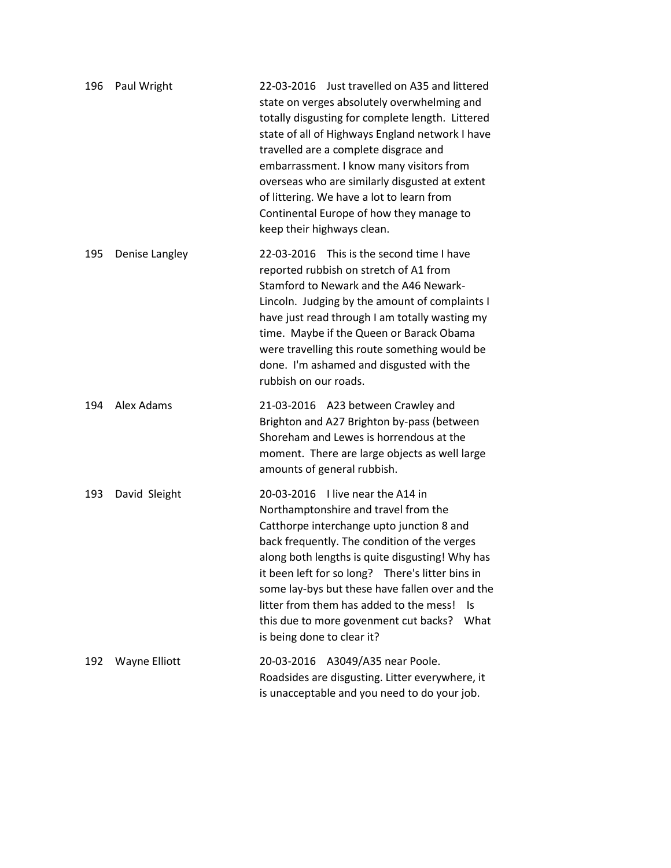| 196 | Paul Wright    | 22-03-2016 Just travelled on A35 and littered<br>state on verges absolutely overwhelming and<br>totally disgusting for complete length. Littered<br>state of all of Highways England network I have<br>travelled are a complete disgrace and<br>embarrassment. I know many visitors from<br>overseas who are similarly disgusted at extent<br>of littering. We have a lot to learn from<br>Continental Europe of how they manage to<br>keep their highways clean.  |
|-----|----------------|--------------------------------------------------------------------------------------------------------------------------------------------------------------------------------------------------------------------------------------------------------------------------------------------------------------------------------------------------------------------------------------------------------------------------------------------------------------------|
| 195 | Denise Langley | 22-03-2016 This is the second time I have<br>reported rubbish on stretch of A1 from<br>Stamford to Newark and the A46 Newark-<br>Lincoln. Judging by the amount of complaints I<br>have just read through I am totally wasting my<br>time. Maybe if the Queen or Barack Obama<br>were travelling this route something would be<br>done. I'm ashamed and disgusted with the<br>rubbish on our roads.                                                                |
| 194 | Alex Adams     | 21-03-2016 A23 between Crawley and<br>Brighton and A27 Brighton by-pass (between<br>Shoreham and Lewes is horrendous at the<br>moment. There are large objects as well large<br>amounts of general rubbish.                                                                                                                                                                                                                                                        |
| 193 | David Sleight  | 20-03-2016 I live near the A14 in<br>Northamptonshire and travel from the<br>Catthorpe interchange upto junction 8 and<br>back frequently. The condition of the verges<br>along both lengths is quite disgusting! Why has<br>it been left for so long? There's litter bins in<br>some lay-bys but these have fallen over and the<br>litter from them has added to the mess!<br>- Is<br>this due to more govenment cut backs?<br>What<br>is being done to clear it? |
| 192 | Wayne Elliott  | 20-03-2016 A3049/A35 near Poole.<br>Roadsides are disgusting. Litter everywhere, it<br>is unacceptable and you need to do your job.                                                                                                                                                                                                                                                                                                                                |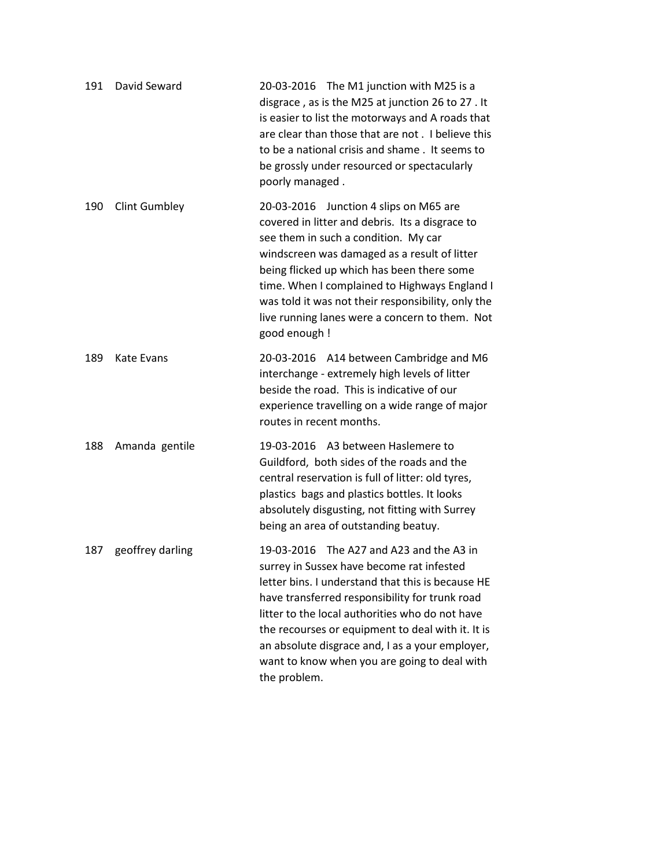| 191 | David Seward         | 20-03-2016 The M1 junction with M25 is a<br>disgrace, as is the M25 at junction 26 to 27. It<br>is easier to list the motorways and A roads that<br>are clear than those that are not . I believe this<br>to be a national crisis and shame. It seems to<br>be grossly under resourced or spectacularly<br>poorly managed.                                                                                              |
|-----|----------------------|-------------------------------------------------------------------------------------------------------------------------------------------------------------------------------------------------------------------------------------------------------------------------------------------------------------------------------------------------------------------------------------------------------------------------|
| 190 | <b>Clint Gumbley</b> | 20-03-2016 Junction 4 slips on M65 are<br>covered in litter and debris. Its a disgrace to<br>see them in such a condition. My car<br>windscreen was damaged as a result of litter<br>being flicked up which has been there some<br>time. When I complained to Highways England I<br>was told it was not their responsibility, only the<br>live running lanes were a concern to them. Not<br>good enough !               |
| 189 | Kate Evans           | 20-03-2016 A14 between Cambridge and M6<br>interchange - extremely high levels of litter<br>beside the road. This is indicative of our<br>experience travelling on a wide range of major<br>routes in recent months.                                                                                                                                                                                                    |
| 188 | Amanda gentile       | 19-03-2016 A3 between Haslemere to<br>Guildford, both sides of the roads and the<br>central reservation is full of litter: old tyres,<br>plastics bags and plastics bottles. It looks<br>absolutely disgusting, not fitting with Surrey<br>being an area of outstanding beatuy.                                                                                                                                         |
| 187 | geoffrey darling     | 19-03-2016 The A27 and A23 and the A3 in<br>surrey in Sussex have become rat infested<br>letter bins. I understand that this is because HE<br>have transferred responsibility for trunk road<br>litter to the local authorities who do not have<br>the recourses or equipment to deal with it. It is<br>an absolute disgrace and, I as a your employer,<br>want to know when you are going to deal with<br>the problem. |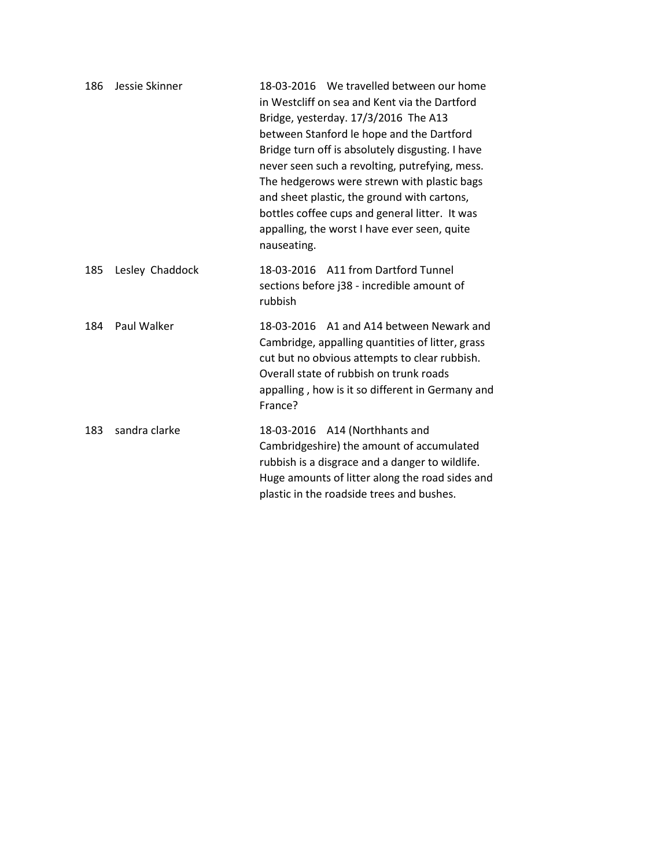| 186 | Jessie Skinner  | 18-03-2016 We travelled between our home<br>in Westcliff on sea and Kent via the Dartford<br>Bridge, yesterday. 17/3/2016 The A13<br>between Stanford le hope and the Dartford<br>Bridge turn off is absolutely disgusting. I have<br>never seen such a revolting, putrefying, mess.<br>The hedgerows were strewn with plastic bags<br>and sheet plastic, the ground with cartons,<br>bottles coffee cups and general litter. It was<br>appalling, the worst I have ever seen, quite<br>nauseating. |
|-----|-----------------|-----------------------------------------------------------------------------------------------------------------------------------------------------------------------------------------------------------------------------------------------------------------------------------------------------------------------------------------------------------------------------------------------------------------------------------------------------------------------------------------------------|
| 185 | Lesley Chaddock | 18-03-2016 A11 from Dartford Tunnel<br>sections before j38 - incredible amount of<br>rubbish                                                                                                                                                                                                                                                                                                                                                                                                        |
| 184 | Paul Walker     | 18-03-2016 A1 and A14 between Newark and<br>Cambridge, appalling quantities of litter, grass<br>cut but no obvious attempts to clear rubbish.<br>Overall state of rubbish on trunk roads<br>appalling, how is it so different in Germany and<br>France?                                                                                                                                                                                                                                             |
| 183 | sandra clarke   | 18-03-2016 A14 (Northhants and<br>Cambridgeshire) the amount of accumulated<br>rubbish is a disgrace and a danger to wildlife.<br>Huge amounts of litter along the road sides and<br>plastic in the roadside trees and bushes.                                                                                                                                                                                                                                                                      |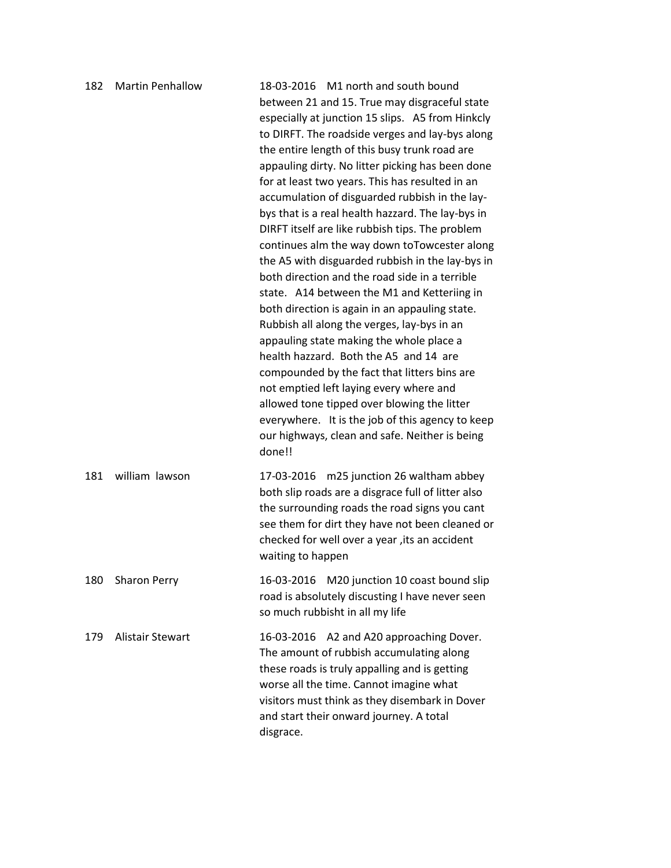| 182 | <b>Martin Penhallow</b> | 18-03-2016 M1 north and south bound<br>between 21 and 15. True may disgraceful state<br>especially at junction 15 slips. A5 from Hinkcly<br>to DIRFT. The roadside verges and lay-bys along<br>the entire length of this busy trunk road are<br>appauling dirty. No litter picking has been done<br>for at least two years. This has resulted in an<br>accumulation of disguarded rubbish in the lay-<br>bys that is a real health hazzard. The lay-bys in<br>DIRFT itself are like rubbish tips. The problem<br>continues alm the way down to Towcester along<br>the A5 with disguarded rubbish in the lay-bys in<br>both direction and the road side in a terrible<br>state. A14 between the M1 and Ketteriing in<br>both direction is again in an appauling state.<br>Rubbish all along the verges, lay-bys in an<br>appauling state making the whole place a<br>health hazzard. Both the A5 and 14 are<br>compounded by the fact that litters bins are<br>not emptied left laying every where and<br>allowed tone tipped over blowing the litter<br>everywhere. It is the job of this agency to keep<br>our highways, clean and safe. Neither is being<br>done!! |
|-----|-------------------------|----------------------------------------------------------------------------------------------------------------------------------------------------------------------------------------------------------------------------------------------------------------------------------------------------------------------------------------------------------------------------------------------------------------------------------------------------------------------------------------------------------------------------------------------------------------------------------------------------------------------------------------------------------------------------------------------------------------------------------------------------------------------------------------------------------------------------------------------------------------------------------------------------------------------------------------------------------------------------------------------------------------------------------------------------------------------------------------------------------------------------------------------------------------------|
| 181 | william lawson          | 17-03-2016 m25 junction 26 waltham abbey<br>both slip roads are a disgrace full of litter also<br>the surrounding roads the road signs you cant<br>see them for dirt they have not been cleaned or<br>checked for well over a year, its an accident<br>waiting to happen                                                                                                                                                                                                                                                                                                                                                                                                                                                                                                                                                                                                                                                                                                                                                                                                                                                                                             |
| 180 | <b>Sharon Perry</b>     | M20 junction 10 coast bound slip<br>16-03-2016<br>road is absolutely discusting I have never seen<br>so much rubbisht in all my life                                                                                                                                                                                                                                                                                                                                                                                                                                                                                                                                                                                                                                                                                                                                                                                                                                                                                                                                                                                                                                 |
| 179 | <b>Alistair Stewart</b> | A2 and A20 approaching Dover.<br>16-03-2016<br>The amount of rubbish accumulating along<br>these roads is truly appalling and is getting<br>worse all the time. Cannot imagine what<br>visitors must think as they disembark in Dover<br>and start their onward journey. A total<br>disgrace.                                                                                                                                                                                                                                                                                                                                                                                                                                                                                                                                                                                                                                                                                                                                                                                                                                                                        |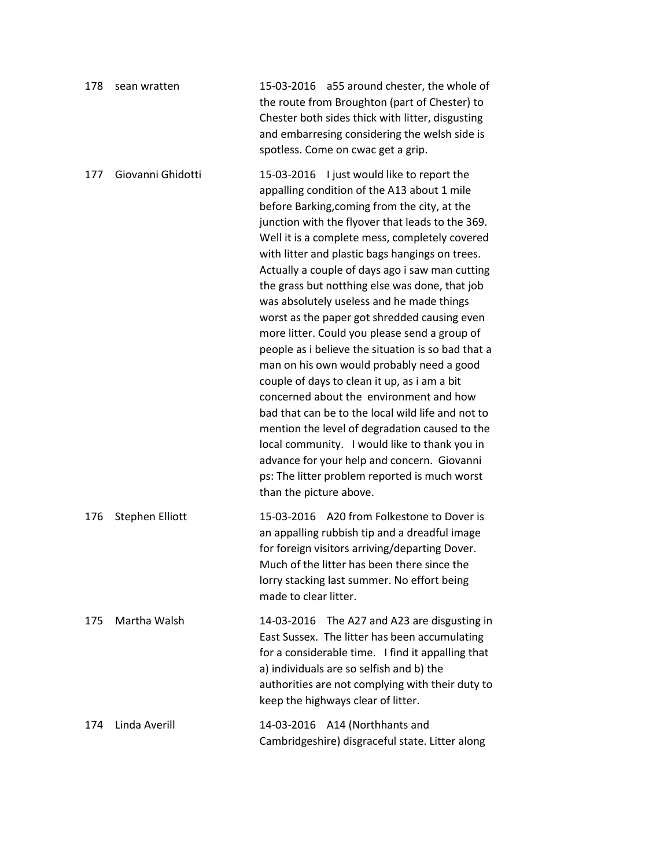| 178 | sean wratten      | 15-03-2016 a55 around chester, the whole of<br>the route from Broughton (part of Chester) to<br>Chester both sides thick with litter, disgusting<br>and embarresing considering the welsh side is<br>spotless. Come on cwac get a grip.                                                                                                                                                                                                                                                                                                                                                                                                                                                                                                                                                                                                                                                                                                                                                                                                |
|-----|-------------------|----------------------------------------------------------------------------------------------------------------------------------------------------------------------------------------------------------------------------------------------------------------------------------------------------------------------------------------------------------------------------------------------------------------------------------------------------------------------------------------------------------------------------------------------------------------------------------------------------------------------------------------------------------------------------------------------------------------------------------------------------------------------------------------------------------------------------------------------------------------------------------------------------------------------------------------------------------------------------------------------------------------------------------------|
| 177 | Giovanni Ghidotti | 15-03-2016 I just would like to report the<br>appalling condition of the A13 about 1 mile<br>before Barking, coming from the city, at the<br>junction with the flyover that leads to the 369.<br>Well it is a complete mess, completely covered<br>with litter and plastic bags hangings on trees.<br>Actually a couple of days ago i saw man cutting<br>the grass but notthing else was done, that job<br>was absolutely useless and he made things<br>worst as the paper got shredded causing even<br>more litter. Could you please send a group of<br>people as i believe the situation is so bad that a<br>man on his own would probably need a good<br>couple of days to clean it up, as i am a bit<br>concerned about the environment and how<br>bad that can be to the local wild life and not to<br>mention the level of degradation caused to the<br>local community. I would like to thank you in<br>advance for your help and concern. Giovanni<br>ps: The litter problem reported is much worst<br>than the picture above. |
| 176 | Stephen Elliott   | 15-03-2016 A20 from Folkestone to Dover is<br>an appalling rubbish tip and a dreadful image<br>for foreign visitors arriving/departing Dover.<br>Much of the litter has been there since the<br>lorry stacking last summer. No effort being<br>made to clear litter.                                                                                                                                                                                                                                                                                                                                                                                                                                                                                                                                                                                                                                                                                                                                                                   |
| 175 | Martha Walsh      | 14-03-2016 The A27 and A23 are disgusting in<br>East Sussex. The litter has been accumulating<br>for a considerable time. I find it appalling that<br>a) individuals are so selfish and b) the<br>authorities are not complying with their duty to<br>keep the highways clear of litter.                                                                                                                                                                                                                                                                                                                                                                                                                                                                                                                                                                                                                                                                                                                                               |
| 174 | Linda Averill     | 14-03-2016 A14 (Northhants and<br>Cambridgeshire) disgraceful state. Litter along                                                                                                                                                                                                                                                                                                                                                                                                                                                                                                                                                                                                                                                                                                                                                                                                                                                                                                                                                      |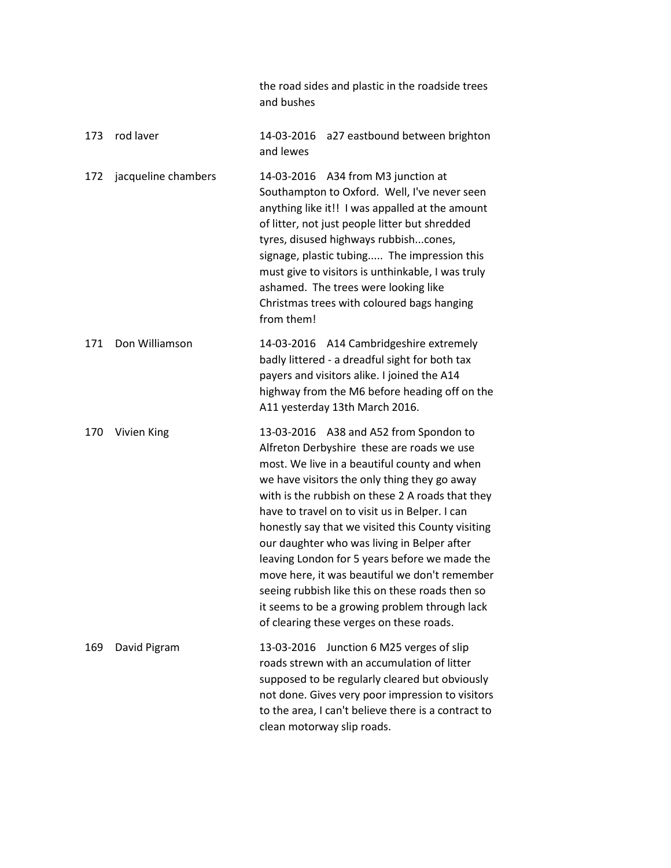|     |                     | the road sides and plastic in the roadside trees<br>and bushes                                                                                                                                                                                                                                                                                                                                                                                                                                                                                                                                                                                   |
|-----|---------------------|--------------------------------------------------------------------------------------------------------------------------------------------------------------------------------------------------------------------------------------------------------------------------------------------------------------------------------------------------------------------------------------------------------------------------------------------------------------------------------------------------------------------------------------------------------------------------------------------------------------------------------------------------|
| 173 | rod laver           | 14-03-2016<br>a27 eastbound between brighton<br>and lewes                                                                                                                                                                                                                                                                                                                                                                                                                                                                                                                                                                                        |
| 172 | jacqueline chambers | 14-03-2016 A34 from M3 junction at<br>Southampton to Oxford. Well, I've never seen<br>anything like it!! I was appalled at the amount<br>of litter, not just people litter but shredded<br>tyres, disused highways rubbishcones,<br>signage, plastic tubing The impression this<br>must give to visitors is unthinkable, I was truly<br>ashamed. The trees were looking like<br>Christmas trees with coloured bags hanging<br>from them!                                                                                                                                                                                                         |
| 171 | Don Williamson      | 14-03-2016 A14 Cambridgeshire extremely<br>badly littered - a dreadful sight for both tax<br>payers and visitors alike. I joined the A14<br>highway from the M6 before heading off on the<br>A11 yesterday 13th March 2016.                                                                                                                                                                                                                                                                                                                                                                                                                      |
| 170 | Vivien King         | 13-03-2016 A38 and A52 from Spondon to<br>Alfreton Derbyshire these are roads we use<br>most. We live in a beautiful county and when<br>we have visitors the only thing they go away<br>with is the rubbish on these 2 A roads that they<br>have to travel on to visit us in Belper. I can<br>honestly say that we visited this County visiting<br>our daughter who was living in Belper after<br>leaving London for 5 years before we made the<br>move here, it was beautiful we don't remember<br>seeing rubbish like this on these roads then so<br>it seems to be a growing problem through lack<br>of clearing these verges on these roads. |
| 169 | David Pigram        | Junction 6 M25 verges of slip<br>13-03-2016<br>roads strewn with an accumulation of litter<br>supposed to be regularly cleared but obviously<br>not done. Gives very poor impression to visitors<br>to the area, I can't believe there is a contract to<br>clean motorway slip roads.                                                                                                                                                                                                                                                                                                                                                            |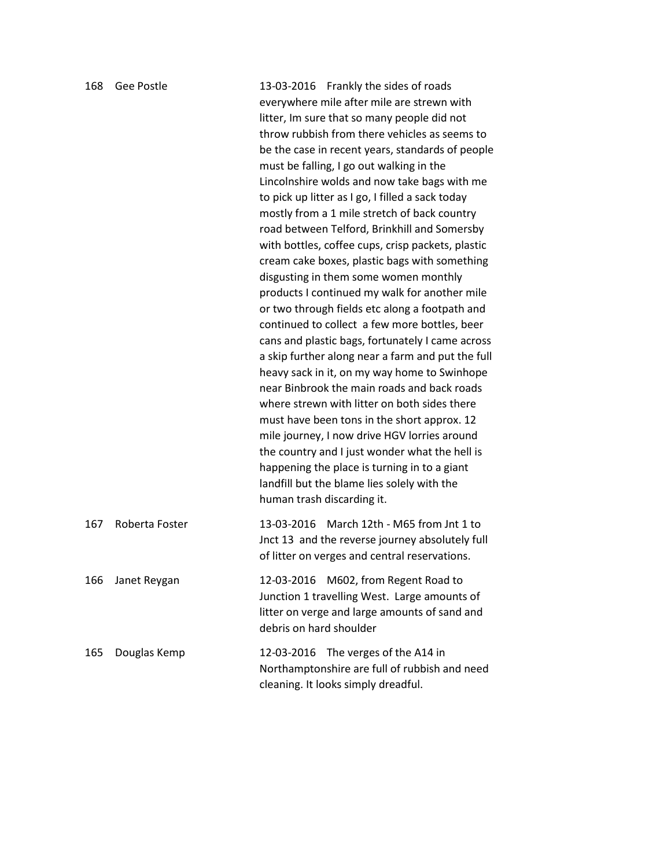| 168 | <b>Gee Postle</b> | 13-03-2016 Frankly the sides of roads<br>everywhere mile after mile are strewn with<br>litter, Im sure that so many people did not<br>throw rubbish from there vehicles as seems to<br>be the case in recent years, standards of people<br>must be falling, I go out walking in the<br>Lincolnshire wolds and now take bags with me<br>to pick up litter as I go, I filled a sack today<br>mostly from a 1 mile stretch of back country<br>road between Telford, Brinkhill and Somersby<br>with bottles, coffee cups, crisp packets, plastic<br>cream cake boxes, plastic bags with something<br>disgusting in them some women monthly<br>products I continued my walk for another mile<br>or two through fields etc along a footpath and<br>continued to collect a few more bottles, beer<br>cans and plastic bags, fortunately I came across<br>a skip further along near a farm and put the full<br>heavy sack in it, on my way home to Swinhope<br>near Binbrook the main roads and back roads<br>where strewn with litter on both sides there<br>must have been tons in the short approx. 12<br>mile journey, I now drive HGV lorries around<br>the country and I just wonder what the hell is<br>happening the place is turning in to a giant<br>landfill but the blame lies solely with the |
|-----|-------------------|----------------------------------------------------------------------------------------------------------------------------------------------------------------------------------------------------------------------------------------------------------------------------------------------------------------------------------------------------------------------------------------------------------------------------------------------------------------------------------------------------------------------------------------------------------------------------------------------------------------------------------------------------------------------------------------------------------------------------------------------------------------------------------------------------------------------------------------------------------------------------------------------------------------------------------------------------------------------------------------------------------------------------------------------------------------------------------------------------------------------------------------------------------------------------------------------------------------------------------------------------------------------------------------------------|
|     |                   | human trash discarding it.                                                                                                                                                                                                                                                                                                                                                                                                                                                                                                                                                                                                                                                                                                                                                                                                                                                                                                                                                                                                                                                                                                                                                                                                                                                                         |
| 167 | Roberta Foster    | 13-03-2016 March 12th - M65 from Jnt 1 to<br>Jnct 13 and the reverse journey absolutely full<br>of litter on verges and central reservations.                                                                                                                                                                                                                                                                                                                                                                                                                                                                                                                                                                                                                                                                                                                                                                                                                                                                                                                                                                                                                                                                                                                                                      |
| 166 | Janet Reygan      | 12-03-2016 M602, from Regent Road to<br>Junction 1 travelling West. Large amounts of<br>litter on verge and large amounts of sand and<br>debris on hard shoulder                                                                                                                                                                                                                                                                                                                                                                                                                                                                                                                                                                                                                                                                                                                                                                                                                                                                                                                                                                                                                                                                                                                                   |
| 165 | Douglas Kemp      | The verges of the A14 in<br>12-03-2016<br>Northamptonshire are full of rubbish and need<br>cleaning. It looks simply dreadful.                                                                                                                                                                                                                                                                                                                                                                                                                                                                                                                                                                                                                                                                                                                                                                                                                                                                                                                                                                                                                                                                                                                                                                     |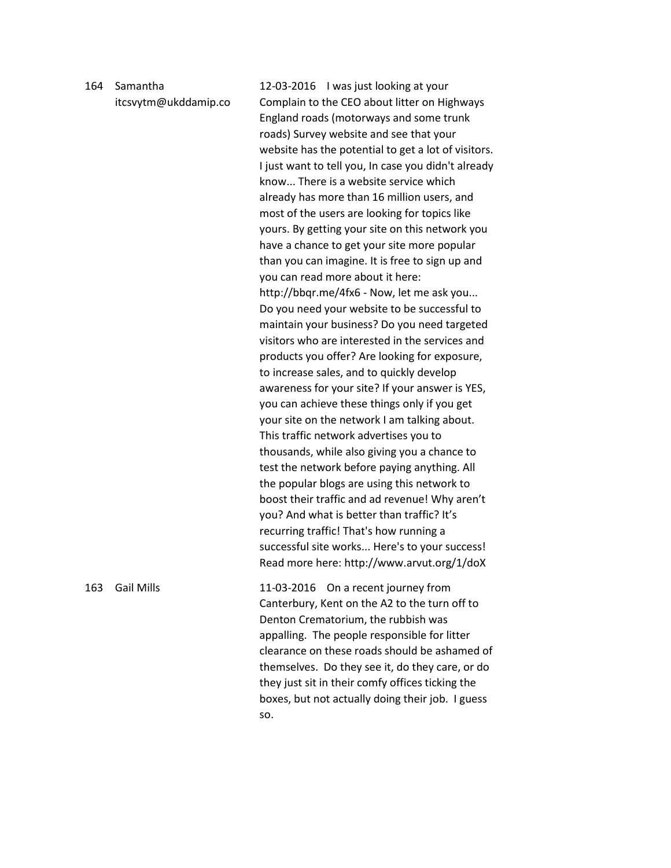## 164 Samantha itcsvytm@ukddamip.co

12-03-2016 I was just looking at your Complain to the CEO about litter on Highways England roads (motorways and some trunk roads) Survey website and see that your website has the potential to get a lot of visitors. I just want to tell you, In case you didn't already know... There is a website service which already has more than 16 million users, and most of the users are looking for topics like yours. By getting your site on this network you have a chance to get your site more popular than you can imagine. It is free to sign up and you can read more about it here: http://bbqr.me/4fx6 - Now, let me ask you... Do you need your website to be successful to maintain your business? Do you need targeted visitors who are interested in the services and products you offer? Are looking for exposure, to increase sales, and to quickly develop awareness for your site? If your answer is YES, you can achieve these things only if you get your site on the network I am talking about. This traffic network advertises you to thousands, while also giving you a chance to test the network before paying anything. All the popular blogs are using this network to boost their traffic and ad revenue! Why aren't you? And what is better than traffic? It's recurring traffic! That's how running a successful site works... Here's to your success! Read more here: http://www.arvut.org/1/doX

163 Gail Mills 11-03-2016 On a recent journey from Canterbury, Kent on the A2 to the turn off to Denton Crematorium, the rubbish was appalling. The people responsible for litter clearance on these roads should be ashamed of themselves. Do they see it, do they care, or do they just sit in their comfy offices ticking the boxes, but not actually doing their job. I guess so.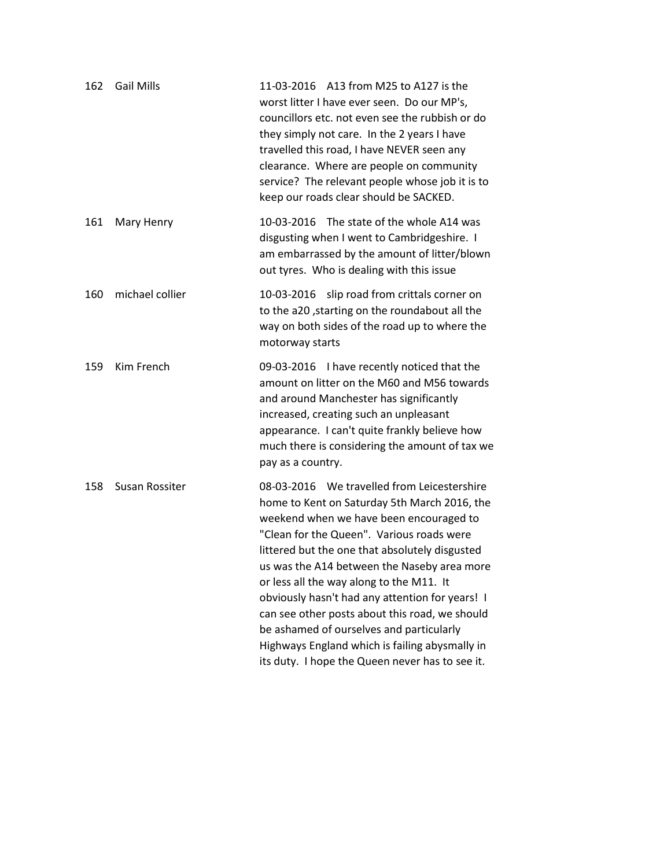| 162 | <b>Gail Mills</b> | 11-03-2016 A13 from M25 to A127 is the<br>worst litter I have ever seen. Do our MP's,<br>councillors etc. not even see the rubbish or do<br>they simply not care. In the 2 years I have<br>travelled this road, I have NEVER seen any<br>clearance. Where are people on community<br>service? The relevant people whose job it is to<br>keep our roads clear should be SACKED.                                                                                                                                                                                                         |
|-----|-------------------|----------------------------------------------------------------------------------------------------------------------------------------------------------------------------------------------------------------------------------------------------------------------------------------------------------------------------------------------------------------------------------------------------------------------------------------------------------------------------------------------------------------------------------------------------------------------------------------|
| 161 | Mary Henry        | 10-03-2016 The state of the whole A14 was<br>disgusting when I went to Cambridgeshire. I<br>am embarrassed by the amount of litter/blown<br>out tyres. Who is dealing with this issue                                                                                                                                                                                                                                                                                                                                                                                                  |
| 160 | michael collier   | 10-03-2016 slip road from crittals corner on<br>to the a20, starting on the roundabout all the<br>way on both sides of the road up to where the<br>motorway starts                                                                                                                                                                                                                                                                                                                                                                                                                     |
| 159 | Kim French        | 09-03-2016 I have recently noticed that the<br>amount on litter on the M60 and M56 towards<br>and around Manchester has significantly<br>increased, creating such an unpleasant<br>appearance. I can't quite frankly believe how<br>much there is considering the amount of tax we<br>pay as a country.                                                                                                                                                                                                                                                                                |
| 158 | Susan Rossiter    | 08-03-2016 We travelled from Leicestershire<br>home to Kent on Saturday 5th March 2016, the<br>weekend when we have been encouraged to<br>"Clean for the Queen". Various roads were<br>littered but the one that absolutely disgusted<br>us was the A14 between the Naseby area more<br>or less all the way along to the M11. It<br>obviously hasn't had any attention for years! I<br>can see other posts about this road, we should<br>be ashamed of ourselves and particularly<br>Highways England which is failing abysmally in<br>its duty. I hope the Queen never has to see it. |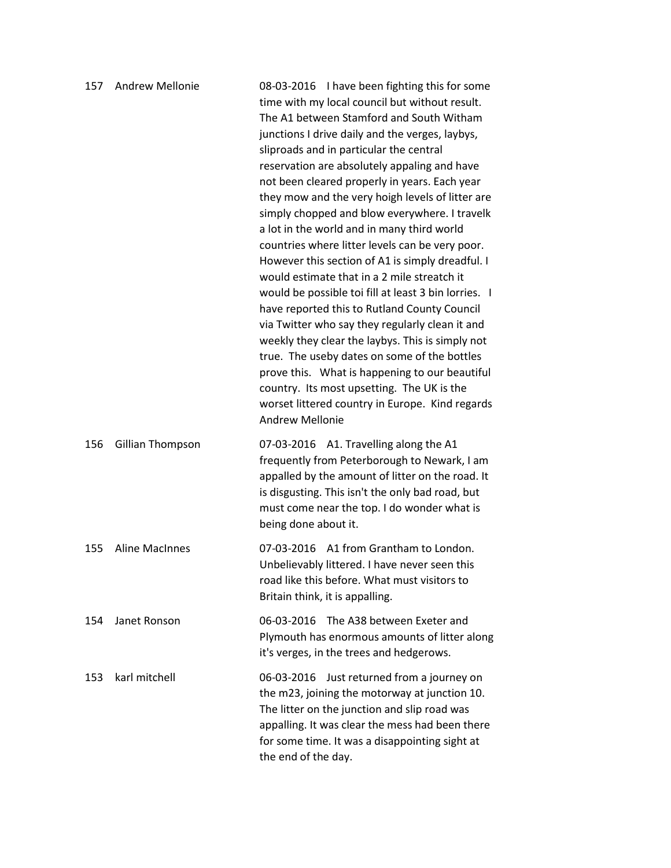| 157 | <b>Andrew Mellonie</b> | 08-03-2016 I have been fighting this for some<br>time with my local council but without result.<br>The A1 between Stamford and South Witham<br>junctions I drive daily and the verges, laybys,<br>sliproads and in particular the central<br>reservation are absolutely appaling and have<br>not been cleared properly in years. Each year<br>they mow and the very hoigh levels of litter are<br>simply chopped and blow everywhere. I travelk<br>a lot in the world and in many third world<br>countries where litter levels can be very poor.<br>However this section of A1 is simply dreadful. I<br>would estimate that in a 2 mile streatch it<br>would be possible toi fill at least 3 bin lorries. I<br>have reported this to Rutland County Council<br>via Twitter who say they regularly clean it and<br>weekly they clear the laybys. This is simply not<br>true. The useby dates on some of the bottles<br>prove this. What is happening to our beautiful<br>country. Its most upsetting. The UK is the<br>worset littered country in Europe. Kind regards<br><b>Andrew Mellonie</b> |
|-----|------------------------|-------------------------------------------------------------------------------------------------------------------------------------------------------------------------------------------------------------------------------------------------------------------------------------------------------------------------------------------------------------------------------------------------------------------------------------------------------------------------------------------------------------------------------------------------------------------------------------------------------------------------------------------------------------------------------------------------------------------------------------------------------------------------------------------------------------------------------------------------------------------------------------------------------------------------------------------------------------------------------------------------------------------------------------------------------------------------------------------------|
| 156 | Gillian Thompson       | 07-03-2016 A1. Travelling along the A1<br>frequently from Peterborough to Newark, I am<br>appalled by the amount of litter on the road. It<br>is disgusting. This isn't the only bad road, but<br>must come near the top. I do wonder what is<br>being done about it.                                                                                                                                                                                                                                                                                                                                                                                                                                                                                                                                                                                                                                                                                                                                                                                                                           |
| 155 | <b>Aline MacInnes</b>  | 07-03-2016 A1 from Grantham to London.<br>Unbelievably littered. I have never seen this<br>road like this before. What must visitors to<br>Britain think, it is appalling.                                                                                                                                                                                                                                                                                                                                                                                                                                                                                                                                                                                                                                                                                                                                                                                                                                                                                                                      |
| 154 | Janet Ronson           | The A38 between Exeter and<br>06-03-2016<br>Plymouth has enormous amounts of litter along<br>it's verges, in the trees and hedgerows.                                                                                                                                                                                                                                                                                                                                                                                                                                                                                                                                                                                                                                                                                                                                                                                                                                                                                                                                                           |
| 153 | karl mitchell          | Just returned from a journey on<br>06-03-2016<br>the m23, joining the motorway at junction 10.<br>The litter on the junction and slip road was<br>appalling. It was clear the mess had been there<br>for some time. It was a disappointing sight at<br>the end of the day.                                                                                                                                                                                                                                                                                                                                                                                                                                                                                                                                                                                                                                                                                                                                                                                                                      |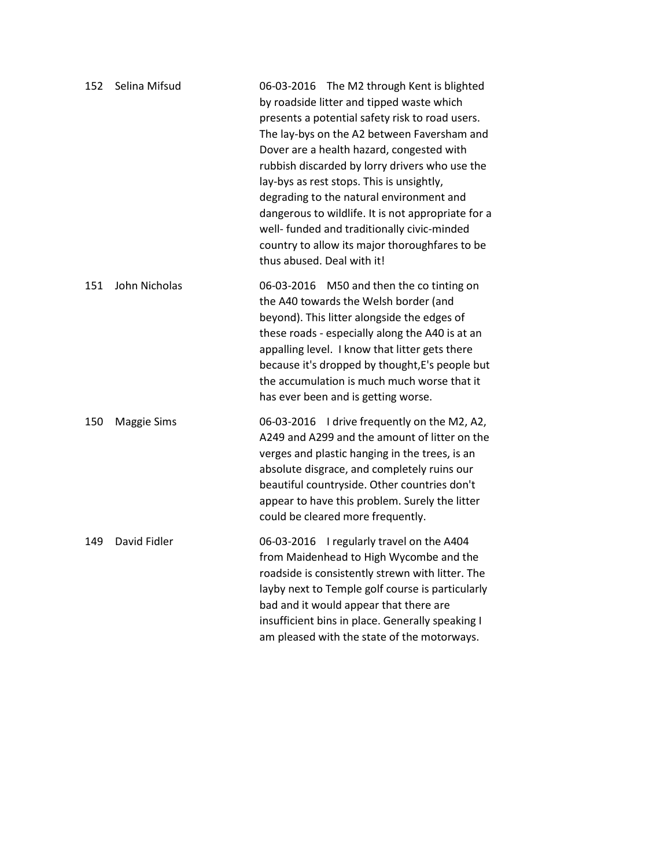| 152 | Selina Mifsud | 06-03-2016 The M2 through Kent is blighted<br>by roadside litter and tipped waste which<br>presents a potential safety risk to road users.<br>The lay-bys on the A2 between Faversham and<br>Dover are a health hazard, congested with<br>rubbish discarded by lorry drivers who use the<br>lay-bys as rest stops. This is unsightly,<br>degrading to the natural environment and<br>dangerous to wildlife. It is not appropriate for a<br>well- funded and traditionally civic-minded<br>country to allow its major thoroughfares to be<br>thus abused. Deal with it! |
|-----|---------------|------------------------------------------------------------------------------------------------------------------------------------------------------------------------------------------------------------------------------------------------------------------------------------------------------------------------------------------------------------------------------------------------------------------------------------------------------------------------------------------------------------------------------------------------------------------------|
| 151 | John Nicholas | 06-03-2016 M50 and then the co tinting on<br>the A40 towards the Welsh border (and<br>beyond). This litter alongside the edges of<br>these roads - especially along the A40 is at an<br>appalling level. I know that litter gets there<br>because it's dropped by thought, E's people but<br>the accumulation is much much worse that it<br>has ever been and is getting worse.                                                                                                                                                                                        |
| 150 | Maggie Sims   | 06-03-2016 I drive frequently on the M2, A2,<br>A249 and A299 and the amount of litter on the<br>verges and plastic hanging in the trees, is an<br>absolute disgrace, and completely ruins our<br>beautiful countryside. Other countries don't<br>appear to have this problem. Surely the litter<br>could be cleared more frequently.                                                                                                                                                                                                                                  |
| 149 | David Fidler  | 06-03-2016 I regularly travel on the A404<br>from Maidenhead to High Wycombe and the<br>roadside is consistently strewn with litter. The<br>layby next to Temple golf course is particularly<br>bad and it would appear that there are<br>insufficient bins in place. Generally speaking I<br>am pleased with the state of the motorways.                                                                                                                                                                                                                              |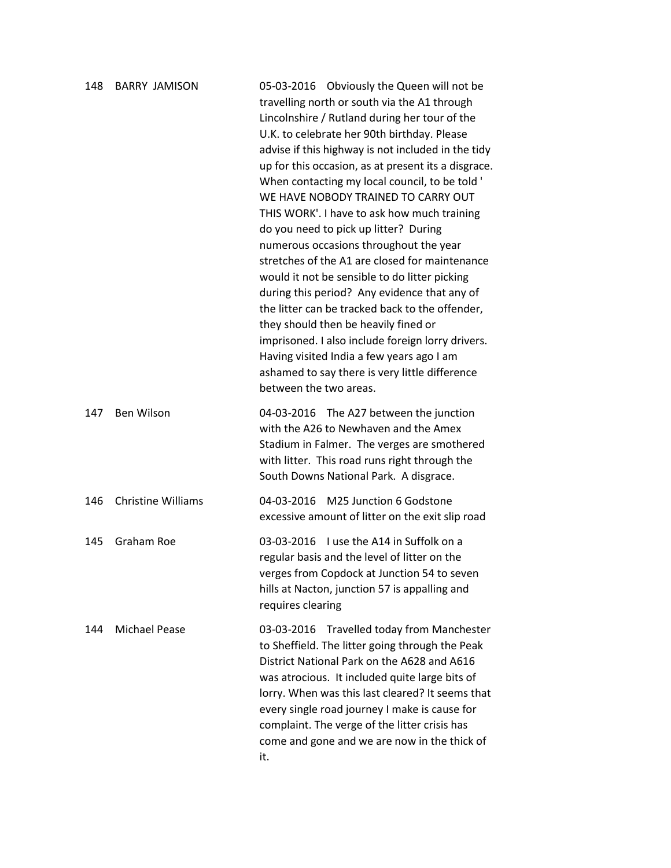| 148 | <b>BARRY JAMISON</b>      | 05-03-2016 Obviously the Queen will not be<br>travelling north or south via the A1 through<br>Lincolnshire / Rutland during her tour of the<br>U.K. to celebrate her 90th birthday. Please<br>advise if this highway is not included in the tidy<br>up for this occasion, as at present its a disgrace.<br>When contacting my local council, to be told '<br>WE HAVE NOBODY TRAINED TO CARRY OUT<br>THIS WORK'. I have to ask how much training<br>do you need to pick up litter? During<br>numerous occasions throughout the year<br>stretches of the A1 are closed for maintenance<br>would it not be sensible to do litter picking<br>during this period? Any evidence that any of<br>the litter can be tracked back to the offender,<br>they should then be heavily fined or<br>imprisoned. I also include foreign lorry drivers.<br>Having visited India a few years ago I am<br>ashamed to say there is very little difference<br>between the two areas. |
|-----|---------------------------|----------------------------------------------------------------------------------------------------------------------------------------------------------------------------------------------------------------------------------------------------------------------------------------------------------------------------------------------------------------------------------------------------------------------------------------------------------------------------------------------------------------------------------------------------------------------------------------------------------------------------------------------------------------------------------------------------------------------------------------------------------------------------------------------------------------------------------------------------------------------------------------------------------------------------------------------------------------|
| 147 | Ben Wilson                | 04-03-2016 The A27 between the junction<br>with the A26 to Newhaven and the Amex<br>Stadium in Falmer. The verges are smothered<br>with litter. This road runs right through the<br>South Downs National Park. A disgrace.                                                                                                                                                                                                                                                                                                                                                                                                                                                                                                                                                                                                                                                                                                                                     |
| 146 | <b>Christine Williams</b> | M25 Junction 6 Godstone<br>04-03-2016<br>excessive amount of litter on the exit slip road                                                                                                                                                                                                                                                                                                                                                                                                                                                                                                                                                                                                                                                                                                                                                                                                                                                                      |
| 145 | <b>Graham Roe</b>         | 03-03-2016  Use the A14 in Suffolk on a<br>regular basis and the level of litter on the<br>verges from Copdock at Junction 54 to seven<br>hills at Nacton, junction 57 is appalling and<br>requires clearing                                                                                                                                                                                                                                                                                                                                                                                                                                                                                                                                                                                                                                                                                                                                                   |
| 144 | <b>Michael Pease</b>      | 03-03-2016 Travelled today from Manchester<br>to Sheffield. The litter going through the Peak<br>District National Park on the A628 and A616<br>was atrocious. It included quite large bits of<br>lorry. When was this last cleared? It seems that<br>every single road journey I make is cause for<br>complaint. The verge of the litter crisis has<br>come and gone and we are now in the thick of<br>it.                                                                                                                                                                                                                                                                                                                                                                                                                                                                                                                                                    |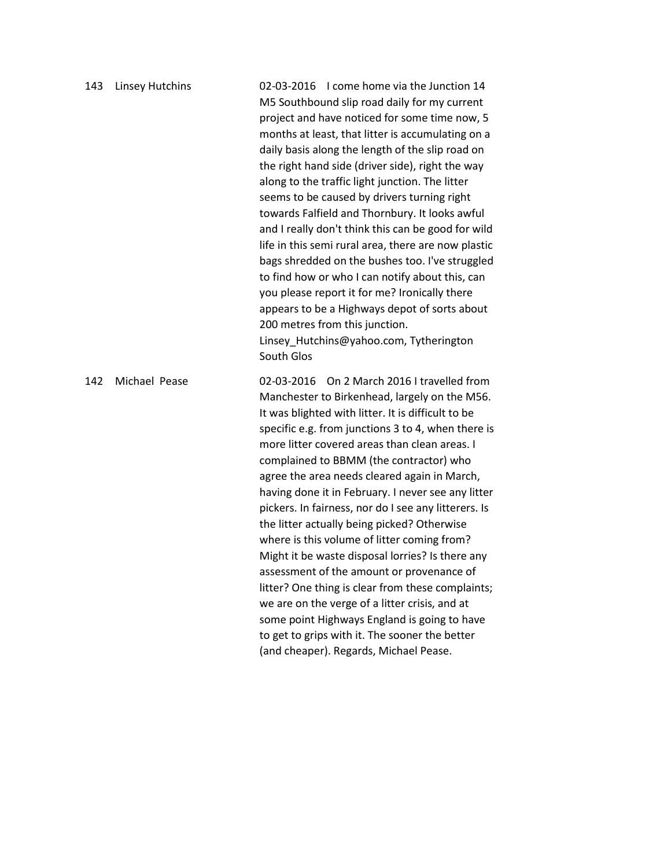| 143 | <b>Linsey Hutchins</b> | 02-03-2016 I come home via the Junction 14<br>M5 Southbound slip road daily for my current<br>project and have noticed for some time now, 5<br>months at least, that litter is accumulating on a<br>daily basis along the length of the slip road on<br>the right hand side (driver side), right the way<br>along to the traffic light junction. The litter<br>seems to be caused by drivers turning right<br>towards Falfield and Thornbury. It looks awful<br>and I really don't think this can be good for wild<br>life in this semi rural area, there are now plastic<br>bags shredded on the bushes too. I've struggled<br>to find how or who I can notify about this, can<br>you please report it for me? Ironically there<br>appears to be a Highways depot of sorts about<br>200 metres from this junction.<br>Linsey_Hutchins@yahoo.com, Tytherington<br>South Glos                                         |
|-----|------------------------|----------------------------------------------------------------------------------------------------------------------------------------------------------------------------------------------------------------------------------------------------------------------------------------------------------------------------------------------------------------------------------------------------------------------------------------------------------------------------------------------------------------------------------------------------------------------------------------------------------------------------------------------------------------------------------------------------------------------------------------------------------------------------------------------------------------------------------------------------------------------------------------------------------------------|
| 142 | Michael Pease          | 02-03-2016 On 2 March 2016 I travelled from<br>Manchester to Birkenhead, largely on the M56.<br>It was blighted with litter. It is difficult to be<br>specific e.g. from junctions 3 to 4, when there is<br>more litter covered areas than clean areas. I<br>complained to BBMM (the contractor) who<br>agree the area needs cleared again in March,<br>having done it in February. I never see any litter<br>pickers. In fairness, nor do I see any litterers. Is<br>the litter actually being picked? Otherwise<br>where is this volume of litter coming from?<br>Might it be waste disposal lorries? Is there any<br>assessment of the amount or provenance of<br>litter? One thing is clear from these complaints;<br>we are on the verge of a litter crisis, and at<br>some point Highways England is going to have<br>to get to grips with it. The sooner the better<br>(and cheaper). Regards, Michael Pease. |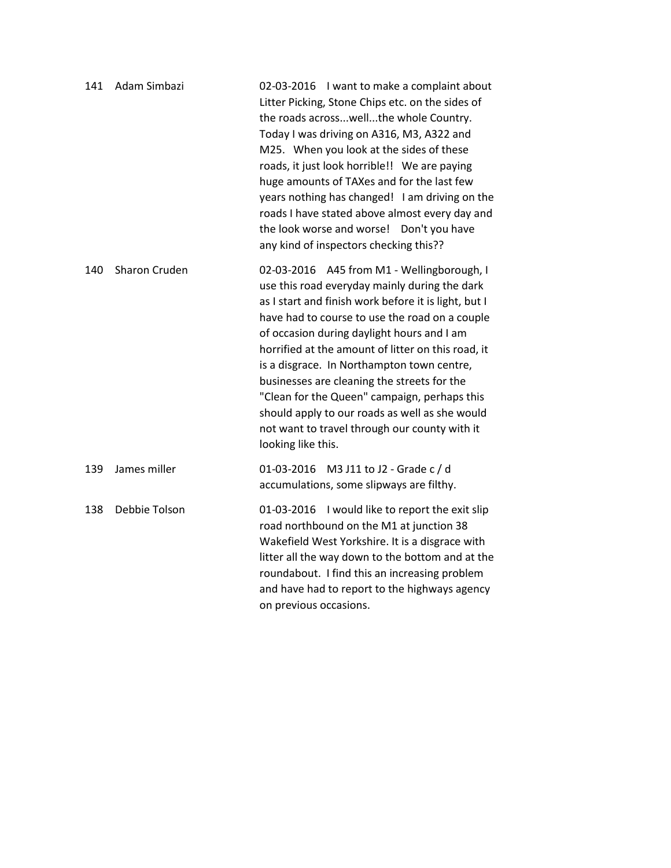| 141 | Adam Simbazi  | 02-03-2016 I want to make a complaint about<br>Litter Picking, Stone Chips etc. on the sides of<br>the roads acrosswellthe whole Country.<br>Today I was driving on A316, M3, A322 and<br>M25. When you look at the sides of these<br>roads, it just look horrible!! We are paying<br>huge amounts of TAXes and for the last few<br>years nothing has changed! I am driving on the<br>roads I have stated above almost every day and<br>the look worse and worse! Don't you have<br>any kind of inspectors checking this??                                                      |
|-----|---------------|---------------------------------------------------------------------------------------------------------------------------------------------------------------------------------------------------------------------------------------------------------------------------------------------------------------------------------------------------------------------------------------------------------------------------------------------------------------------------------------------------------------------------------------------------------------------------------|
| 140 | Sharon Cruden | 02-03-2016 A45 from M1 - Wellingborough, I<br>use this road everyday mainly during the dark<br>as I start and finish work before it is light, but I<br>have had to course to use the road on a couple<br>of occasion during daylight hours and I am<br>horrified at the amount of litter on this road, it<br>is a disgrace. In Northampton town centre,<br>businesses are cleaning the streets for the<br>"Clean for the Queen" campaign, perhaps this<br>should apply to our roads as well as she would<br>not want to travel through our county with it<br>looking like this. |
| 139 | James miller  | 01-03-2016 M3 J11 to J2 - Grade c / d<br>accumulations, some slipways are filthy.                                                                                                                                                                                                                                                                                                                                                                                                                                                                                               |
| 138 | Debbie Tolson | 01-03-2016 I would like to report the exit slip<br>road northbound on the M1 at junction 38<br>Wakefield West Yorkshire. It is a disgrace with<br>litter all the way down to the bottom and at the<br>roundabout. I find this an increasing problem<br>and have had to report to the highways agency<br>on previous occasions.                                                                                                                                                                                                                                                  |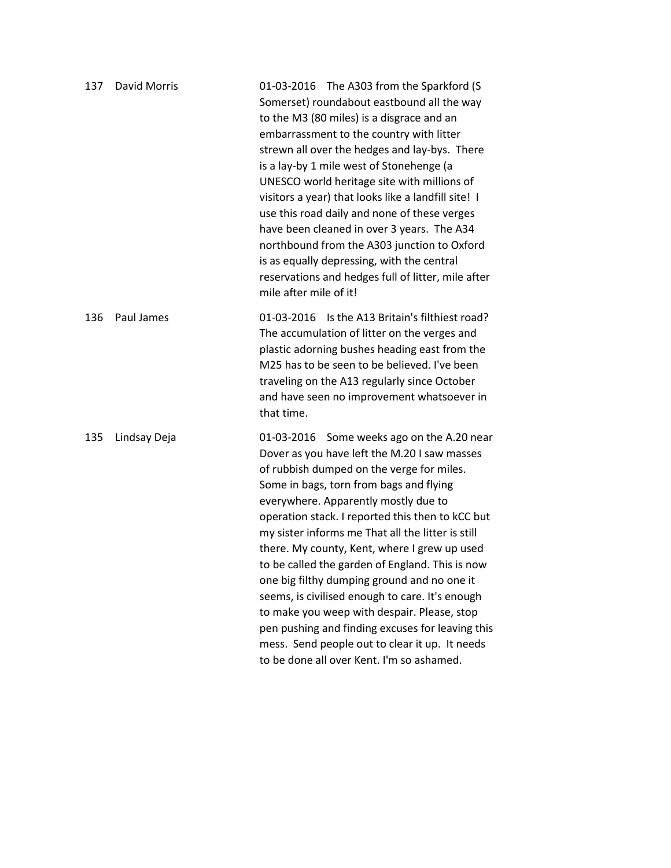| 137 | <b>David Morris</b> | 01-03-2016 The A303 from the Sparkford (S<br>Somerset) roundabout eastbound all the way<br>to the M3 (80 miles) is a disgrace and an<br>embarrassment to the country with litter<br>strewn all over the hedges and lay-bys. There<br>is a lay-by 1 mile west of Stonehenge (a<br>UNESCO world heritage site with millions of<br>visitors a year) that looks like a landfill site! I<br>use this road daily and none of these verges<br>have been cleaned in over 3 years. The A34<br>northbound from the A303 junction to Oxford<br>is as equally depressing, with the central<br>reservations and hedges full of litter, mile after<br>mile after mile of it!                                                                             |
|-----|---------------------|--------------------------------------------------------------------------------------------------------------------------------------------------------------------------------------------------------------------------------------------------------------------------------------------------------------------------------------------------------------------------------------------------------------------------------------------------------------------------------------------------------------------------------------------------------------------------------------------------------------------------------------------------------------------------------------------------------------------------------------------|
| 136 | Paul James          | Is the A13 Britain's filthiest road?<br>01-03-2016<br>The accumulation of litter on the verges and<br>plastic adorning bushes heading east from the<br>M25 has to be seen to be believed. I've been<br>traveling on the A13 regularly since October<br>and have seen no improvement whatsoever in<br>that time.                                                                                                                                                                                                                                                                                                                                                                                                                            |
| 135 | Lindsay Deja        | 01-03-2016 Some weeks ago on the A.20 near<br>Dover as you have left the M.20 I saw masses<br>of rubbish dumped on the verge for miles.<br>Some in bags, torn from bags and flying<br>everywhere. Apparently mostly due to<br>operation stack. I reported this then to kCC but<br>my sister informs me That all the litter is still<br>there. My county, Kent, where I grew up used<br>to be called the garden of England. This is now<br>one big filthy dumping ground and no one it<br>seems, is civilised enough to care. It's enough<br>to make you weep with despair. Please, stop<br>pen pushing and finding excuses for leaving this<br>mess. Send people out to clear it up. It needs<br>to be done all over Kent. I'm so ashamed. |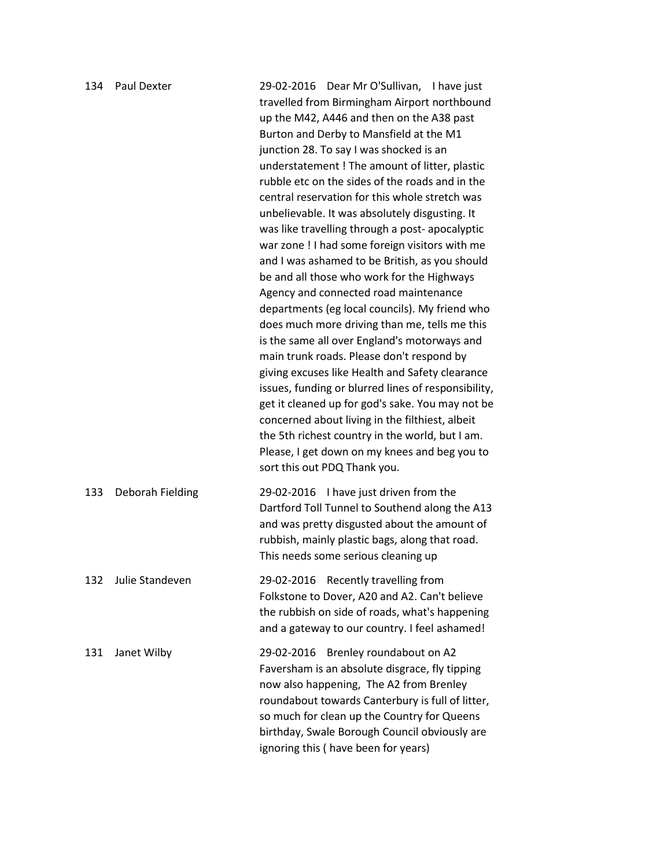| 134 | Paul Dexter      | 29-02-2016 Dear Mr O'Sullivan, I have just<br>travelled from Birmingham Airport northbound<br>up the M42, A446 and then on the A38 past<br>Burton and Derby to Mansfield at the M1<br>junction 28. To say I was shocked is an<br>understatement ! The amount of litter, plastic<br>rubble etc on the sides of the roads and in the<br>central reservation for this whole stretch was<br>unbelievable. It was absolutely disgusting. It<br>was like travelling through a post- apocalyptic<br>war zone ! I had some foreign visitors with me<br>and I was ashamed to be British, as you should<br>be and all those who work for the Highways<br>Agency and connected road maintenance<br>departments (eg local councils). My friend who<br>does much more driving than me, tells me this<br>is the same all over England's motorways and<br>main trunk roads. Please don't respond by<br>giving excuses like Health and Safety clearance<br>issues, funding or blurred lines of responsibility,<br>get it cleaned up for god's sake. You may not be<br>concerned about living in the filthiest, albeit<br>the 5th richest country in the world, but I am.<br>Please, I get down on my knees and beg you to<br>sort this out PDQ Thank you. |
|-----|------------------|-------------------------------------------------------------------------------------------------------------------------------------------------------------------------------------------------------------------------------------------------------------------------------------------------------------------------------------------------------------------------------------------------------------------------------------------------------------------------------------------------------------------------------------------------------------------------------------------------------------------------------------------------------------------------------------------------------------------------------------------------------------------------------------------------------------------------------------------------------------------------------------------------------------------------------------------------------------------------------------------------------------------------------------------------------------------------------------------------------------------------------------------------------------------------------------------------------------------------------------------|
| 133 | Deborah Fielding | 29-02-2016 I have just driven from the<br>Dartford Toll Tunnel to Southend along the A13<br>and was pretty disgusted about the amount of<br>rubbish, mainly plastic bags, along that road.<br>This needs some serious cleaning up                                                                                                                                                                                                                                                                                                                                                                                                                                                                                                                                                                                                                                                                                                                                                                                                                                                                                                                                                                                                         |
| 132 | Julie Standeven  | Recently travelling from<br>29-02-2016<br>Folkstone to Dover, A20 and A2. Can't believe<br>the rubbish on side of roads, what's happening<br>and a gateway to our country. I feel ashamed!                                                                                                                                                                                                                                                                                                                                                                                                                                                                                                                                                                                                                                                                                                                                                                                                                                                                                                                                                                                                                                                |
| 131 | Janet Wilby      | Brenley roundabout on A2<br>29-02-2016<br>Faversham is an absolute disgrace, fly tipping<br>now also happening, The A2 from Brenley<br>roundabout towards Canterbury is full of litter,<br>so much for clean up the Country for Queens<br>birthday, Swale Borough Council obviously are<br>ignoring this ( have been for years)                                                                                                                                                                                                                                                                                                                                                                                                                                                                                                                                                                                                                                                                                                                                                                                                                                                                                                           |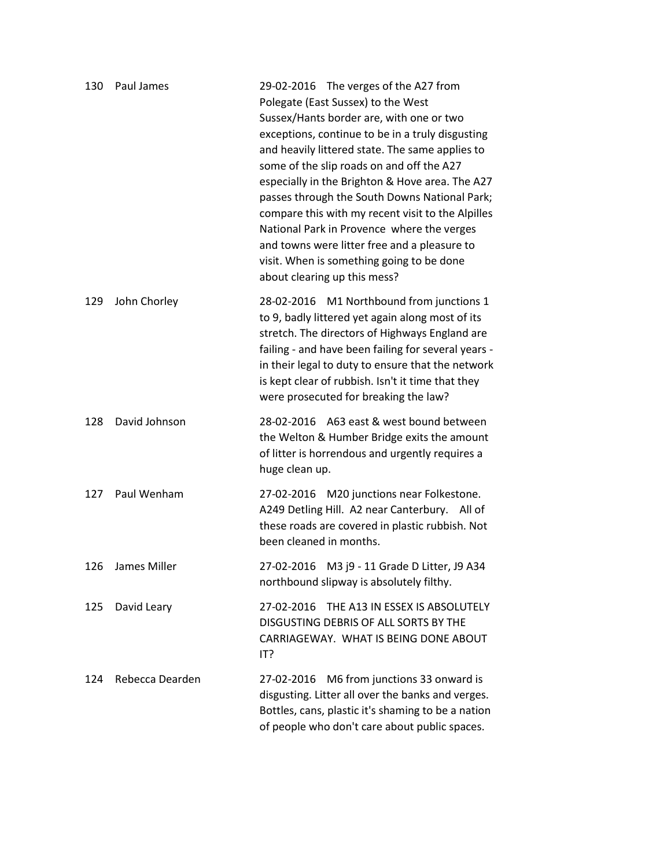| 130 | Paul James      | 29-02-2016 The verges of the A27 from<br>Polegate (East Sussex) to the West<br>Sussex/Hants border are, with one or two<br>exceptions, continue to be in a truly disgusting<br>and heavily littered state. The same applies to<br>some of the slip roads on and off the A27<br>especially in the Brighton & Hove area. The A27<br>passes through the South Downs National Park;<br>compare this with my recent visit to the Alpilles<br>National Park in Provence where the verges<br>and towns were litter free and a pleasure to<br>visit. When is something going to be done<br>about clearing up this mess? |
|-----|-----------------|-----------------------------------------------------------------------------------------------------------------------------------------------------------------------------------------------------------------------------------------------------------------------------------------------------------------------------------------------------------------------------------------------------------------------------------------------------------------------------------------------------------------------------------------------------------------------------------------------------------------|
| 129 | John Chorley    | 28-02-2016 M1 Northbound from junctions 1<br>to 9, badly littered yet again along most of its<br>stretch. The directors of Highways England are<br>failing - and have been failing for several years -<br>in their legal to duty to ensure that the network<br>is kept clear of rubbish. Isn't it time that they<br>were prosecuted for breaking the law?                                                                                                                                                                                                                                                       |
| 128 | David Johnson   | 28-02-2016 A63 east & west bound between<br>the Welton & Humber Bridge exits the amount<br>of litter is horrendous and urgently requires a<br>huge clean up.                                                                                                                                                                                                                                                                                                                                                                                                                                                    |
| 127 | Paul Wenham     | 27-02-2016 M20 junctions near Folkestone.<br>A249 Detling Hill. A2 near Canterbury. All of<br>these roads are covered in plastic rubbish. Not<br>been cleaned in months.                                                                                                                                                                                                                                                                                                                                                                                                                                        |
| 126 | James Miller    | M3 j9 - 11 Grade D Litter, J9 A34<br>27-02-2016<br>northbound slipway is absolutely filthy.                                                                                                                                                                                                                                                                                                                                                                                                                                                                                                                     |
| 125 | David Leary     | THE A13 IN ESSEX IS ABSOLUTELY<br>27-02-2016<br>DISGUSTING DEBRIS OF ALL SORTS BY THE<br>CARRIAGEWAY. WHAT IS BEING DONE ABOUT<br>IT?                                                                                                                                                                                                                                                                                                                                                                                                                                                                           |
| 124 | Rebecca Dearden | M6 from junctions 33 onward is<br>27-02-2016<br>disgusting. Litter all over the banks and verges.<br>Bottles, cans, plastic it's shaming to be a nation<br>of people who don't care about public spaces.                                                                                                                                                                                                                                                                                                                                                                                                        |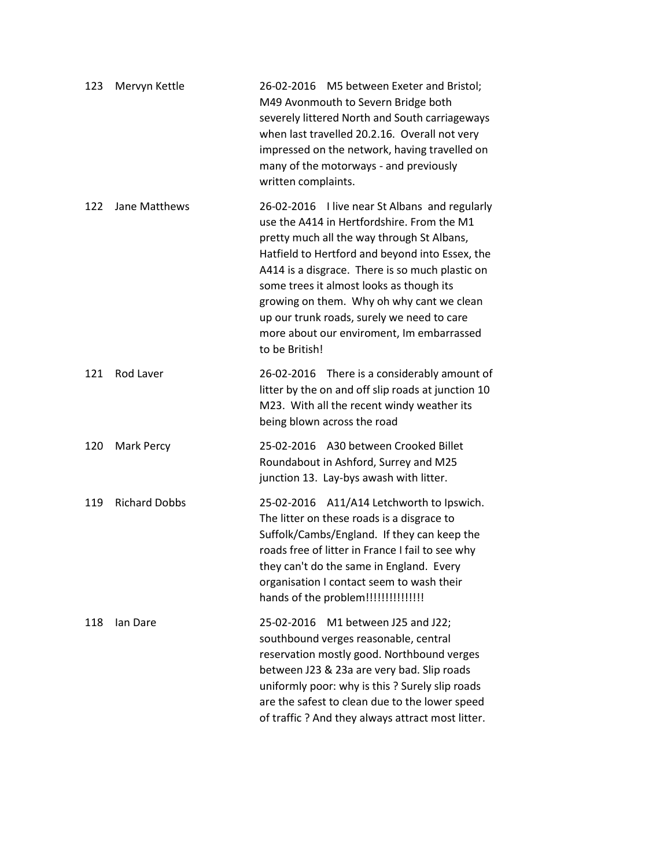| 123 | Mervyn Kettle        | 26-02-2016 M5 between Exeter and Bristol;<br>M49 Avonmouth to Severn Bridge both<br>severely littered North and South carriageways<br>when last travelled 20.2.16. Overall not very<br>impressed on the network, having travelled on<br>many of the motorways - and previously<br>written complaints.                                                                                                                                                  |
|-----|----------------------|--------------------------------------------------------------------------------------------------------------------------------------------------------------------------------------------------------------------------------------------------------------------------------------------------------------------------------------------------------------------------------------------------------------------------------------------------------|
| 122 | Jane Matthews        | 26-02-2016 I live near St Albans and regularly<br>use the A414 in Hertfordshire. From the M1<br>pretty much all the way through St Albans,<br>Hatfield to Hertford and beyond into Essex, the<br>A414 is a disgrace. There is so much plastic on<br>some trees it almost looks as though its<br>growing on them. Why oh why cant we clean<br>up our trunk roads, surely we need to care<br>more about our enviroment, Im embarrassed<br>to be British! |
| 121 | Rod Laver            | 26-02-2016 There is a considerably amount of<br>litter by the on and off slip roads at junction 10<br>M23. With all the recent windy weather its<br>being blown across the road                                                                                                                                                                                                                                                                        |
| 120 | <b>Mark Percy</b>    | 25-02-2016 A30 between Crooked Billet<br>Roundabout in Ashford, Surrey and M25<br>junction 13. Lay-bys awash with litter.                                                                                                                                                                                                                                                                                                                              |
| 119 | <b>Richard Dobbs</b> | 25-02-2016 A11/A14 Letchworth to Ipswich.<br>The litter on these roads is a disgrace to<br>Suffolk/Cambs/England. If they can keep the<br>roads free of litter in France I fail to see why<br>they can't do the same in England. Every<br>organisation I contact seem to wash their<br>hands of the problem!!!!!!!!!!!!!!!!                                                                                                                            |
| 118 | lan Dare             | M1 between J25 and J22;<br>25-02-2016<br>southbound verges reasonable, central<br>reservation mostly good. Northbound verges<br>between J23 & 23a are very bad. Slip roads<br>uniformly poor: why is this ? Surely slip roads<br>are the safest to clean due to the lower speed<br>of traffic ? And they always attract most litter.                                                                                                                   |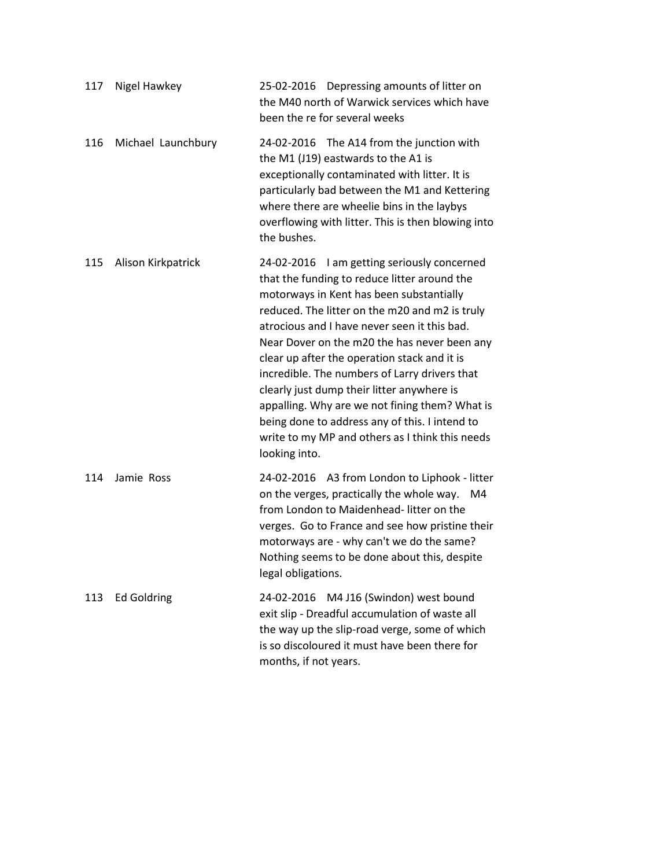| 117 | Nigel Hawkey       | 25-02-2016 Depressing amounts of litter on<br>the M40 north of Warwick services which have<br>been the re for several weeks                                                                                                                                                                                                                                                                                                                                                                                                                                                                                      |
|-----|--------------------|------------------------------------------------------------------------------------------------------------------------------------------------------------------------------------------------------------------------------------------------------------------------------------------------------------------------------------------------------------------------------------------------------------------------------------------------------------------------------------------------------------------------------------------------------------------------------------------------------------------|
| 116 | Michael Launchbury | 24-02-2016 The A14 from the junction with<br>the M1 (J19) eastwards to the A1 is<br>exceptionally contaminated with litter. It is<br>particularly bad between the M1 and Kettering<br>where there are wheelie bins in the laybys<br>overflowing with litter. This is then blowing into<br>the bushes.                                                                                                                                                                                                                                                                                                            |
| 115 | Alison Kirkpatrick | 24-02-2016 I am getting seriously concerned<br>that the funding to reduce litter around the<br>motorways in Kent has been substantially<br>reduced. The litter on the m20 and m2 is truly<br>atrocious and I have never seen it this bad.<br>Near Dover on the m20 the has never been any<br>clear up after the operation stack and it is<br>incredible. The numbers of Larry drivers that<br>clearly just dump their litter anywhere is<br>appalling. Why are we not fining them? What is<br>being done to address any of this. I intend to<br>write to my MP and others as I think this needs<br>looking into. |
| 114 | Jamie Ross         | 24-02-2016 A3 from London to Liphook - litter<br>on the verges, practically the whole way. M4<br>from London to Maidenhead-litter on the<br>verges. Go to France and see how pristine their<br>motorways are - why can't we do the same?<br>Nothing seems to be done about this, despite<br>legal obligations.                                                                                                                                                                                                                                                                                                   |
| 113 | <b>Ed Goldring</b> | 24-02-2016 M4 J16 (Swindon) west bound<br>exit slip - Dreadful accumulation of waste all<br>the way up the slip-road verge, some of which<br>is so discoloured it must have been there for<br>months, if not years.                                                                                                                                                                                                                                                                                                                                                                                              |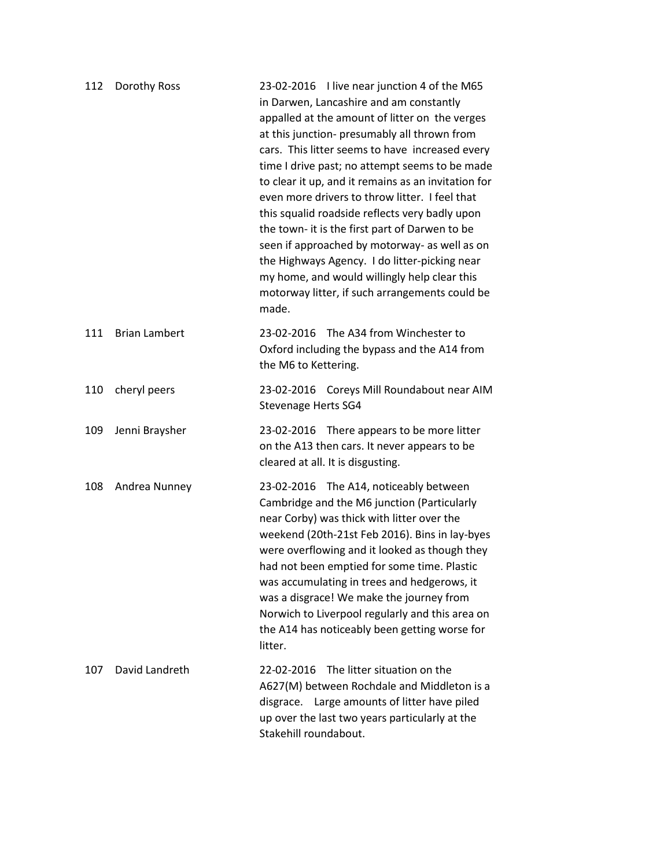| 112 | Dorothy Ross         | 23-02-2016 I live near junction 4 of the M65<br>in Darwen, Lancashire and am constantly<br>appalled at the amount of litter on the verges<br>at this junction- presumably all thrown from<br>cars. This litter seems to have increased every<br>time I drive past; no attempt seems to be made<br>to clear it up, and it remains as an invitation for<br>even more drivers to throw litter. I feel that<br>this squalid roadside reflects very badly upon<br>the town- it is the first part of Darwen to be<br>seen if approached by motorway- as well as on<br>the Highways Agency. I do litter-picking near<br>my home, and would willingly help clear this<br>motorway litter, if such arrangements could be<br>made. |
|-----|----------------------|--------------------------------------------------------------------------------------------------------------------------------------------------------------------------------------------------------------------------------------------------------------------------------------------------------------------------------------------------------------------------------------------------------------------------------------------------------------------------------------------------------------------------------------------------------------------------------------------------------------------------------------------------------------------------------------------------------------------------|
| 111 | <b>Brian Lambert</b> | 23-02-2016 The A34 from Winchester to<br>Oxford including the bypass and the A14 from<br>the M6 to Kettering.                                                                                                                                                                                                                                                                                                                                                                                                                                                                                                                                                                                                            |
| 110 | cheryl peers         | 23-02-2016 Coreys Mill Roundabout near AIM<br><b>Stevenage Herts SG4</b>                                                                                                                                                                                                                                                                                                                                                                                                                                                                                                                                                                                                                                                 |
| 109 | Jenni Braysher       | 23-02-2016 There appears to be more litter<br>on the A13 then cars. It never appears to be<br>cleared at all. It is disgusting.                                                                                                                                                                                                                                                                                                                                                                                                                                                                                                                                                                                          |
| 108 | Andrea Nunney        | 23-02-2016 The A14, noticeably between<br>Cambridge and the M6 junction (Particularly<br>near Corby) was thick with litter over the<br>weekend (20th-21st Feb 2016). Bins in lay-byes<br>were overflowing and it looked as though they<br>had not been emptied for some time. Plastic<br>was accumulating in trees and hedgerows, it<br>was a disgrace! We make the journey from<br>Norwich to Liverpool regularly and this area on<br>the A14 has noticeably been getting worse for<br>litter.                                                                                                                                                                                                                          |
| 107 | David Landreth       | The litter situation on the<br>22-02-2016<br>A627(M) between Rochdale and Middleton is a<br>disgrace. Large amounts of litter have piled<br>up over the last two years particularly at the<br>Stakehill roundabout.                                                                                                                                                                                                                                                                                                                                                                                                                                                                                                      |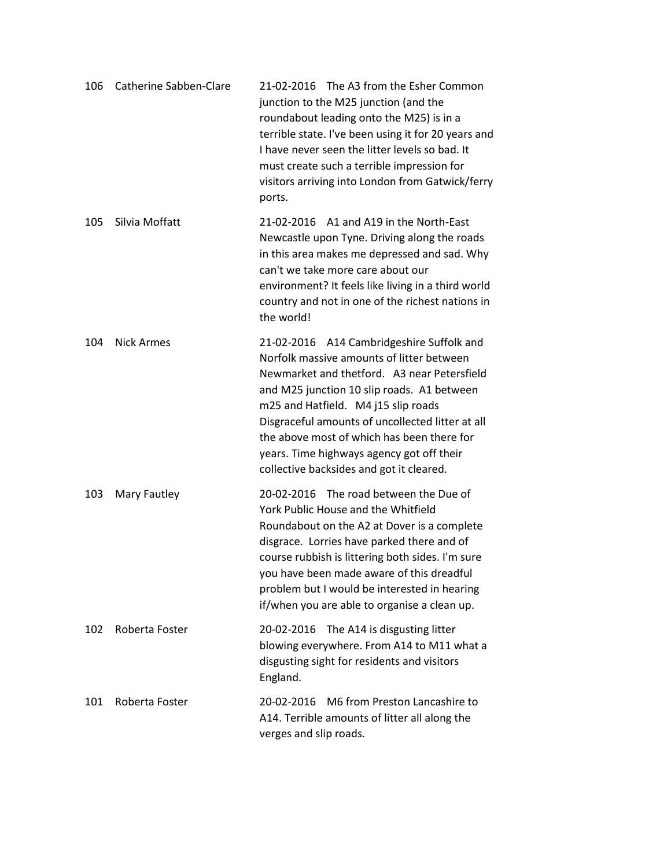| 106 | Catherine Sabben-Clare | 21-02-2016 The A3 from the Esher Common<br>junction to the M25 junction (and the<br>roundabout leading onto the M25) is in a<br>terrible state. I've been using it for 20 years and<br>I have never seen the litter levels so bad. It<br>must create such a terrible impression for<br>visitors arriving into London from Gatwick/ferry<br>ports.                                                                     |
|-----|------------------------|-----------------------------------------------------------------------------------------------------------------------------------------------------------------------------------------------------------------------------------------------------------------------------------------------------------------------------------------------------------------------------------------------------------------------|
| 105 | Silvia Moffatt         | 21-02-2016 A1 and A19 in the North-East<br>Newcastle upon Tyne. Driving along the roads<br>in this area makes me depressed and sad. Why<br>can't we take more care about our<br>environment? It feels like living in a third world<br>country and not in one of the richest nations in<br>the world!                                                                                                                  |
| 104 | <b>Nick Armes</b>      | 21-02-2016 A14 Cambridgeshire Suffolk and<br>Norfolk massive amounts of litter between<br>Newmarket and thetford. A3 near Petersfield<br>and M25 junction 10 slip roads. A1 between<br>m25 and Hatfield. M4 j15 slip roads<br>Disgraceful amounts of uncollected litter at all<br>the above most of which has been there for<br>years. Time highways agency got off their<br>collective backsides and got it cleared. |
| 103 | Mary Fautley           | 20-02-2016 The road between the Due of<br>York Public House and the Whitfield<br>Roundabout on the A2 at Dover is a complete<br>disgrace. Lorries have parked there and of<br>course rubbish is littering both sides. I'm sure<br>you have been made aware of this dreadful<br>problem but I would be interested in hearing<br>if/when you are able to organise a clean up.                                           |
| 102 | Roberta Foster         | 20-02-2016 The A14 is disgusting litter<br>blowing everywhere. From A14 to M11 what a<br>disgusting sight for residents and visitors<br>England.                                                                                                                                                                                                                                                                      |
| 101 | Roberta Foster         | M6 from Preston Lancashire to<br>20-02-2016<br>A14. Terrible amounts of litter all along the<br>verges and slip roads.                                                                                                                                                                                                                                                                                                |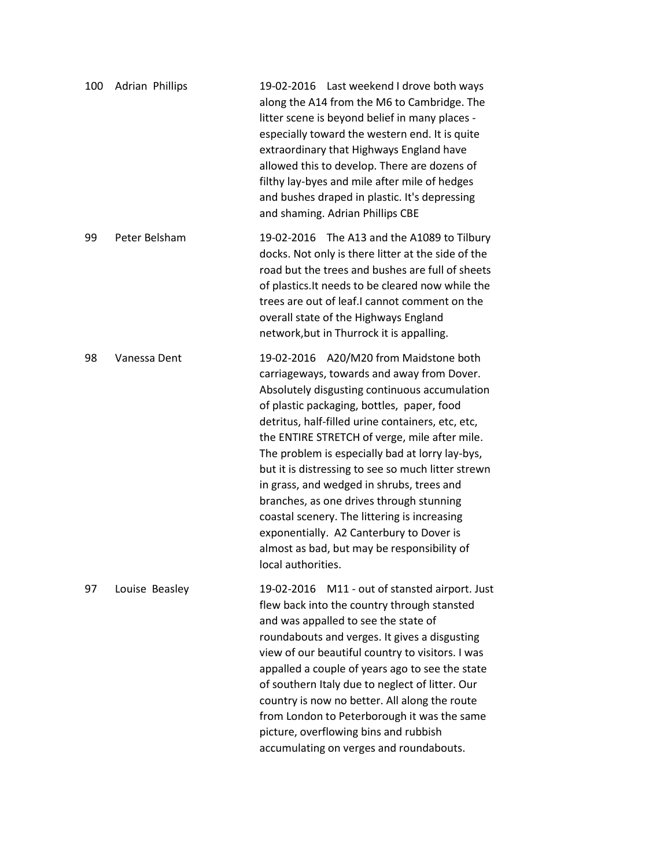| 100 | Adrian Phillips | 19-02-2016 Last weekend I drove both ways<br>along the A14 from the M6 to Cambridge. The<br>litter scene is beyond belief in many places -<br>especially toward the western end. It is quite<br>extraordinary that Highways England have<br>allowed this to develop. There are dozens of<br>filthy lay-byes and mile after mile of hedges<br>and bushes draped in plastic. It's depressing<br>and shaming. Adrian Phillips CBE                                                                                                                                                                                                                               |
|-----|-----------------|--------------------------------------------------------------------------------------------------------------------------------------------------------------------------------------------------------------------------------------------------------------------------------------------------------------------------------------------------------------------------------------------------------------------------------------------------------------------------------------------------------------------------------------------------------------------------------------------------------------------------------------------------------------|
| 99  | Peter Belsham   | 19-02-2016 The A13 and the A1089 to Tilbury<br>docks. Not only is there litter at the side of the<br>road but the trees and bushes are full of sheets<br>of plastics. It needs to be cleared now while the<br>trees are out of leaf.I cannot comment on the<br>overall state of the Highways England<br>network, but in Thurrock it is appalling.                                                                                                                                                                                                                                                                                                            |
| 98  | Vanessa Dent    | 19-02-2016 A20/M20 from Maidstone both<br>carriageways, towards and away from Dover.<br>Absolutely disgusting continuous accumulation<br>of plastic packaging, bottles, paper, food<br>detritus, half-filled urine containers, etc, etc,<br>the ENTIRE STRETCH of verge, mile after mile.<br>The problem is especially bad at lorry lay-bys,<br>but it is distressing to see so much litter strewn<br>in grass, and wedged in shrubs, trees and<br>branches, as one drives through stunning<br>coastal scenery. The littering is increasing<br>exponentially. A2 Canterbury to Dover is<br>almost as bad, but may be responsibility of<br>local authorities. |
| 97  | Louise Beasley  | 19-02-2016 M11 - out of stansted airport. Just<br>flew back into the country through stansted<br>and was appalled to see the state of<br>roundabouts and verges. It gives a disgusting<br>view of our beautiful country to visitors. I was<br>appalled a couple of years ago to see the state<br>of southern Italy due to neglect of litter. Our<br>country is now no better. All along the route<br>from London to Peterborough it was the same<br>picture, overflowing bins and rubbish<br>accumulating on verges and roundabouts.                                                                                                                         |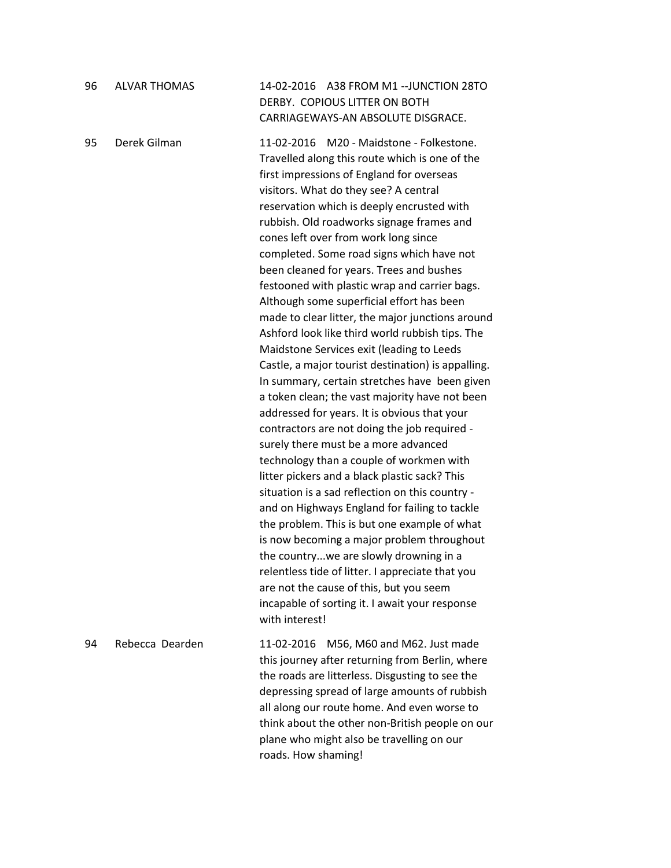| 96 | <b>ALVAR THOMAS</b> | 14-02-2016 A38 FROM M1 --JUNCTION 28TO<br>DERBY. COPIOUS LITTER ON BOTH<br>CARRIAGEWAYS-AN ABSOLUTE DISGRACE.                                                                                                                                                                                                                                                                                                                                                                                                                                                                                                                                                                                                                                                                                                                                                                                                                                                                                                                                                                                                                                                                                                                                                                                                                                                                                                                                                                  |
|----|---------------------|--------------------------------------------------------------------------------------------------------------------------------------------------------------------------------------------------------------------------------------------------------------------------------------------------------------------------------------------------------------------------------------------------------------------------------------------------------------------------------------------------------------------------------------------------------------------------------------------------------------------------------------------------------------------------------------------------------------------------------------------------------------------------------------------------------------------------------------------------------------------------------------------------------------------------------------------------------------------------------------------------------------------------------------------------------------------------------------------------------------------------------------------------------------------------------------------------------------------------------------------------------------------------------------------------------------------------------------------------------------------------------------------------------------------------------------------------------------------------------|
| 95 | Derek Gilman        | M20 - Maidstone - Folkestone.<br>11-02-2016<br>Travelled along this route which is one of the<br>first impressions of England for overseas<br>visitors. What do they see? A central<br>reservation which is deeply encrusted with<br>rubbish. Old roadworks signage frames and<br>cones left over from work long since<br>completed. Some road signs which have not<br>been cleaned for years. Trees and bushes<br>festooned with plastic wrap and carrier bags.<br>Although some superficial effort has been<br>made to clear litter, the major junctions around<br>Ashford look like third world rubbish tips. The<br>Maidstone Services exit (leading to Leeds<br>Castle, a major tourist destination) is appalling.<br>In summary, certain stretches have been given<br>a token clean; the vast majority have not been<br>addressed for years. It is obvious that your<br>contractors are not doing the job required -<br>surely there must be a more advanced<br>technology than a couple of workmen with<br>litter pickers and a black plastic sack? This<br>situation is a sad reflection on this country -<br>and on Highways England for failing to tackle<br>the problem. This is but one example of what<br>is now becoming a major problem throughout<br>the countrywe are slowly drowning in a<br>relentless tide of litter. I appreciate that you<br>are not the cause of this, but you seem<br>incapable of sorting it. I await your response<br>with interest! |
| 94 | Rebecca Dearden     | M56, M60 and M62. Just made<br>11-02-2016<br>this journey after returning from Berlin, where<br>the roads are litterless. Disgusting to see the<br>depressing spread of large amounts of rubbish<br>all along our route home. And even worse to<br>think about the other non-British people on our<br>plane who might also be travelling on our<br>roads. How shaming!                                                                                                                                                                                                                                                                                                                                                                                                                                                                                                                                                                                                                                                                                                                                                                                                                                                                                                                                                                                                                                                                                                         |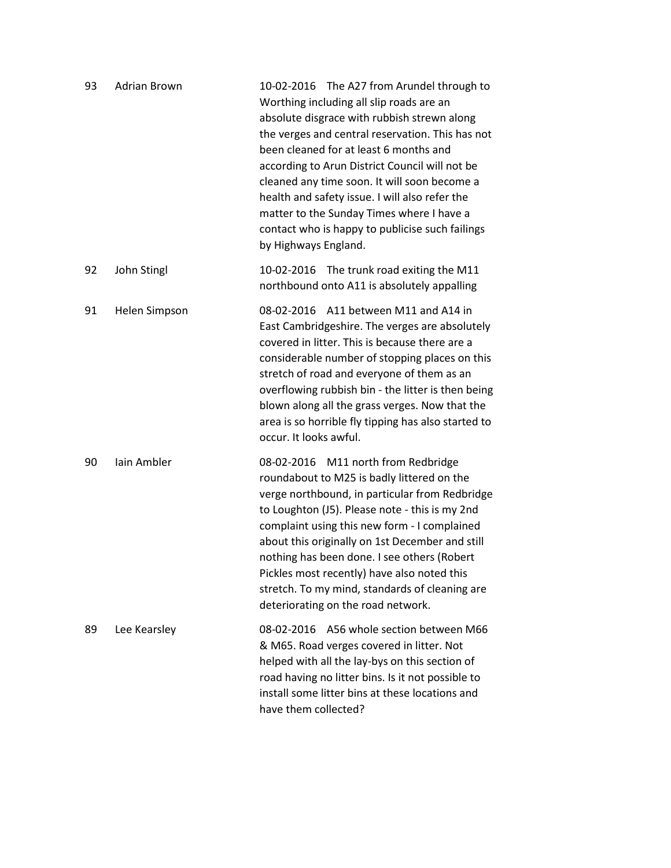| 93 | Adrian Brown  | 10-02-2016 The A27 from Arundel through to<br>Worthing including all slip roads are an<br>absolute disgrace with rubbish strewn along<br>the verges and central reservation. This has not<br>been cleaned for at least 6 months and<br>according to Arun District Council will not be<br>cleaned any time soon. It will soon become a<br>health and safety issue. I will also refer the<br>matter to the Sunday Times where I have a<br>contact who is happy to publicise such failings<br>by Highways England. |
|----|---------------|-----------------------------------------------------------------------------------------------------------------------------------------------------------------------------------------------------------------------------------------------------------------------------------------------------------------------------------------------------------------------------------------------------------------------------------------------------------------------------------------------------------------|
| 92 | John Stingl   | 10-02-2016 The trunk road exiting the M11<br>northbound onto A11 is absolutely appalling                                                                                                                                                                                                                                                                                                                                                                                                                        |
| 91 | Helen Simpson | A11 between M11 and A14 in<br>08-02-2016<br>East Cambridgeshire. The verges are absolutely<br>covered in litter. This is because there are a<br>considerable number of stopping places on this<br>stretch of road and everyone of them as an<br>overflowing rubbish bin - the litter is then being<br>blown along all the grass verges. Now that the<br>area is so horrible fly tipping has also started to<br>occur. It looks awful.                                                                           |
| 90 | lain Ambler   | 08-02-2016 M11 north from Redbridge<br>roundabout to M25 is badly littered on the<br>verge northbound, in particular from Redbridge<br>to Loughton (J5). Please note - this is my 2nd<br>complaint using this new form - I complained<br>about this originally on 1st December and still<br>nothing has been done. I see others (Robert<br>Pickles most recently) have also noted this<br>stretch. To my mind, standards of cleaning are<br>deteriorating on the road network.                                  |
| 89 | Lee Kearsley  | A56 whole section between M66<br>08-02-2016<br>& M65. Road verges covered in litter. Not<br>helped with all the lay-bys on this section of<br>road having no litter bins. Is it not possible to<br>install some litter bins at these locations and<br>have them collected?                                                                                                                                                                                                                                      |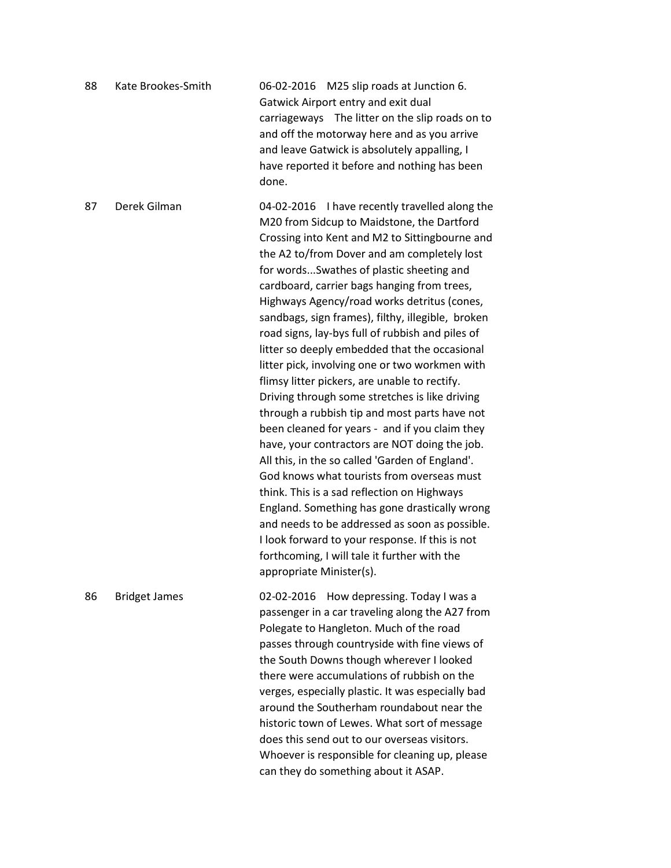| 88 | Kate Brookes-Smith   | 06-02-2016 M25 slip roads at Junction 6.<br>Gatwick Airport entry and exit dual<br>carriageways The litter on the slip roads on to<br>and off the motorway here and as you arrive<br>and leave Gatwick is absolutely appalling, I<br>have reported it before and nothing has been<br>done.                                                                                                                                                                                                                                                                                                                                                                                                                                                                                                                                                                                                                                                                                                                                                                                                                                                                                                   |
|----|----------------------|----------------------------------------------------------------------------------------------------------------------------------------------------------------------------------------------------------------------------------------------------------------------------------------------------------------------------------------------------------------------------------------------------------------------------------------------------------------------------------------------------------------------------------------------------------------------------------------------------------------------------------------------------------------------------------------------------------------------------------------------------------------------------------------------------------------------------------------------------------------------------------------------------------------------------------------------------------------------------------------------------------------------------------------------------------------------------------------------------------------------------------------------------------------------------------------------|
| 87 | Derek Gilman         | 04-02-2016 I have recently travelled along the<br>M20 from Sidcup to Maidstone, the Dartford<br>Crossing into Kent and M2 to Sittingbourne and<br>the A2 to/from Dover and am completely lost<br>for wordsSwathes of plastic sheeting and<br>cardboard, carrier bags hanging from trees,<br>Highways Agency/road works detritus (cones,<br>sandbags, sign frames), filthy, illegible, broken<br>road signs, lay-bys full of rubbish and piles of<br>litter so deeply embedded that the occasional<br>litter pick, involving one or two workmen with<br>flimsy litter pickers, are unable to rectify.<br>Driving through some stretches is like driving<br>through a rubbish tip and most parts have not<br>been cleaned for years - and if you claim they<br>have, your contractors are NOT doing the job.<br>All this, in the so called 'Garden of England'.<br>God knows what tourists from overseas must<br>think. This is a sad reflection on Highways<br>England. Something has gone drastically wrong<br>and needs to be addressed as soon as possible.<br>I look forward to your response. If this is not<br>forthcoming, I will tale it further with the<br>appropriate Minister(s). |
| 86 | <b>Bridget James</b> | 02-02-2016<br>How depressing. Today I was a<br>passenger in a car traveling along the A27 from<br>Polegate to Hangleton. Much of the road<br>passes through countryside with fine views of<br>the South Downs though wherever I looked<br>there were accumulations of rubbish on the<br>verges, especially plastic. It was especially bad<br>around the Southerham roundabout near the<br>historic town of Lewes. What sort of message<br>does this send out to our overseas visitors.<br>Whoever is responsible for cleaning up, please<br>can they do something about it ASAP.                                                                                                                                                                                                                                                                                                                                                                                                                                                                                                                                                                                                             |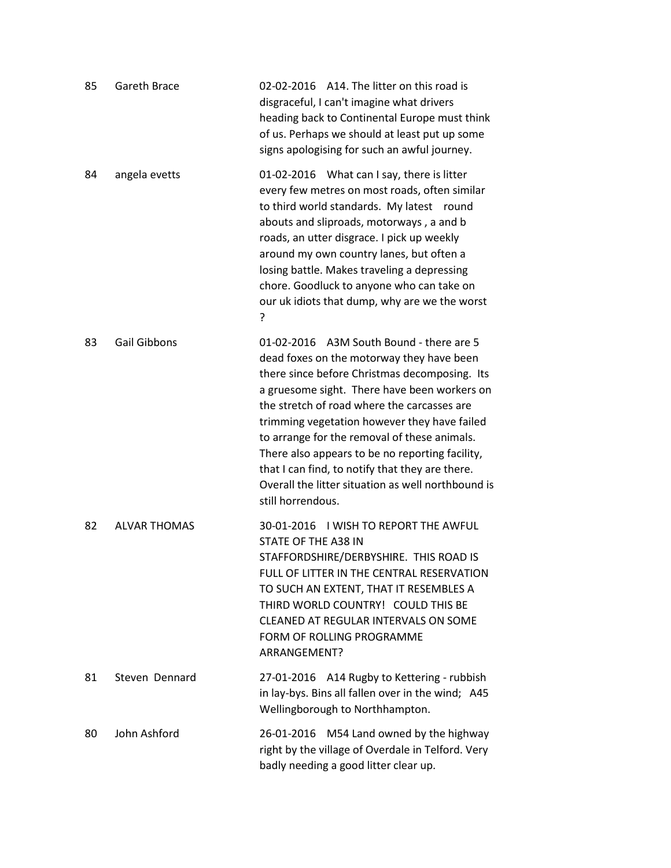| 85 | Gareth Brace        | 02-02-2016 A14. The litter on this road is<br>disgraceful, I can't imagine what drivers<br>heading back to Continental Europe must think<br>of us. Perhaps we should at least put up some<br>signs apologising for such an awful journey.                                                                                                                                                                                                                                                                              |
|----|---------------------|------------------------------------------------------------------------------------------------------------------------------------------------------------------------------------------------------------------------------------------------------------------------------------------------------------------------------------------------------------------------------------------------------------------------------------------------------------------------------------------------------------------------|
| 84 | angela evetts       | 01-02-2016 What can I say, there is litter<br>every few metres on most roads, often similar<br>to third world standards. My latest round<br>abouts and sliproads, motorways, a and b<br>roads, an utter disgrace. I pick up weekly<br>around my own country lanes, but often a<br>losing battle. Makes traveling a depressing<br>chore. Goodluck to anyone who can take on<br>our uk idiots that dump, why are we the worst<br>?                                                                                       |
| 83 | <b>Gail Gibbons</b> | 01-02-2016 A3M South Bound - there are 5<br>dead foxes on the motorway they have been<br>there since before Christmas decomposing. Its<br>a gruesome sight. There have been workers on<br>the stretch of road where the carcasses are<br>trimming vegetation however they have failed<br>to arrange for the removal of these animals.<br>There also appears to be no reporting facility,<br>that I can find, to notify that they are there.<br>Overall the litter situation as well northbound is<br>still horrendous. |
| 82 | <b>ALVAR THOMAS</b> | 30-01-2016 I WISH TO REPORT THE AWFUL<br>STATE OF THE A38 IN<br>STAFFORDSHIRE/DERBYSHIRE. THIS ROAD IS<br>FULL OF LITTER IN THE CENTRAL RESERVATION<br>TO SUCH AN EXTENT, THAT IT RESEMBLES A<br>THIRD WORLD COUNTRY! COULD THIS BE<br>CLEANED AT REGULAR INTERVALS ON SOME<br>FORM OF ROLLING PROGRAMME<br>ARRANGEMENT?                                                                                                                                                                                               |
| 81 | Steven Dennard      | 27-01-2016 A14 Rugby to Kettering - rubbish<br>in lay-bys. Bins all fallen over in the wind; A45<br>Wellingborough to Northhampton.                                                                                                                                                                                                                                                                                                                                                                                    |
| 80 | John Ashford        | 26-01-2016 M54 Land owned by the highway<br>right by the village of Overdale in Telford. Very<br>badly needing a good litter clear up.                                                                                                                                                                                                                                                                                                                                                                                 |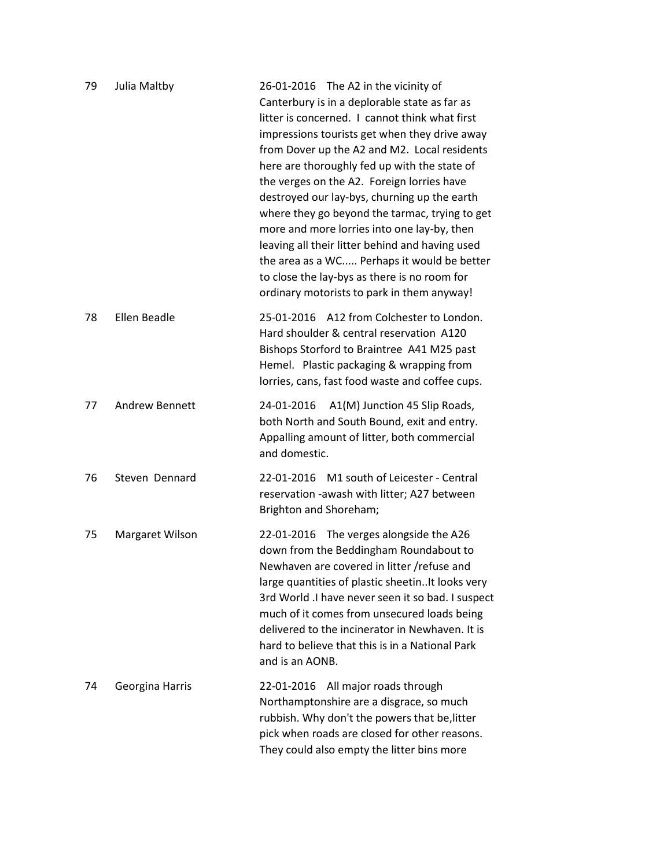| 79 | Julia Maltby          | 26-01-2016 The A2 in the vicinity of<br>Canterbury is in a deplorable state as far as<br>litter is concerned. I cannot think what first<br>impressions tourists get when they drive away<br>from Dover up the A2 and M2. Local residents<br>here are thoroughly fed up with the state of<br>the verges on the A2. Foreign lorries have<br>destroyed our lay-bys, churning up the earth<br>where they go beyond the tarmac, trying to get<br>more and more lorries into one lay-by, then<br>leaving all their litter behind and having used<br>the area as a WC Perhaps it would be better<br>to close the lay-bys as there is no room for<br>ordinary motorists to park in them anyway! |
|----|-----------------------|-----------------------------------------------------------------------------------------------------------------------------------------------------------------------------------------------------------------------------------------------------------------------------------------------------------------------------------------------------------------------------------------------------------------------------------------------------------------------------------------------------------------------------------------------------------------------------------------------------------------------------------------------------------------------------------------|
| 78 | Ellen Beadle          | 25-01-2016 A12 from Colchester to London.<br>Hard shoulder & central reservation A120<br>Bishops Storford to Braintree A41 M25 past<br>Hemel. Plastic packaging & wrapping from<br>lorries, cans, fast food waste and coffee cups.                                                                                                                                                                                                                                                                                                                                                                                                                                                      |
| 77 | <b>Andrew Bennett</b> | A1(M) Junction 45 Slip Roads,<br>24-01-2016<br>both North and South Bound, exit and entry.<br>Appalling amount of litter, both commercial<br>and domestic.                                                                                                                                                                                                                                                                                                                                                                                                                                                                                                                              |
| 76 | Steven Dennard        | 22-01-2016 M1 south of Leicester - Central<br>reservation -awash with litter; A27 between<br>Brighton and Shoreham;                                                                                                                                                                                                                                                                                                                                                                                                                                                                                                                                                                     |
| 75 | Margaret Wilson       | 22-01-2016 The verges alongside the A26<br>down from the Beddingham Roundabout to<br>Newhaven are covered in litter /refuse and<br>large quantities of plastic sheetinIt looks very<br>3rd World .I have never seen it so bad. I suspect<br>much of it comes from unsecured loads being<br>delivered to the incinerator in Newhaven. It is<br>hard to believe that this is in a National Park<br>and is an AONB.                                                                                                                                                                                                                                                                        |
| 74 | Georgina Harris       | All major roads through<br>22-01-2016<br>Northamptonshire are a disgrace, so much<br>rubbish. Why don't the powers that be, litter<br>pick when roads are closed for other reasons.<br>They could also empty the litter bins more                                                                                                                                                                                                                                                                                                                                                                                                                                                       |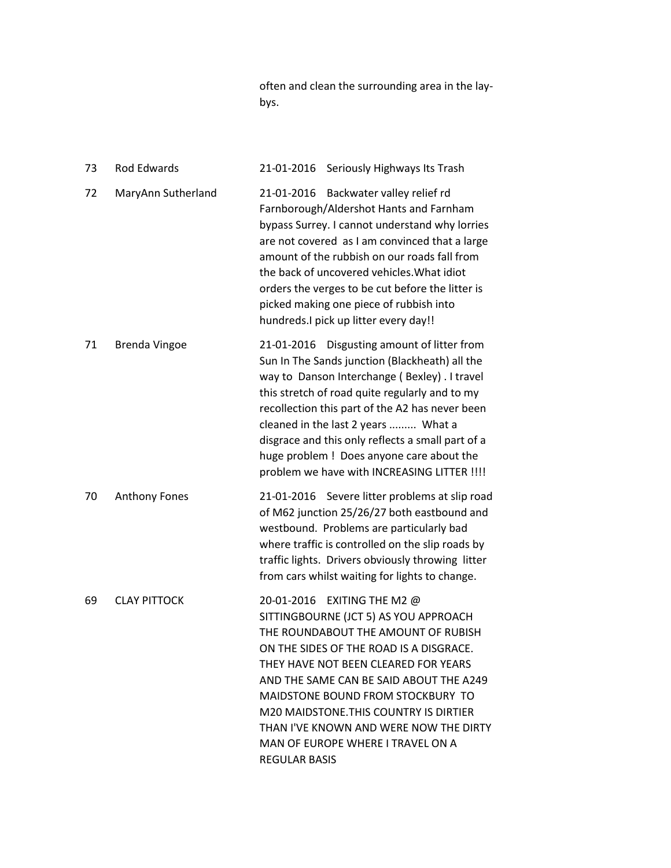often and clean the surrounding area in the laybys.

| 73 | <b>Rod Edwards</b>   | 21-01-2016 Seriously Highways Its Trash                                                                                                                                                                                                                                                                                                                                                                                                    |
|----|----------------------|--------------------------------------------------------------------------------------------------------------------------------------------------------------------------------------------------------------------------------------------------------------------------------------------------------------------------------------------------------------------------------------------------------------------------------------------|
| 72 | MaryAnn Sutherland   | Backwater valley relief rd<br>21-01-2016<br>Farnborough/Aldershot Hants and Farnham<br>bypass Surrey. I cannot understand why lorries<br>are not covered as I am convinced that a large<br>amount of the rubbish on our roads fall from<br>the back of uncovered vehicles. What idiot<br>orders the verges to be cut before the litter is<br>picked making one piece of rubbish into<br>hundreds.I pick up litter every day!!              |
| 71 | <b>Brenda Vingoe</b> | 21-01-2016 Disgusting amount of litter from<br>Sun In The Sands junction (Blackheath) all the<br>way to Danson Interchange (Bexley). I travel<br>this stretch of road quite regularly and to my<br>recollection this part of the A2 has never been<br>cleaned in the last 2 years  What a<br>disgrace and this only reflects a small part of a<br>huge problem ! Does anyone care about the<br>problem we have with INCREASING LITTER !!!! |
| 70 | <b>Anthony Fones</b> | 21-01-2016 Severe litter problems at slip road<br>of M62 junction 25/26/27 both eastbound and<br>westbound. Problems are particularly bad<br>where traffic is controlled on the slip roads by<br>traffic lights. Drivers obviously throwing litter<br>from cars whilst waiting for lights to change.                                                                                                                                       |
| 69 | <b>CLAY PITTOCK</b>  | 20-01-2016 EXITING THE M2 @<br>SITTINGBOURNE (JCT 5) AS YOU APPROACH<br>THE ROUNDABOUT THE AMOUNT OF RUBISH<br>ON THE SIDES OF THE ROAD IS A DISGRACE.<br>THEY HAVE NOT BEEN CLEARED FOR YEARS<br>AND THE SAME CAN BE SAID ABOUT THE A249<br>MAIDSTONE BOUND FROM STOCKBURY TO<br>M20 MAIDSTONE. THIS COUNTRY IS DIRTIER<br>THAN I'VE KNOWN AND WERE NOW THE DIRTY<br>MAN OF EUROPE WHERE I TRAVEL ON A<br><b>REGULAR BASIS</b>            |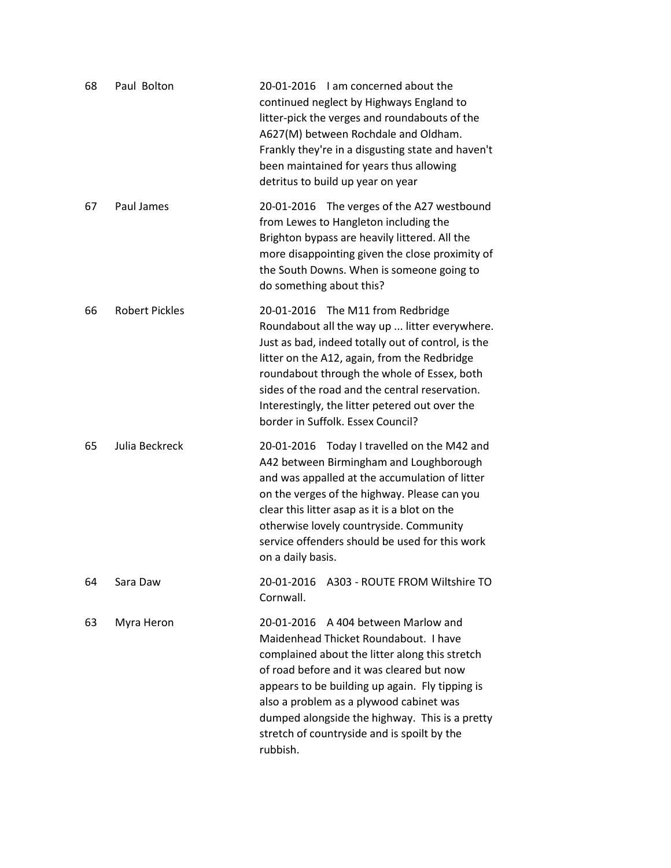| 68 | Paul Bolton           | 20-01-2016 I am concerned about the<br>continued neglect by Highways England to<br>litter-pick the verges and roundabouts of the<br>A627(M) between Rochdale and Oldham.<br>Frankly they're in a disgusting state and haven't<br>been maintained for years thus allowing<br>detritus to build up year on year                                                                             |
|----|-----------------------|-------------------------------------------------------------------------------------------------------------------------------------------------------------------------------------------------------------------------------------------------------------------------------------------------------------------------------------------------------------------------------------------|
| 67 | Paul James            | 20-01-2016 The verges of the A27 westbound<br>from Lewes to Hangleton including the<br>Brighton bypass are heavily littered. All the<br>more disappointing given the close proximity of<br>the South Downs. When is someone going to<br>do something about this?                                                                                                                          |
| 66 | <b>Robert Pickles</b> | 20-01-2016 The M11 from Redbridge<br>Roundabout all the way up  litter everywhere.<br>Just as bad, indeed totally out of control, is the<br>litter on the A12, again, from the Redbridge<br>roundabout through the whole of Essex, both<br>sides of the road and the central reservation.<br>Interestingly, the litter petered out over the<br>border in Suffolk. Essex Council?          |
| 65 | Julia Beckreck        | 20-01-2016 Today I travelled on the M42 and<br>A42 between Birmingham and Loughborough<br>and was appalled at the accumulation of litter<br>on the verges of the highway. Please can you<br>clear this litter asap as it is a blot on the<br>otherwise lovely countryside. Community<br>service offenders should be used for this work<br>on a daily basis.                               |
| 64 | Sara Daw              | 20-01-2016<br>A303 - ROUTE FROM Wiltshire TO<br>Cornwall.                                                                                                                                                                                                                                                                                                                                 |
| 63 | Myra Heron            | A 404 between Marlow and<br>20-01-2016<br>Maidenhead Thicket Roundabout. I have<br>complained about the litter along this stretch<br>of road before and it was cleared but now<br>appears to be building up again. Fly tipping is<br>also a problem as a plywood cabinet was<br>dumped alongside the highway. This is a pretty<br>stretch of countryside and is spoilt by the<br>rubbish. |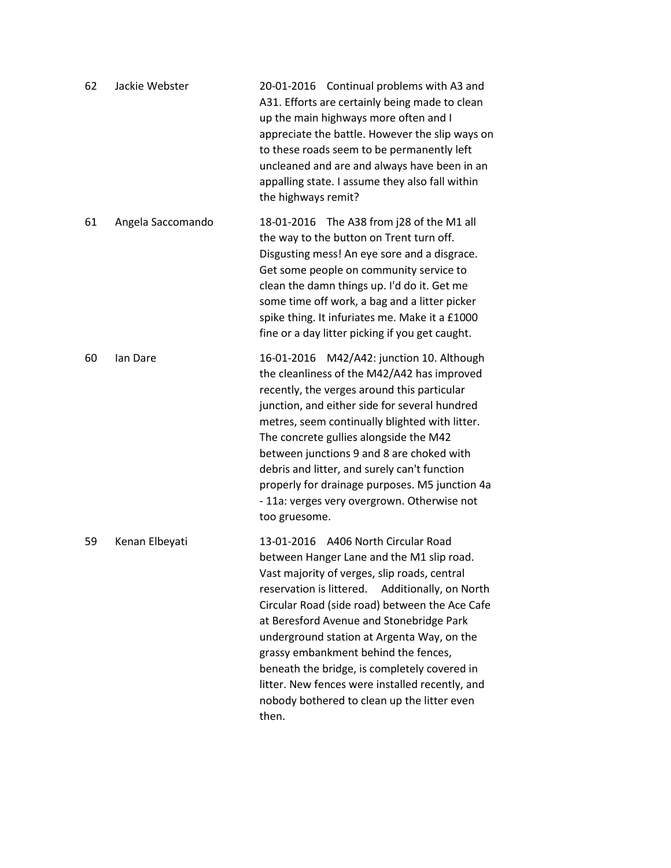| 62 | Jackie Webster    | 20-01-2016 Continual problems with A3 and<br>A31. Efforts are certainly being made to clean<br>up the main highways more often and I<br>appreciate the battle. However the slip ways on<br>to these roads seem to be permanently left<br>uncleaned and are and always have been in an<br>appalling state. I assume they also fall within<br>the highways remit?                                                                                                                                                                       |
|----|-------------------|---------------------------------------------------------------------------------------------------------------------------------------------------------------------------------------------------------------------------------------------------------------------------------------------------------------------------------------------------------------------------------------------------------------------------------------------------------------------------------------------------------------------------------------|
| 61 | Angela Saccomando | 18-01-2016 The A38 from j28 of the M1 all<br>the way to the button on Trent turn off.<br>Disgusting mess! An eye sore and a disgrace.<br>Get some people on community service to<br>clean the damn things up. I'd do it. Get me<br>some time off work, a bag and a litter picker<br>spike thing. It infuriates me. Make it a £1000<br>fine or a day litter picking if you get caught.                                                                                                                                                 |
| 60 | lan Dare          | 16-01-2016 M42/A42: junction 10. Although<br>the cleanliness of the M42/A42 has improved<br>recently, the verges around this particular<br>junction, and either side for several hundred<br>metres, seem continually blighted with litter.<br>The concrete gullies alongside the M42<br>between junctions 9 and 8 are choked with<br>debris and litter, and surely can't function<br>properly for drainage purposes. M5 junction 4a<br>- 11a: verges very overgrown. Otherwise not<br>too gruesome.                                   |
| 59 | Kenan Elbeyati    | 13-01-2016 A406 North Circular Road<br>between Hanger Lane and the M1 slip road.<br>Vast majority of verges, slip roads, central<br>reservation is littered.<br>Additionally, on North<br>Circular Road (side road) between the Ace Cafe<br>at Beresford Avenue and Stonebridge Park<br>underground station at Argenta Way, on the<br>grassy embankment behind the fences,<br>beneath the bridge, is completely covered in<br>litter. New fences were installed recently, and<br>nobody bothered to clean up the litter even<br>then. |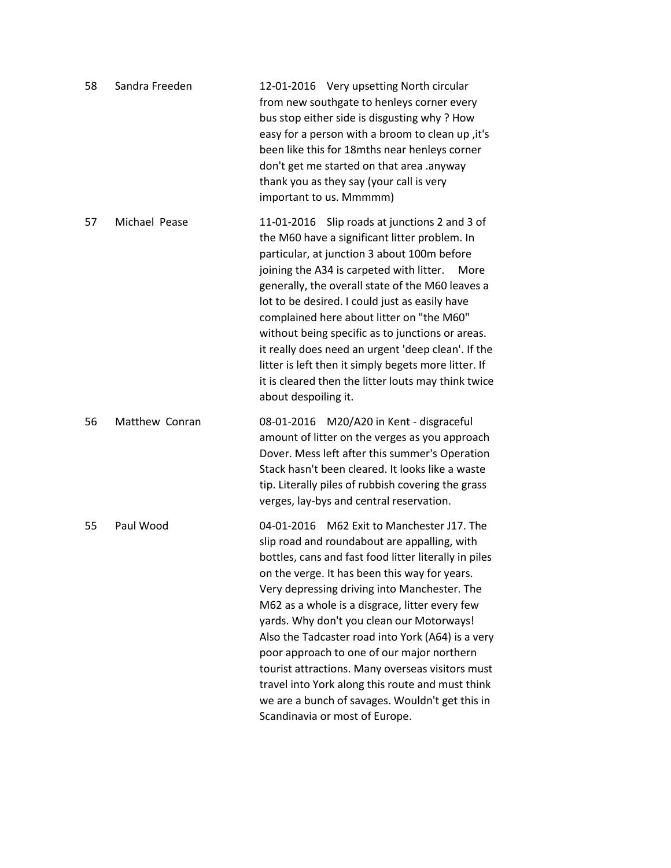| 58 | Sandra Freeden | 12-01-2016 Very upsetting North circular<br>from new southgate to henleys corner every<br>bus stop either side is disgusting why? How<br>easy for a person with a broom to clean up, it's<br>been like this for 18mths near henleys corner<br>don't get me started on that area .anyway<br>thank you as they say (your call is very<br>important to us. Mmmmm)                                                                                                                                                                                                                                                                                      |
|----|----------------|-----------------------------------------------------------------------------------------------------------------------------------------------------------------------------------------------------------------------------------------------------------------------------------------------------------------------------------------------------------------------------------------------------------------------------------------------------------------------------------------------------------------------------------------------------------------------------------------------------------------------------------------------------|
| 57 | Michael Pease  | 11-01-2016 Slip roads at junctions 2 and 3 of<br>the M60 have a significant litter problem. In<br>particular, at junction 3 about 100m before<br>joining the A34 is carpeted with litter.<br>More<br>generally, the overall state of the M60 leaves a<br>lot to be desired. I could just as easily have<br>complained here about litter on "the M60"<br>without being specific as to junctions or areas.<br>it really does need an urgent 'deep clean'. If the<br>litter is left then it simply begets more litter. If<br>it is cleared then the litter louts may think twice<br>about despoiling it.                                               |
| 56 | Matthew Conran | 08-01-2016 M20/A20 in Kent - disgraceful<br>amount of litter on the verges as you approach<br>Dover. Mess left after this summer's Operation<br>Stack hasn't been cleared. It looks like a waste<br>tip. Literally piles of rubbish covering the grass<br>verges, lay-bys and central reservation.                                                                                                                                                                                                                                                                                                                                                  |
| 55 | Paul Wood      | 04-01-2016 M62 Exit to Manchester J17. The<br>slip road and roundabout are appalling, with<br>bottles, cans and fast food litter literally in piles<br>on the verge. It has been this way for years.<br>Very depressing driving into Manchester. The<br>M62 as a whole is a disgrace, litter every few<br>yards. Why don't you clean our Motorways!<br>Also the Tadcaster road into York (A64) is a very<br>poor approach to one of our major northern<br>tourist attractions. Many overseas visitors must<br>travel into York along this route and must think<br>we are a bunch of savages. Wouldn't get this in<br>Scandinavia or most of Europe. |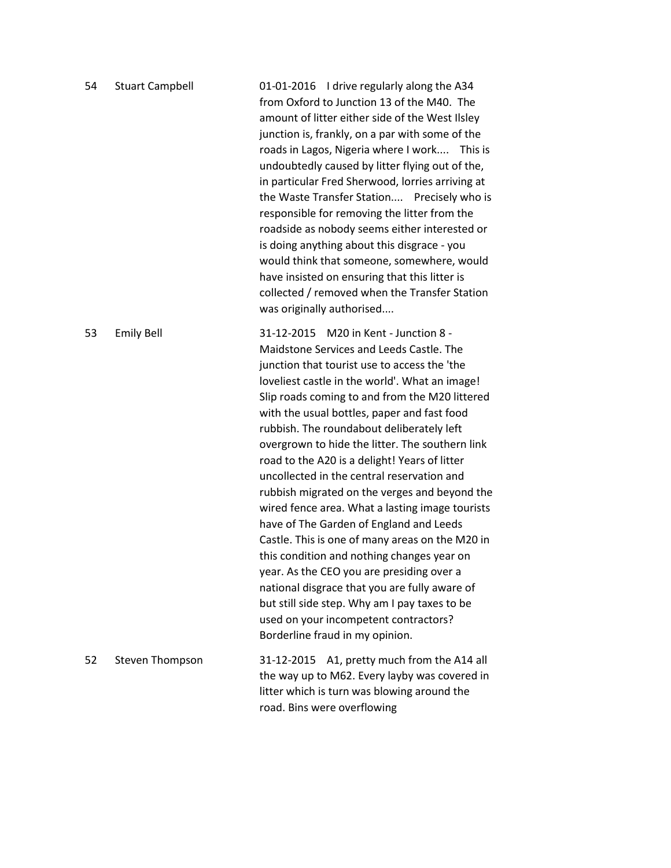| 54 | <b>Stuart Campbell</b> | 01-01-2016 I drive regularly along the A34<br>from Oxford to Junction 13 of the M40. The<br>amount of litter either side of the West Ilsley<br>junction is, frankly, on a par with some of the<br>roads in Lagos, Nigeria where I work This is<br>undoubtedly caused by litter flying out of the,<br>in particular Fred Sherwood, lorries arriving at<br>the Waste Transfer Station Precisely who is<br>responsible for removing the litter from the<br>roadside as nobody seems either interested or<br>is doing anything about this disgrace - you<br>would think that someone, somewhere, would<br>have insisted on ensuring that this litter is<br>collected / removed when the Transfer Station<br>was originally authorised                                                                                                                                                                                                                              |
|----|------------------------|----------------------------------------------------------------------------------------------------------------------------------------------------------------------------------------------------------------------------------------------------------------------------------------------------------------------------------------------------------------------------------------------------------------------------------------------------------------------------------------------------------------------------------------------------------------------------------------------------------------------------------------------------------------------------------------------------------------------------------------------------------------------------------------------------------------------------------------------------------------------------------------------------------------------------------------------------------------|
| 53 | <b>Emily Bell</b>      | 31-12-2015 M20 in Kent - Junction 8 -<br>Maidstone Services and Leeds Castle. The<br>junction that tourist use to access the 'the<br>loveliest castle in the world'. What an image!<br>Slip roads coming to and from the M20 littered<br>with the usual bottles, paper and fast food<br>rubbish. The roundabout deliberately left<br>overgrown to hide the litter. The southern link<br>road to the A20 is a delight! Years of litter<br>uncollected in the central reservation and<br>rubbish migrated on the verges and beyond the<br>wired fence area. What a lasting image tourists<br>have of The Garden of England and Leeds<br>Castle. This is one of many areas on the M20 in<br>this condition and nothing changes year on<br>year. As the CEO you are presiding over a<br>national disgrace that you are fully aware of<br>but still side step. Why am I pay taxes to be<br>used on your incompetent contractors?<br>Borderline fraud in my opinion. |
| 52 | Steven Thompson        | 31-12-2015 A1, pretty much from the A14 all<br>the way up to M62. Every layby was covered in<br>litter which is turn was blowing around the<br>road. Bins were overflowing                                                                                                                                                                                                                                                                                                                                                                                                                                                                                                                                                                                                                                                                                                                                                                                     |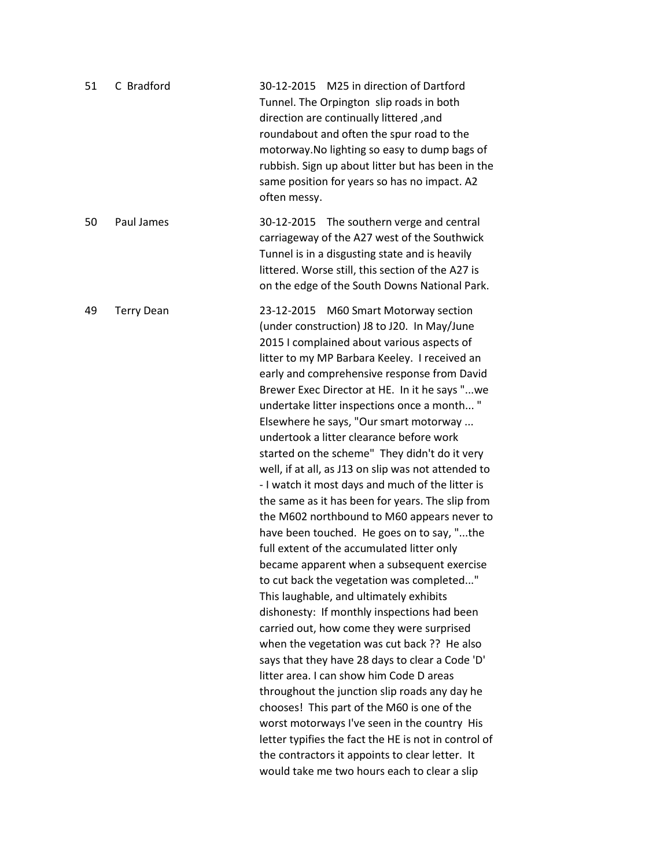| 51 | C Bradford        | M25 in direction of Dartford<br>30-12-2015<br>Tunnel. The Orpington slip roads in both<br>direction are continually littered, and<br>roundabout and often the spur road to the<br>motorway. No lighting so easy to dump bags of<br>rubbish. Sign up about litter but has been in the<br>same position for years so has no impact. A2<br>often messy.                                                                                                                                                                                                                                                                                                                                                                                                                                                                                                                                                                                                                                                                                                                                                                                                                                                                                                                                                                                                                                                                                                                          |
|----|-------------------|-------------------------------------------------------------------------------------------------------------------------------------------------------------------------------------------------------------------------------------------------------------------------------------------------------------------------------------------------------------------------------------------------------------------------------------------------------------------------------------------------------------------------------------------------------------------------------------------------------------------------------------------------------------------------------------------------------------------------------------------------------------------------------------------------------------------------------------------------------------------------------------------------------------------------------------------------------------------------------------------------------------------------------------------------------------------------------------------------------------------------------------------------------------------------------------------------------------------------------------------------------------------------------------------------------------------------------------------------------------------------------------------------------------------------------------------------------------------------------|
| 50 | Paul James        | 30-12-2015 The southern verge and central<br>carriageway of the A27 west of the Southwick<br>Tunnel is in a disgusting state and is heavily<br>littered. Worse still, this section of the A27 is<br>on the edge of the South Downs National Park.                                                                                                                                                                                                                                                                                                                                                                                                                                                                                                                                                                                                                                                                                                                                                                                                                                                                                                                                                                                                                                                                                                                                                                                                                             |
| 49 | <b>Terry Dean</b> | 23-12-2015 M60 Smart Motorway section<br>(under construction) J8 to J20. In May/June<br>2015 I complained about various aspects of<br>litter to my MP Barbara Keeley. I received an<br>early and comprehensive response from David<br>Brewer Exec Director at HE. In it he says "we<br>undertake litter inspections once a month"<br>Elsewhere he says, "Our smart motorway<br>undertook a litter clearance before work<br>started on the scheme" They didn't do it very<br>well, if at all, as J13 on slip was not attended to<br>- I watch it most days and much of the litter is<br>the same as it has been for years. The slip from<br>the M602 northbound to M60 appears never to<br>have been touched. He goes on to say, "the<br>full extent of the accumulated litter only<br>became apparent when a subsequent exercise<br>to cut back the vegetation was completed"<br>This laughable, and ultimately exhibits<br>dishonesty: If monthly inspections had been<br>carried out, how come they were surprised<br>when the vegetation was cut back ?? He also<br>says that they have 28 days to clear a Code 'D'<br>litter area. I can show him Code D areas<br>throughout the junction slip roads any day he<br>chooses! This part of the M60 is one of the<br>worst motorways I've seen in the country His<br>letter typifies the fact the HE is not in control of<br>the contractors it appoints to clear letter. It<br>would take me two hours each to clear a slip |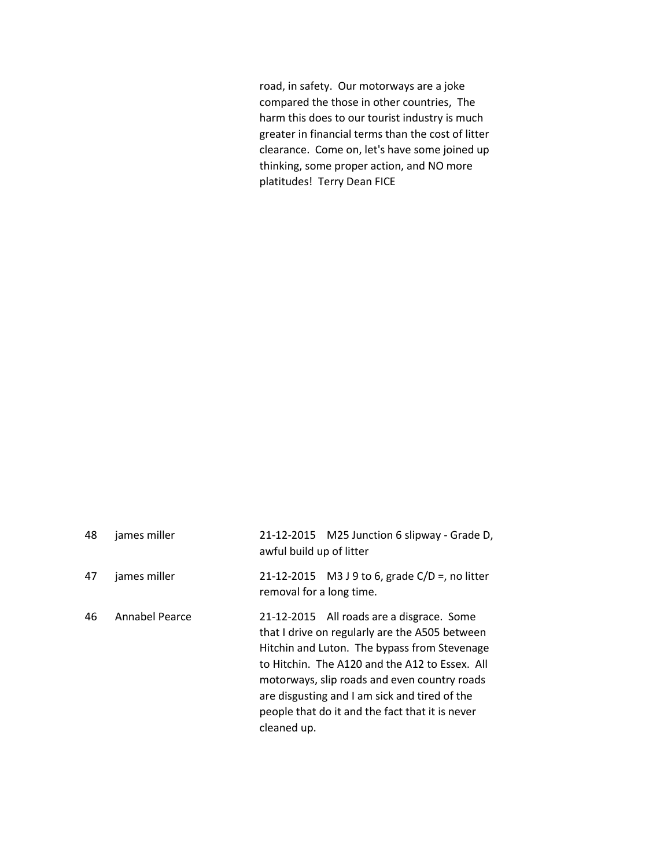road, in safety. Our motorways are a joke compared the those in other countries, The harm this does to our tourist industry is much greater in financial terms than the cost of litter clearance. Come on, let's have some joined up thinking, some proper action, and NO more platitudes! Terry Dean FICE

| 48 | james miller   | 21-12-2015 M25 Junction 6 slipway - Grade D,<br>awful build up of litter                                                                                                                                                                                                                                                                                         |
|----|----------------|------------------------------------------------------------------------------------------------------------------------------------------------------------------------------------------------------------------------------------------------------------------------------------------------------------------------------------------------------------------|
| 47 | james miller   | 21-12-2015 M3 J 9 to 6, grade C/D =, no litter<br>removal for a long time.                                                                                                                                                                                                                                                                                       |
| 46 | Annabel Pearce | 21-12-2015 All roads are a disgrace. Some<br>that I drive on regularly are the A505 between<br>Hitchin and Luton. The bypass from Stevenage<br>to Hitchin. The A120 and the A12 to Essex. All<br>motorways, slip roads and even country roads<br>are disgusting and I am sick and tired of the<br>people that do it and the fact that it is never<br>cleaned up. |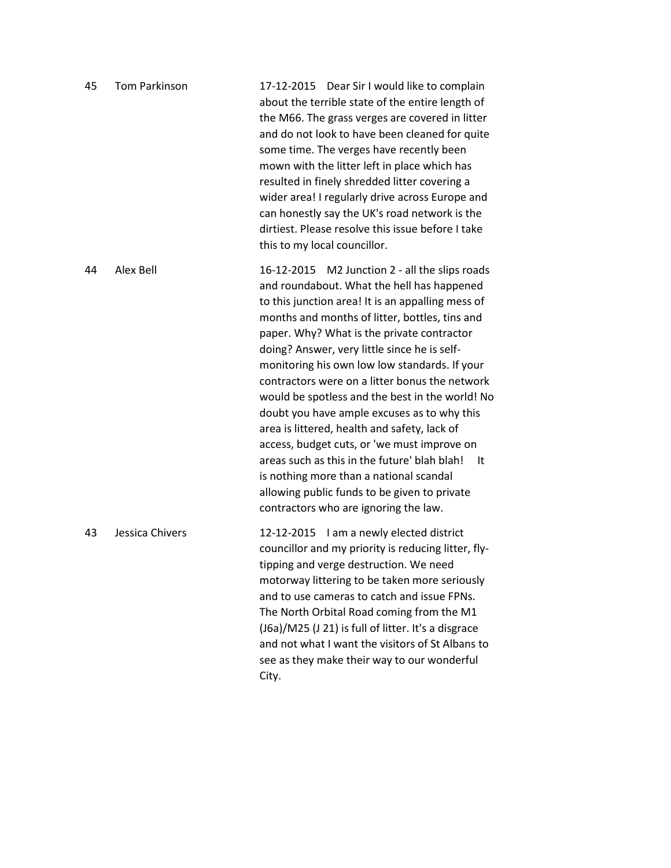| 45 | <b>Tom Parkinson</b> | 17-12-2015 Dear Sir I would like to complain<br>about the terrible state of the entire length of<br>the M66. The grass verges are covered in litter<br>and do not look to have been cleaned for quite<br>some time. The verges have recently been<br>mown with the litter left in place which has<br>resulted in finely shredded litter covering a<br>wider area! I regularly drive across Europe and<br>can honestly say the UK's road network is the<br>dirtiest. Please resolve this issue before I take<br>this to my local councillor.                                                                                                                                                                                                                                                       |
|----|----------------------|---------------------------------------------------------------------------------------------------------------------------------------------------------------------------------------------------------------------------------------------------------------------------------------------------------------------------------------------------------------------------------------------------------------------------------------------------------------------------------------------------------------------------------------------------------------------------------------------------------------------------------------------------------------------------------------------------------------------------------------------------------------------------------------------------|
| 44 | Alex Bell            | 16-12-2015 M2 Junction 2 - all the slips roads<br>and roundabout. What the hell has happened<br>to this junction area! It is an appalling mess of<br>months and months of litter, bottles, tins and<br>paper. Why? What is the private contractor<br>doing? Answer, very little since he is self-<br>monitoring his own low low standards. If your<br>contractors were on a litter bonus the network<br>would be spotless and the best in the world! No<br>doubt you have ample excuses as to why this<br>area is littered, health and safety, lack of<br>access, budget cuts, or 'we must improve on<br>areas such as this in the future' blah blah!<br>- It<br>is nothing more than a national scandal<br>allowing public funds to be given to private<br>contractors who are ignoring the law. |
| 43 | Jessica Chivers      | 12-12-2015 I am a newly elected district<br>councillor and my priority is reducing litter, fly-<br>tipping and verge destruction. We need<br>motorway littering to be taken more seriously<br>and to use cameras to catch and issue FPNs.<br>The North Orbital Road coming from the M1<br>(J6a)/M25 (J 21) is full of litter. It's a disgrace<br>and not what I want the visitors of St Albans to<br>see as they make their way to our wonderful<br>City.                                                                                                                                                                                                                                                                                                                                         |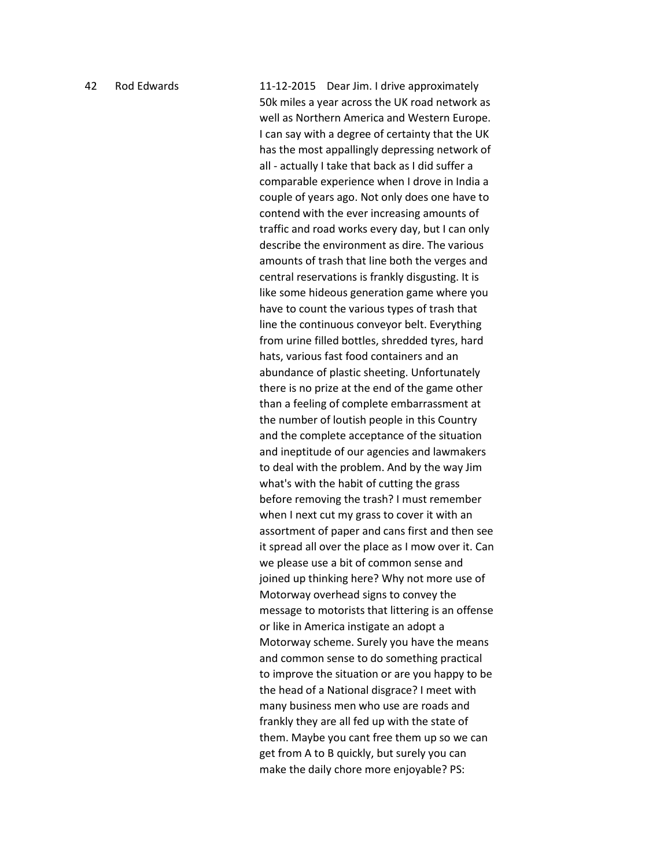42 Rod Edwards 11-12-2015 Dear Jim. I drive approximately 50k miles a year across the UK road network as well as Northern America and Western Europe. I can say with a degree of certainty that the UK has the most appallingly depressing network of all - actually I take that back as I did suffer a comparable experience when I drove in India a couple of years ago. Not only does one have to contend with the ever increasing amounts of traffic and road works every day, but I can only describe the environment as dire. The various amounts of trash that line both the verges and central reservations is frankly disgusting. It is like some hideous generation game where you have to count the various types of trash that line the continuous conveyor belt. Everything from urine filled bottles, shredded tyres, hard hats, various fast food containers and an abundance of plastic sheeting. Unfortunately there is no prize at the end of the game other than a feeling of complete embarrassment at the number of loutish people in this Country and the complete acceptance of the situation and ineptitude of our agencies and lawmakers to deal with the problem. And by the way Jim what's with the habit of cutting the grass before removing the trash? I must remember when I next cut my grass to cover it with an assortment of paper and cans first and then see it spread all over the place as I mow over it. Can we please use a bit of common sense and joined up thinking here? Why not more use of Motorway overhead signs to convey the message to motorists that littering is an offense or like in America instigate an adopt a Motorway scheme. Surely you have the means and common sense to do something practical to improve the situation or are you happy to be the head of a National disgrace? I meet with many business men who use are roads and frankly they are all fed up with the state of them. Maybe you cant free them up so we can get from A to B quickly, but surely you can make the daily chore more enjoyable? PS: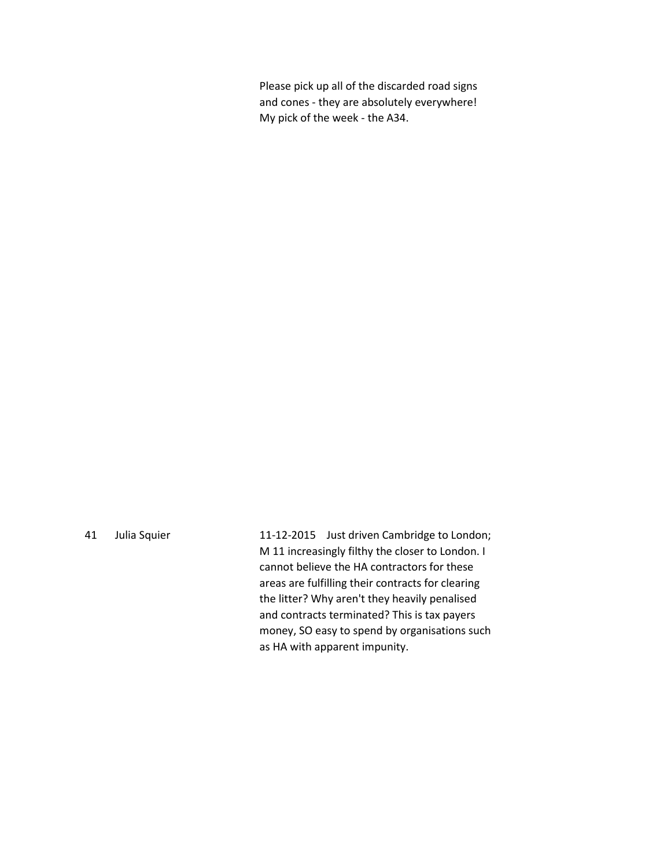Please pick up all of the discarded road signs and cones - they are absolutely everywhere! My pick of the week - the A34.

41 Julia Squier 11-12-2015 Just driven Cambridge to London; M 11 increasingly filthy the closer to London. I cannot believe the HA contractors for these areas are fulfilling their contracts for clearing the litter? Why aren't they heavily penalised and contracts terminated? This is tax payers money, SO easy to spend by organisations such as HA with apparent impunity.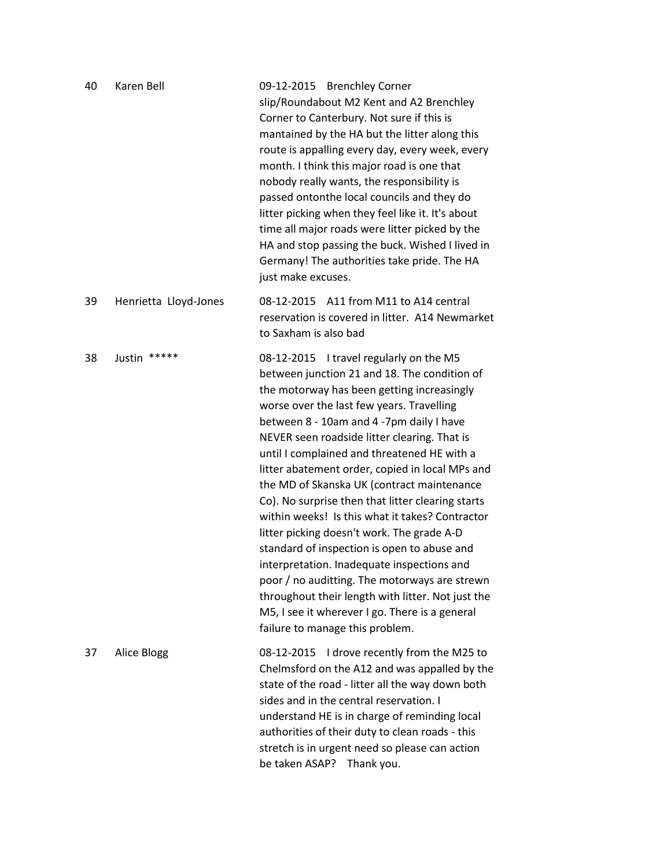| 40 | Karen Bell            | 09-12-2015 Brenchley Corner<br>slip/Roundabout M2 Kent and A2 Brenchley<br>Corner to Canterbury. Not sure if this is<br>mantained by the HA but the litter along this<br>route is appalling every day, every week, every<br>month. I think this major road is one that<br>nobody really wants, the responsibility is<br>passed ontonthe local councils and they do<br>litter picking when they feel like it. It's about<br>time all major roads were litter picked by the<br>HA and stop passing the buck. Wished I lived in<br>Germany! The authorities take pride. The HA<br>just make excuses.                                                                                                                                                                                                                                                                            |
|----|-----------------------|------------------------------------------------------------------------------------------------------------------------------------------------------------------------------------------------------------------------------------------------------------------------------------------------------------------------------------------------------------------------------------------------------------------------------------------------------------------------------------------------------------------------------------------------------------------------------------------------------------------------------------------------------------------------------------------------------------------------------------------------------------------------------------------------------------------------------------------------------------------------------|
| 39 | Henrietta Lloyd-Jones | 08-12-2015 A11 from M11 to A14 central<br>reservation is covered in litter. A14 Newmarket<br>to Saxham is also bad                                                                                                                                                                                                                                                                                                                                                                                                                                                                                                                                                                                                                                                                                                                                                           |
| 38 | Justin *****          | 08-12-2015 I travel regularly on the M5<br>between junction 21 and 18. The condition of<br>the motorway has been getting increasingly<br>worse over the last few years. Travelling<br>between 8 - 10am and 4 -7pm daily I have<br>NEVER seen roadside litter clearing. That is<br>until I complained and threatened HE with a<br>litter abatement order, copied in local MPs and<br>the MD of Skanska UK (contract maintenance<br>Co). No surprise then that litter clearing starts<br>within weeks! Is this what it takes? Contractor<br>litter picking doesn't work. The grade A-D<br>standard of inspection is open to abuse and<br>interpretation. Inadequate inspections and<br>poor / no auditting. The motorways are strewn<br>throughout their length with litter. Not just the<br>M5, I see it wherever I go. There is a general<br>failure to manage this problem. |
| 37 | Alice Blogg           | 08-12-2015 I drove recently from the M25 to<br>Chelmsford on the A12 and was appalled by the<br>state of the road - litter all the way down both<br>sides and in the central reservation. I<br>understand HE is in charge of reminding local<br>authorities of their duty to clean roads - this<br>stretch is in urgent need so please can action<br>be taken ASAP?<br>Thank you.                                                                                                                                                                                                                                                                                                                                                                                                                                                                                            |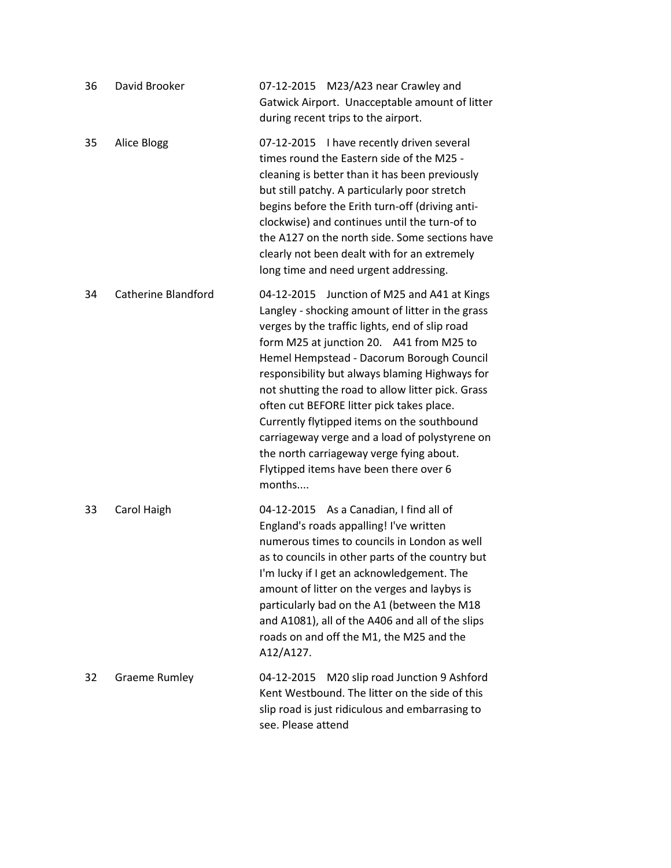| 36 | David Brooker              | 07-12-2015 M23/A23 near Crawley and<br>Gatwick Airport. Unacceptable amount of litter<br>during recent trips to the airport.                                                                                                                                                                                                                                                                                                                                                                                                                                                                    |
|----|----------------------------|-------------------------------------------------------------------------------------------------------------------------------------------------------------------------------------------------------------------------------------------------------------------------------------------------------------------------------------------------------------------------------------------------------------------------------------------------------------------------------------------------------------------------------------------------------------------------------------------------|
| 35 | Alice Blogg                | 07-12-2015 I have recently driven several<br>times round the Eastern side of the M25 -<br>cleaning is better than it has been previously<br>but still patchy. A particularly poor stretch<br>begins before the Erith turn-off (driving anti-<br>clockwise) and continues until the turn-of to<br>the A127 on the north side. Some sections have<br>clearly not been dealt with for an extremely<br>long time and need urgent addressing.                                                                                                                                                        |
| 34 | <b>Catherine Blandford</b> | 04-12-2015 Junction of M25 and A41 at Kings<br>Langley - shocking amount of litter in the grass<br>verges by the traffic lights, end of slip road<br>form M25 at junction 20. A41 from M25 to<br>Hemel Hempstead - Dacorum Borough Council<br>responsibility but always blaming Highways for<br>not shutting the road to allow litter pick. Grass<br>often cut BEFORE litter pick takes place.<br>Currently flytipped items on the southbound<br>carriageway verge and a load of polystyrene on<br>the north carriageway verge fying about.<br>Flytipped items have been there over 6<br>months |
| 33 | Carol Haigh                | 04-12-2015 As a Canadian, I find all of<br>England's roads appalling! I've written<br>numerous times to councils in London as well<br>as to councils in other parts of the country but<br>I'm lucky if I get an acknowledgement. The<br>amount of litter on the verges and laybys is<br>particularly bad on the A1 (between the M18<br>and A1081), all of the A406 and all of the slips<br>roads on and off the M1, the M25 and the<br>A12/A127.                                                                                                                                                |
| 32 | <b>Graeme Rumley</b>       | M20 slip road Junction 9 Ashford<br>04-12-2015<br>Kent Westbound. The litter on the side of this<br>slip road is just ridiculous and embarrasing to<br>see. Please attend                                                                                                                                                                                                                                                                                                                                                                                                                       |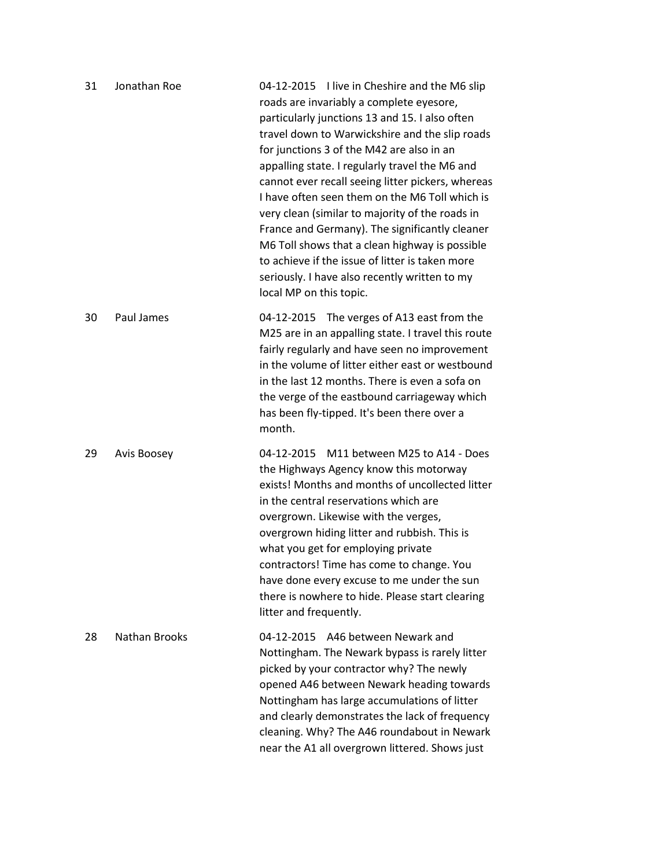| 31 | Jonathan Roe         | 04-12-2015 I live in Cheshire and the M6 slip<br>roads are invariably a complete eyesore,<br>particularly junctions 13 and 15. I also often<br>travel down to Warwickshire and the slip roads<br>for junctions 3 of the M42 are also in an<br>appalling state. I regularly travel the M6 and<br>cannot ever recall seeing litter pickers, whereas<br>I have often seen them on the M6 Toll which is<br>very clean (similar to majority of the roads in<br>France and Germany). The significantly cleaner<br>M6 Toll shows that a clean highway is possible<br>to achieve if the issue of litter is taken more<br>seriously. I have also recently written to my<br>local MP on this topic. |
|----|----------------------|-------------------------------------------------------------------------------------------------------------------------------------------------------------------------------------------------------------------------------------------------------------------------------------------------------------------------------------------------------------------------------------------------------------------------------------------------------------------------------------------------------------------------------------------------------------------------------------------------------------------------------------------------------------------------------------------|
| 30 | Paul James           | 04-12-2015 The verges of A13 east from the<br>M25 are in an appalling state. I travel this route<br>fairly regularly and have seen no improvement<br>in the volume of litter either east or westbound<br>in the last 12 months. There is even a sofa on<br>the verge of the eastbound carriageway which<br>has been fly-tipped. It's been there over a<br>month.                                                                                                                                                                                                                                                                                                                          |
| 29 | Avis Boosey          | 04-12-2015 M11 between M25 to A14 - Does<br>the Highways Agency know this motorway<br>exists! Months and months of uncollected litter<br>in the central reservations which are<br>overgrown. Likewise with the verges,<br>overgrown hiding litter and rubbish. This is<br>what you get for employing private<br>contractors! Time has come to change. You<br>have done every excuse to me under the sun<br>there is nowhere to hide. Please start clearing<br>litter and frequently.                                                                                                                                                                                                      |
| 28 | <b>Nathan Brooks</b> | A46 between Newark and<br>04-12-2015<br>Nottingham. The Newark bypass is rarely litter<br>picked by your contractor why? The newly<br>opened A46 between Newark heading towards<br>Nottingham has large accumulations of litter<br>and clearly demonstrates the lack of frequency<br>cleaning. Why? The A46 roundabout in Newark<br>near the A1 all overgrown littered. Shows just                                                                                                                                                                                                                                                                                                        |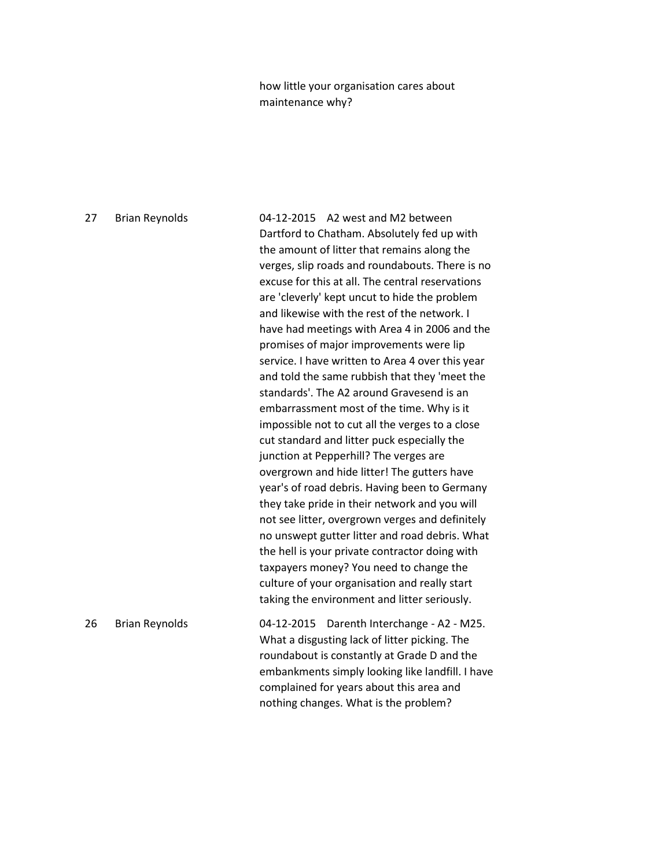how little your organisation cares about maintenance why?

27 Brian Reynolds 04-12-2015 A2 west and M2 between Dartford to Chatham. Absolutely fed up with the amount of litter that remains along the verges, slip roads and roundabouts. There is no excuse for this at all. The central reservations are 'cleverly' kept uncut to hide the problem and likewise with the rest of the network. I have had meetings with Area 4 in 2006 and the promises of major improvements were lip service. I have written to Area 4 over this year and told the same rubbish that they 'meet the standards'. The A2 around Gravesend is an embarrassment most of the time. Why is it impossible not to cut all the verges to a close cut standard and litter puck especially the junction at Pepperhill? The verges are overgrown and hide litter! The gutters have year's of road debris. Having been to Germany they take pride in their network and you will not see litter, overgrown verges and definitely no unswept gutter litter and road debris. What the hell is your private contractor doing with taxpayers money? You need to change the culture of your organisation and really start taking the environment and litter seriously. 26 Brian Reynolds 04-12-2015 Darenth Interchange - A2 - M25. What a disgusting lack of litter picking. The roundabout is constantly at Grade D and the embankments simply looking like landfill. I have complained for years about this area and nothing changes. What is the problem?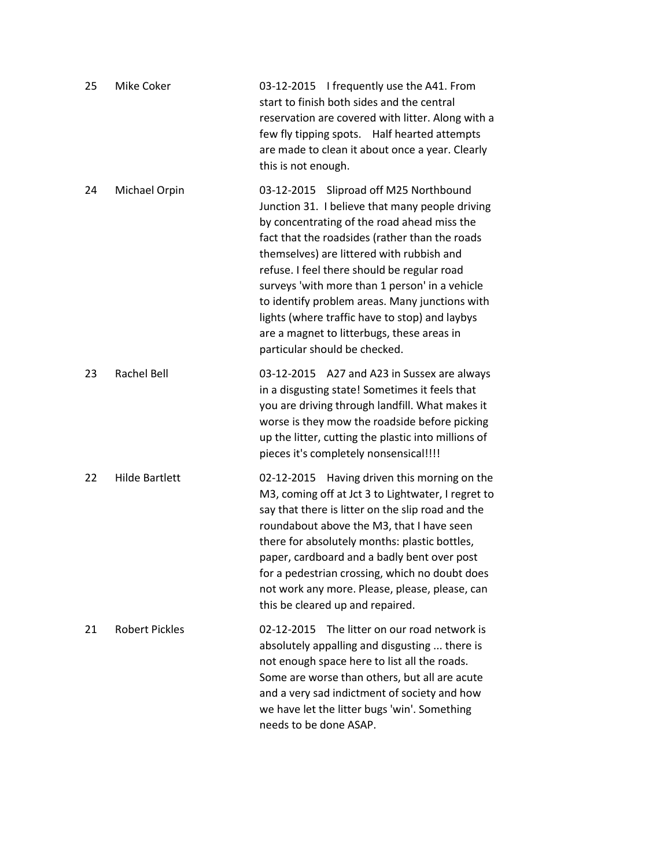| 25 | Mike Coker            | 03-12-2015 I frequently use the A41. From<br>start to finish both sides and the central<br>reservation are covered with litter. Along with a<br>few fly tipping spots. Half hearted attempts<br>are made to clean it about once a year. Clearly<br>this is not enough.                                                                                                                                                                                                                                                      |
|----|-----------------------|-----------------------------------------------------------------------------------------------------------------------------------------------------------------------------------------------------------------------------------------------------------------------------------------------------------------------------------------------------------------------------------------------------------------------------------------------------------------------------------------------------------------------------|
| 24 | Michael Orpin         | 03-12-2015 Sliproad off M25 Northbound<br>Junction 31. I believe that many people driving<br>by concentrating of the road ahead miss the<br>fact that the roadsides (rather than the roads<br>themselves) are littered with rubbish and<br>refuse. I feel there should be regular road<br>surveys 'with more than 1 person' in a vehicle<br>to identify problem areas. Many junctions with<br>lights (where traffic have to stop) and laybys<br>are a magnet to litterbugs, these areas in<br>particular should be checked. |
| 23 | <b>Rachel Bell</b>    | 03-12-2015 A27 and A23 in Sussex are always<br>in a disgusting state! Sometimes it feels that<br>you are driving through landfill. What makes it<br>worse is they mow the roadside before picking<br>up the litter, cutting the plastic into millions of<br>pieces it's completely nonsensical!!!!                                                                                                                                                                                                                          |
| 22 | <b>Hilde Bartlett</b> | Having driven this morning on the<br>02-12-2015<br>M3, coming off at Jct 3 to Lightwater, I regret to<br>say that there is litter on the slip road and the<br>roundabout above the M3, that I have seen<br>there for absolutely months: plastic bottles,<br>paper, cardboard and a badly bent over post<br>for a pedestrian crossing, which no doubt does<br>not work any more. Please, please, please, can<br>this be cleared up and repaired.                                                                             |
| 21 | <b>Robert Pickles</b> | The litter on our road network is<br>02-12-2015<br>absolutely appalling and disgusting  there is<br>not enough space here to list all the roads.<br>Some are worse than others, but all are acute<br>and a very sad indictment of society and how<br>we have let the litter bugs 'win'. Something<br>needs to be done ASAP.                                                                                                                                                                                                 |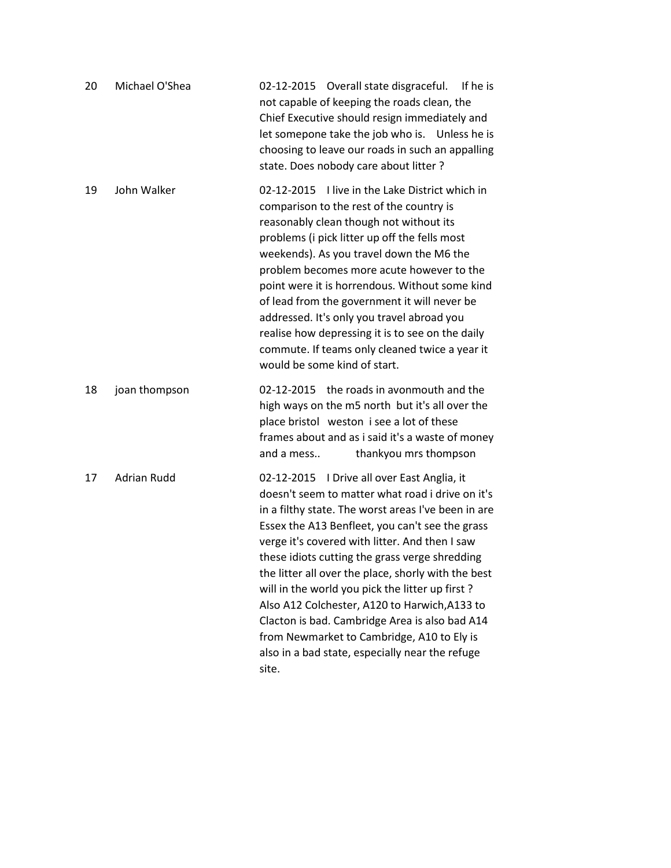| 20 | Michael O'Shea     | 02-12-2015 Overall state disgraceful.<br>If he is<br>not capable of keeping the roads clean, the<br>Chief Executive should resign immediately and<br>let somepone take the job who is. Unless he is<br>choosing to leave our roads in such an appalling<br>state. Does nobody care about litter?                                                                                                                                                                                                                                                                                                                                     |
|----|--------------------|--------------------------------------------------------------------------------------------------------------------------------------------------------------------------------------------------------------------------------------------------------------------------------------------------------------------------------------------------------------------------------------------------------------------------------------------------------------------------------------------------------------------------------------------------------------------------------------------------------------------------------------|
| 19 | John Walker        | I live in the Lake District which in<br>02-12-2015<br>comparison to the rest of the country is<br>reasonably clean though not without its<br>problems (i pick litter up off the fells most<br>weekends). As you travel down the M6 the<br>problem becomes more acute however to the<br>point were it is horrendous. Without some kind<br>of lead from the government it will never be<br>addressed. It's only you travel abroad you<br>realise how depressing it is to see on the daily<br>commute. If teams only cleaned twice a year it<br>would be some kind of start.                                                            |
| 18 | joan thompson      | 02-12-2015 the roads in avonmouth and the<br>high ways on the m5 north but it's all over the<br>place bristol weston i see a lot of these<br>frames about and as i said it's a waste of money<br>thankyou mrs thompson<br>and a mess                                                                                                                                                                                                                                                                                                                                                                                                 |
| 17 | <b>Adrian Rudd</b> | 02-12-2015 I Drive all over East Anglia, it<br>doesn't seem to matter what road i drive on it's<br>in a filthy state. The worst areas I've been in are<br>Essex the A13 Benfleet, you can't see the grass<br>verge it's covered with litter. And then I saw<br>these idiots cutting the grass verge shredding<br>the litter all over the place, shorly with the best<br>will in the world you pick the litter up first?<br>Also A12 Colchester, A120 to Harwich, A133 to<br>Clacton is bad. Cambridge Area is also bad A14<br>from Newmarket to Cambridge, A10 to Ely is<br>also in a bad state, especially near the refuge<br>site. |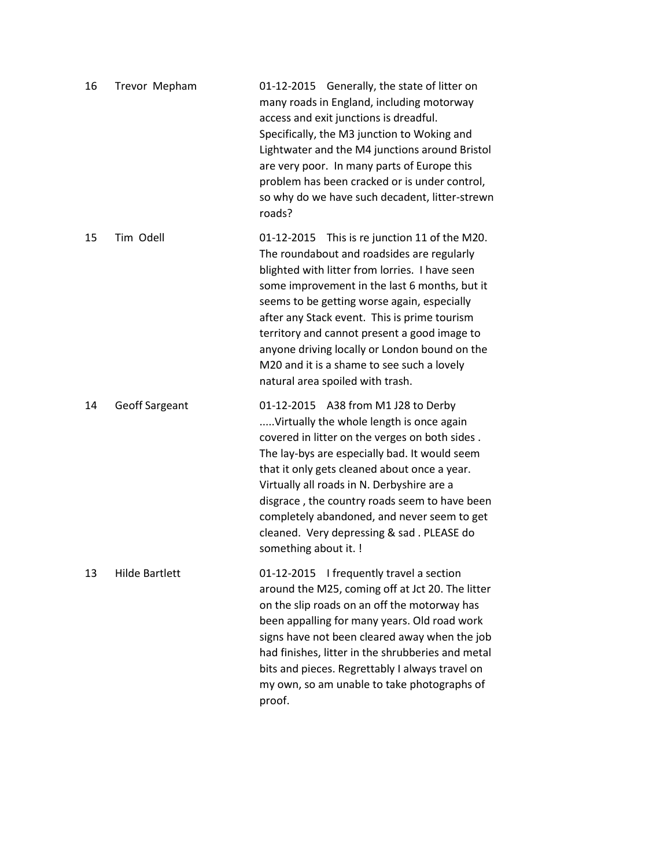| 16 | Trevor Mepham         | 01-12-2015 Generally, the state of litter on<br>many roads in England, including motorway<br>access and exit junctions is dreadful.<br>Specifically, the M3 junction to Woking and<br>Lightwater and the M4 junctions around Bristol<br>are very poor. In many parts of Europe this<br>problem has been cracked or is under control,<br>so why do we have such decadent, litter-strewn<br>roads?                                                                                 |
|----|-----------------------|----------------------------------------------------------------------------------------------------------------------------------------------------------------------------------------------------------------------------------------------------------------------------------------------------------------------------------------------------------------------------------------------------------------------------------------------------------------------------------|
| 15 | Tim Odell             | 01-12-2015 This is re junction 11 of the M20.<br>The roundabout and roadsides are regularly<br>blighted with litter from lorries. I have seen<br>some improvement in the last 6 months, but it<br>seems to be getting worse again, especially<br>after any Stack event. This is prime tourism<br>territory and cannot present a good image to<br>anyone driving locally or London bound on the<br>M20 and it is a shame to see such a lovely<br>natural area spoiled with trash. |
| 14 | <b>Geoff Sargeant</b> | 01-12-2015 A38 from M1 J28 to Derby<br>Virtually the whole length is once again<br>covered in litter on the verges on both sides.<br>The lay-bys are especially bad. It would seem<br>that it only gets cleaned about once a year.<br>Virtually all roads in N. Derbyshire are a<br>disgrace, the country roads seem to have been<br>completely abandoned, and never seem to get<br>cleaned. Very depressing & sad. PLEASE do<br>something about it. !                           |
| 13 | <b>Hilde Bartlett</b> | 01-12-2015 I frequently travel a section<br>around the M25, coming off at Jct 20. The litter<br>on the slip roads on an off the motorway has<br>been appalling for many years. Old road work<br>signs have not been cleared away when the job<br>had finishes, litter in the shrubberies and metal<br>bits and pieces. Regrettably I always travel on<br>my own, so am unable to take photographs of<br>proof.                                                                   |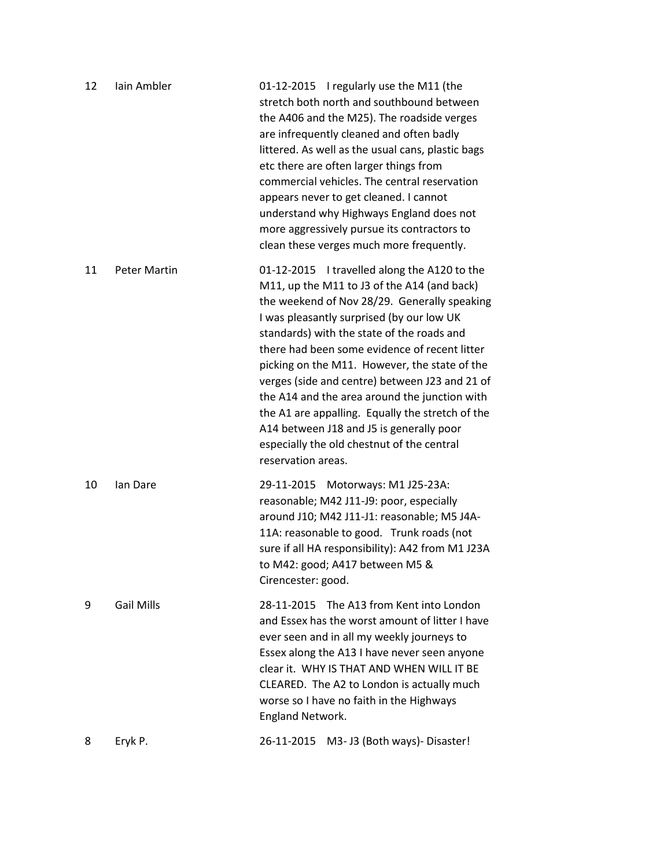| 12 | lain Ambler         | 01-12-2015 I regularly use the M11 (the<br>stretch both north and southbound between<br>the A406 and the M25). The roadside verges<br>are infrequently cleaned and often badly<br>littered. As well as the usual cans, plastic bags<br>etc there are often larger things from<br>commercial vehicles. The central reservation<br>appears never to get cleaned. I cannot<br>understand why Highways England does not<br>more aggressively pursue its contractors to<br>clean these verges much more frequently.                                                                                                  |
|----|---------------------|-----------------------------------------------------------------------------------------------------------------------------------------------------------------------------------------------------------------------------------------------------------------------------------------------------------------------------------------------------------------------------------------------------------------------------------------------------------------------------------------------------------------------------------------------------------------------------------------------------------------|
| 11 | <b>Peter Martin</b> | 01-12-2015 I travelled along the A120 to the<br>M11, up the M11 to J3 of the A14 (and back)<br>the weekend of Nov 28/29. Generally speaking<br>I was pleasantly surprised (by our low UK<br>standards) with the state of the roads and<br>there had been some evidence of recent litter<br>picking on the M11. However, the state of the<br>verges (side and centre) between J23 and 21 of<br>the A14 and the area around the junction with<br>the A1 are appalling. Equally the stretch of the<br>A14 between J18 and J5 is generally poor<br>especially the old chestnut of the central<br>reservation areas. |
| 10 | lan Dare            | 29-11-2015 Motorways: M1 J25-23A:<br>reasonable; M42 J11-J9: poor, especially<br>around J10; M42 J11-J1: reasonable; M5 J4A-<br>11A: reasonable to good. Trunk roads (not<br>sure if all HA responsibility): A42 from M1 J23A<br>to M42: good; A417 between M5 &<br>Cirencester: good.                                                                                                                                                                                                                                                                                                                          |
| 9  | <b>Gail Mills</b>   | 28-11-2015 The A13 from Kent into London<br>and Essex has the worst amount of litter I have<br>ever seen and in all my weekly journeys to<br>Essex along the A13 I have never seen anyone<br>clear it. WHY IS THAT AND WHEN WILL IT BE<br>CLEARED. The A2 to London is actually much<br>worse so I have no faith in the Highways<br><b>England Network.</b>                                                                                                                                                                                                                                                     |
| 8  | Eryk P.             | 26-11-2015<br>M3- J3 (Both ways)- Disaster!                                                                                                                                                                                                                                                                                                                                                                                                                                                                                                                                                                     |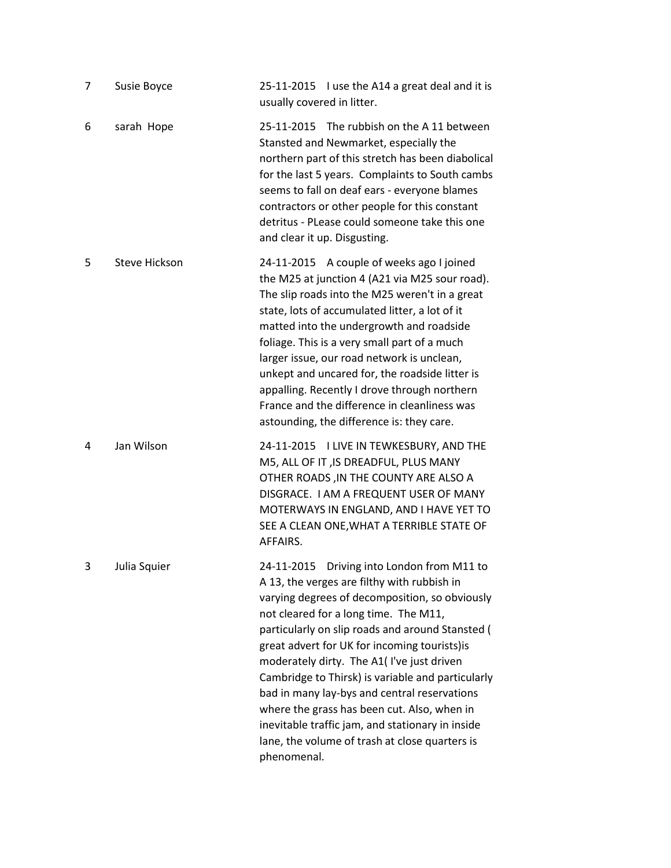| 7 | Susie Boyce          | 25-11-2015 I use the A14 a great deal and it is<br>usually covered in litter.                                                                                                                                                                                                                                                                                                                                                                                                                                                                                                                                   |
|---|----------------------|-----------------------------------------------------------------------------------------------------------------------------------------------------------------------------------------------------------------------------------------------------------------------------------------------------------------------------------------------------------------------------------------------------------------------------------------------------------------------------------------------------------------------------------------------------------------------------------------------------------------|
| 6 | sarah Hope           | 25-11-2015 The rubbish on the A11 between<br>Stansted and Newmarket, especially the<br>northern part of this stretch has been diabolical<br>for the last 5 years. Complaints to South cambs<br>seems to fall on deaf ears - everyone blames<br>contractors or other people for this constant<br>detritus - PLease could someone take this one<br>and clear it up. Disgusting.                                                                                                                                                                                                                                   |
| 5 | <b>Steve Hickson</b> | 24-11-2015 A couple of weeks ago I joined<br>the M25 at junction 4 (A21 via M25 sour road).<br>The slip roads into the M25 weren't in a great<br>state, lots of accumulated litter, a lot of it<br>matted into the undergrowth and roadside<br>foliage. This is a very small part of a much<br>larger issue, our road network is unclean,<br>unkept and uncared for, the roadside litter is<br>appalling. Recently I drove through northern<br>France and the difference in cleanliness was<br>astounding, the difference is: they care.                                                                        |
| 4 | Jan Wilson           | 24-11-2015 I LIVE IN TEWKESBURY, AND THE<br>M5, ALL OF IT, IS DREADFUL, PLUS MANY<br>OTHER ROADS, IN THE COUNTY ARE ALSO A<br>DISGRACE. I AM A FREQUENT USER OF MANY<br>MOTERWAYS IN ENGLAND, AND I HAVE YET TO<br>SEE A CLEAN ONE, WHAT A TERRIBLE STATE OF<br>AFFAIRS.                                                                                                                                                                                                                                                                                                                                        |
| 3 | Julia Squier         | 24-11-2015 Driving into London from M11 to<br>A 13, the verges are filthy with rubbish in<br>varying degrees of decomposition, so obviously<br>not cleared for a long time. The M11,<br>particularly on slip roads and around Stansted (<br>great advert for UK for incoming tourists) is<br>moderately dirty. The A1(I've just driven<br>Cambridge to Thirsk) is variable and particularly<br>bad in many lay-bys and central reservations<br>where the grass has been cut. Also, when in<br>inevitable traffic jam, and stationary in inside<br>lane, the volume of trash at close quarters is<br>phenomenal. |